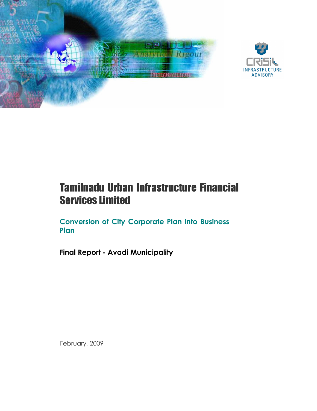

# Tamilnadu Urban Infrastructure Financial Services Limited

Conversion of City Corporate Plan into Business Plan

Final Report - Avadi Municipality

February, 2009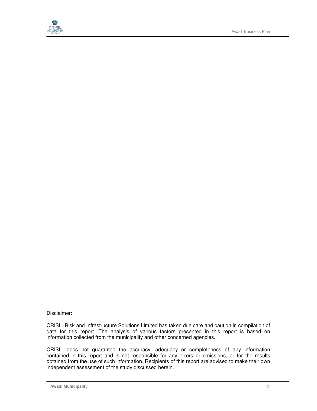

#### Disclaimer:

CRISIL Risk and Infrastructure Solutions Limited has taken due care and caution in compilation of data for this report. The analysis of various factors presented in this report is based on information collected from the municipality and other concerned agencies.

CRISIL does not guarantee the accuracy, adequacy or completeness of any information contained in this report and is not responsible for any errors or omissions, or for the results obtained from the use of such information. Recipients of this report are advised to make their own independent assessment of the study discussed herein.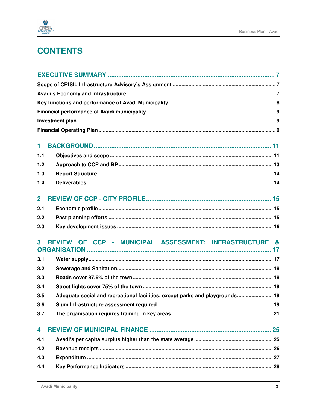

# **CONTENTS**

| 1              |                                                                              |
|----------------|------------------------------------------------------------------------------|
| 1.1            |                                                                              |
| 1.2            |                                                                              |
| 1.3            |                                                                              |
| 1.4            |                                                                              |
|                |                                                                              |
| $\overline{2}$ |                                                                              |
| 2.1            |                                                                              |
| 2.2            |                                                                              |
|                |                                                                              |
| 2.3            |                                                                              |
| 3              | REVIEW OF CCP - MUNICIPAL ASSESSMENT: INFRASTRUCTURE &                       |
|                |                                                                              |
| 3.1            |                                                                              |
| 3.2            |                                                                              |
| 3.3            |                                                                              |
| 3.4            |                                                                              |
| 3.5            | Adequate social and recreational facilities, except parks and playgrounds 19 |
| 3.6            |                                                                              |
| 3.7            |                                                                              |
| 4              |                                                                              |
| 4.1            |                                                                              |
| 4.2            |                                                                              |
| 4.3            |                                                                              |
| 4.4            |                                                                              |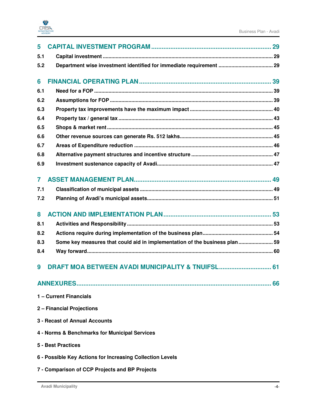

| 5   |                                                                             |    |
|-----|-----------------------------------------------------------------------------|----|
| 5.1 |                                                                             |    |
| 5.2 |                                                                             |    |
| 6   |                                                                             |    |
| 6.1 |                                                                             |    |
| 6.2 |                                                                             |    |
| 6.3 |                                                                             |    |
| 6.4 |                                                                             |    |
| 6.5 |                                                                             |    |
| 6.6 |                                                                             |    |
| 6.7 |                                                                             |    |
| 6.8 |                                                                             |    |
| 6.9 |                                                                             |    |
| 7   |                                                                             |    |
| 7.1 |                                                                             |    |
| 7.2 |                                                                             |    |
| 8   |                                                                             |    |
| 8.1 |                                                                             |    |
| 8.2 |                                                                             |    |
| 8.3 | Some key measures that could aid in implementation of the business plan  59 |    |
| 8.4 |                                                                             |    |
| 9   | DRAFT MOA BETWEEN AVADI MUNICIPALITY & TNUIFSL 61                           |    |
|     |                                                                             | 66 |
|     | 1 - Current Financials                                                      |    |
|     | 2 - Financial Projections                                                   |    |
|     | 3 - Recast of Annual Accounts                                               |    |
|     | 4 - Norms & Benchmarks for Municipal Services                               |    |
|     | <b>5 - Best Practices</b>                                                   |    |
|     | 6 - Possible Key Actions for Increasing Collection Levels                   |    |
|     | 7 - Comparison of CCP Projects and BP Projects                              |    |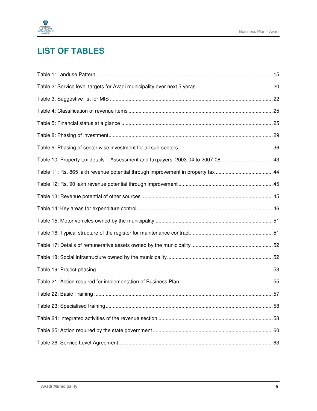

# **LIST OF TABLES**

| Table 10: Property tax details - Assessment and taxpayers: 2003-04 to 2007-08 43 |  |
|----------------------------------------------------------------------------------|--|
| Table 11: Rs. 865 lakh revenue potential through improvement in property tax 44  |  |
|                                                                                  |  |
|                                                                                  |  |
|                                                                                  |  |
|                                                                                  |  |
|                                                                                  |  |
|                                                                                  |  |
|                                                                                  |  |
|                                                                                  |  |
|                                                                                  |  |
|                                                                                  |  |
|                                                                                  |  |
|                                                                                  |  |
|                                                                                  |  |
|                                                                                  |  |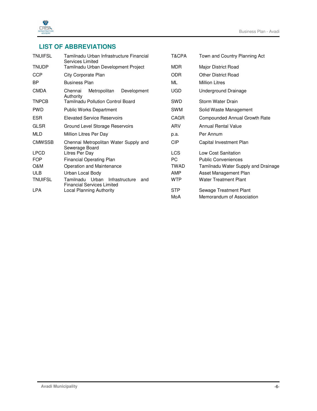

## **LIST OF ABBREVIATIONS**

| <b>TNUIFSL</b> | Tamilnadu Urban Infrastructure Financial<br>Services Limited                  | T&CPA       | Town and Country Planning Act       |
|----------------|-------------------------------------------------------------------------------|-------------|-------------------------------------|
| <b>TNUDP</b>   | Tamilnadu Urban Development Project                                           | <b>MDR</b>  | Major District Road                 |
| <b>CCP</b>     | City Corporate Plan                                                           | <b>ODR</b>  | <b>Other District Road</b>          |
| BP             | <b>Business Plan</b>                                                          | ML          | <b>Million Litres</b>               |
| <b>CMDA</b>    | Metropolitan<br>Development<br>Chennai<br>Authority                           | <b>UGD</b>  | Underground Drainage                |
| <b>TNPCB</b>   | Tamilnadu Pollution Control Board                                             | SWD         | Storm Water Drain                   |
| <b>PWD</b>     | <b>Public Works Department</b>                                                | <b>SWM</b>  | Solid Waste Management              |
| ESR.           | <b>Elevated Service Reservoirs</b>                                            | CAGR        | Compounded Annual Growth Rate       |
| <b>GLSR</b>    | Ground Level Storage Reservoirs                                               | ARV         | <b>Annual Rental Value</b>          |
| <b>MLD</b>     | Million Litres Per Day                                                        | p.a.        | Per Annum                           |
| <b>CMWSSB</b>  | Chennai Metropolitan Water Supply and<br>Sewerage Board                       | <b>CIP</b>  | Capital Investment Plan             |
| <b>LPCD</b>    | Litres Per Day                                                                | <b>LCS</b>  | Low Cost Sanitation                 |
| <b>FOP</b>     | <b>Financial Operating Plan</b>                                               | PC          | <b>Public Conveniences</b>          |
| O&M            | Operation and Maintenance                                                     | <b>TWAD</b> | Tamilnadu Water Supply and Drainage |
| <b>ULB</b>     | Urban Local Body                                                              | AMP         | Asset Management Plan               |
| <b>TNUIFSL</b> | Tamilnadu Urban<br>Infrastructure<br>and<br><b>Financial Services Limited</b> | <b>WTP</b>  | <b>Water Treatment Plant</b>        |
| <b>LPA</b>     | Local Planning Authority                                                      | <b>STP</b>  | Sewage Treatment Plant              |
|                |                                                                               | MoA         | Memorandum of Association           |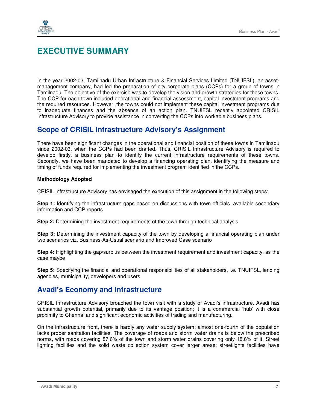

## **EXECUTIVE SUMMARY**

In the year 2002-03, Tamilnadu Urban Infrastructure & Financial Services Limited (TNUIFSL), an assetmanagement company, had led the preparation of city corporate plans (CCPs) for a group of towns in Tamilnadu. The objective of the exercise was to develop the vision and growth strategies for these towns. The CCP for each town included operational and financial assessment, capital investment programs and the required resources. However, the towns could not implement these capital investment programs due to inadequate finances and the absence of an action plan. TNUIFSL recently appointed CRISIL Infrastructure Advisory to provide assistance in converting the CCPs into workable business plans.

## **Scope of CRISIL Infrastructure Advisory's Assignment**

There have been significant changes in the operational and financial position of these towns in Tamilnadu since 2002-03, when the CCPs had been drafted. Thus, CRISIL Infrastructure Advisory is required to develop firstly, a business plan to identify the current infrastructure requirements of these towns. Secondly, we have been mandated to develop a financing operating plan, identifying the measure and timing of funds required for implementing the investment program identified in the CCPs.

#### **Methodology Adopted**

CRISIL Infrastructure Advisory has envisaged the execution of this assignment in the following steps:

**Step 1:** Identifying the infrastructure gaps based on discussions with town officials, available secondary information and CCP reports

**Step 2:** Determining the investment requirements of the town through technical analysis

**Step 3:** Determining the investment capacity of the town by developing a financial operating plan under two scenarios viz. Business-As-Usual scenario and Improved Case scenario

**Step 4:** Highlighting the gap/surplus between the investment requirement and investment capacity, as the case maybe

**Step 5:** Specifying the financial and operational responsibilities of all stakeholders, i.e. TNUIFSL, lending agencies, municipality, developers and users

## **Avadi's Economy and Infrastructure**

CRISIL Infrastructure Advisory broached the town visit with a study of Avadi's infrastructure. Avadi has substantial growth potential, primarily due to its vantage position; it is a commercial 'hub' with close proximity to Chennai and significant economic activities of trading and manufacturing.

On the infrastructure front, there is hardly any water supply system; almost one-fourth of the population lacks proper sanitation facilities. The coverage of roads and storm water drains is below the prescribed norms, with roads covering 87.6% of the town and storm water drains covering only 18.6% of it. Street lighting facilities and the solid waste collection system cover larger areas; streetlights facilities have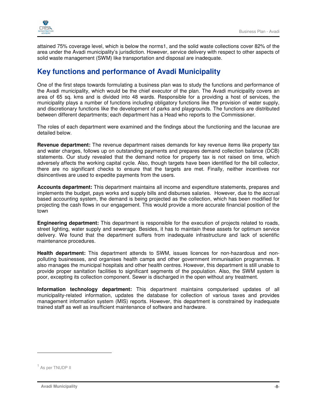

attained 75% coverage level, which is below the norms1, and the solid waste collections cover 82% of the area under the Avadi municipality's jurisdiction. However, service delivery with respect to other aspects of solid waste management (SWM) like transportation and disposal are inadequate.

## **Key functions and performance of Avadi Municipality**

One of the first steps towards formulating a business plan was to study the functions and performance of the Avadi municipality, which would be the chief executor of the plan. The Avadi municipality covers an area of 65 sq. kms and is divided into 48 wards. Responsible for a providing a host of services, the municipality plays a number of functions including obligatory functions like the provision of water supply, and discretionary functions like the development of parks and playgrounds. The functions are distributed between different departments; each department has a Head who reports to the Commissioner.

The roles of each department were examined and the findings about the functioning and the lacunae are detailed below.

**Revenue department:** The revenue department raises demands for key revenue items like property tax and water charges, follows up on outstanding payments and prepares demand collection balance (DCB) statements. Our study revealed that the demand notice for property tax is not raised on time, which adversely affects the working capital cycle. Also, though targets have been identified for the bill collector, there are no significant checks to ensure that the targets are met. Finally, neither incentives nor disincentives are used to expedite payments from the users.

**Accounts department:** This department maintains all income and expenditure statements, prepares and implements the budget, pays works and supply bills and disburses salaries. However, due to the accrual based accounting system, the demand is being projected as the collection, which has been modified for projecting the cash flows in our engagement. This would provide a more accurate financial position of the town

**Engineering department:** This department is responsible for the execution of projects related to roads, street lighting, water supply and sewerage. Besides, it has to maintain these assets for optimum service delivery. We found that the department suffers from inadequate infrastructure and lack of scientific maintenance procedures.

**Health department:** This department attends to SWM, issues licences for non-hazardous and nonpolluting businesses, and organises health camps and other government immunisation programmes. It also manages the municipal hospitals and other health centres. However, this department is still unable to provide proper sanitation facilities to significant segments of the population. Also, the SWM system is poor, excepting its collection component. Sewer is discharged in the open without any treatment.

**Information technology department:** This department maintains computerised updates of all municipality-related information, updates the database for collection of various taxes and provides management information system (MIS) reports. However, this department is constrained by inadequate trained staff as well as insufficient maintenance of software and hardware.

-

<sup>&</sup>lt;sup>1</sup> As per TNUDP II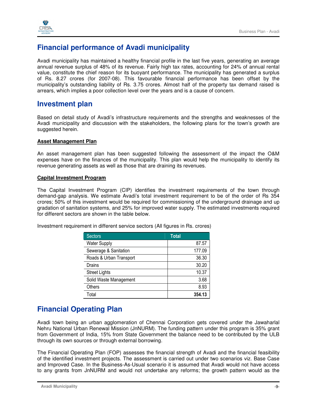

## **Financial performance of Avadi municipality**

Avadi municipality has maintained a healthy financial profile in the last five years, generating an average annual revenue surplus of 48% of its revenue. Fairly high tax rates, accounting for 24% of annual rental value, constitute the chief reason for its buoyant performance. The municipality has generated a surplus of Rs. 8.27 crores (for 2007-08). This favourable financial performance has been offset by the municipality's outstanding liability of Rs. 3.75 crores. Almost half of the property tax demand raised is arrears, which implies a poor collection level over the years and is a cause of concern.

## **Investment plan**

Based on detail study of Avadi's infrastructure requirements and the strengths and weaknesses of the Avadi municipality and discussion with the stakeholders, the following plans for the town's growth are suggested herein.

#### **Asset Management Plan**

An asset management plan has been suggested following the assessment of the impact the O&M expenses have on the finances of the municipality. This plan would help the municipality to identify its revenue generating assets as well as those that are draining its revenues.

#### **Capital Investment Program**

The Capital Investment Program (CIP) identifies the investment requirements of the town through demand-gap analysis. We estimate Avadi's total investment requirement to be of the order of Rs 354 crores; 50% of this investment would be required for commissioning of the underground drainage and up gradation of sanitation systems, and 25% for improved water supply. The estimated investments required for different sectors are shown in the table below.

Investment requirement in different service sectors (All figures in Rs. crores)

| <b>Sectors</b>          | <b>Total</b> |
|-------------------------|--------------|
| <b>Water Supply</b>     | 87.57        |
| Sewerage & Sanitation   | 177.09       |
| Roads & Urban Transport | 36.30        |
| Drains                  | 30.20        |
| <b>Street Lights</b>    | 10.37        |
| Solid Waste Management  | 3.68         |
| Others                  | 8.93         |
| Total                   | 354.13       |

## **Financial Operating Plan**

Avadi town being an urban agglomeration of Chennai Corporation gets covered under the Jawaharlal Nehru National Urban Renewal Mission (JnNURM). The funding pattern under this program is 35% grant from Government of India, 15% from State Government the balance need to be contributed by the ULB through its own sources or through external borrowing.

The Financial Operating Plan (FOP) assesses the financial strength of Avadi and the financial feasibility of the identified investment projects. The assessment is carried out under two scenarios viz. Base Case and Improved Case. In the Business-As-Usual scenario it is assumed that Avadi would not have access to any grants from JnNURM and would not undertake any reforms; the growth pattern would as the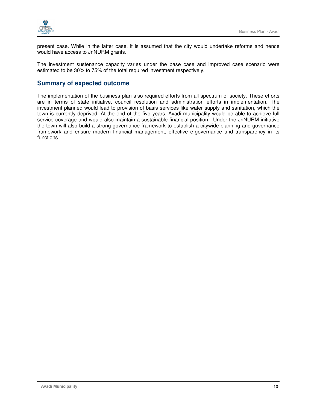



present case. While in the latter case, it is assumed that the city would undertake reforms and hence would have access to JnNURM grants.

The investment sustenance capacity varies under the base case and improved case scenario were estimated to be 30% to 75% of the total required investment respectively.

### **Summary of expected outcome**

The implementation of the business plan also required efforts from all spectrum of society. These efforts are in terms of state initiative, council resolution and administration efforts in implementation. The investment planned would lead to provision of basis services like water supply and sanitation, which the town is currently deprived. At the end of the five years, Avadi municipality would be able to achieve full service coverage and would also maintain a sustainable financial position. Under the JnNURM initiative the town will also build a strong governance framework to establish a citywide planning and governance framework and ensure modern financial management, effective e-governance and transparency in its functions.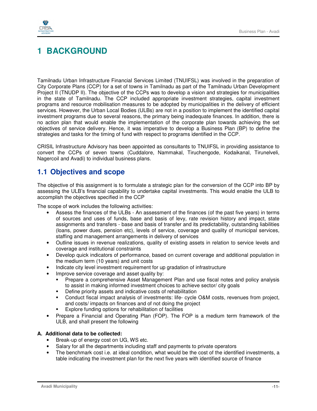

## **1 BACKGROUND**

Tamilnadu Urban Infrastructure Financial Services Limited (TNUIFSL) was involved in the preparation of City Corporate Plans (CCP) for a set of towns in Tamilnadu as part of the Tamilnadu Urban Development Project II (TNUDP II). The objective of the CCPs was to develop a vision and strategies for municipalities in the state of Tamilnadu. The CCP included appropriate investment strategies, capital investment programs and resource mobilisation measures to be adopted by municipalities in the delivery of efficient services. However, the Urban Local Bodies (ULBs) are not in a position to implement the identified capital investment programs due to several reasons, the primary being inadequate finances. In addition, there is no action plan that would enable the implementation of the corporate plan towards achieving the set objectives of service delivery. Hence, it was imperative to develop a Business Plan (BP) to define the strategies and tasks for the timing of fund with respect to programs identified in the CCP.

CRISIL Infrastructure Advisory has been appointed as consultants to TNUIFSL in providing assistance to convert the CCPs of seven towns (Cuddalore, Nammakal, Tiruchengode, Kodaikanal, Tirunelveli, Nagercoil and Avadi) to individual business plans.

## **1.1 Objectives and scope**

The objective of this assignment is to formulate a strategic plan for the conversion of the CCP into BP by assessing the ULB's financial capability to undertake capital investments. This would enable the ULB to accomplish the objectives specified in the CCP

The scope of work includes the following activities:

- Assess the finances of the ULBs An assessment of the finances (of the past five years) in terms of sources and uses of funds, base and basis of levy, rate revision history and impact, state assignments and transfers - base and basis of transfer and its predictability, outstanding liabilities (loans, power dues, pension etc), levels of service, coverage and quality of municipal services, staffing and management arrangements in delivery of services
- Outline issues in revenue realizations, quality of existing assets in relation to service levels and coverage and institutional constraints
- Develop quick indicators of performance, based on current coverage and additional population in the medium term (10 years) and unit costs
- Indicate city level investment requirement for up gradation of infrastructure
- Improve service coverage and asset quality by:
	- Prepare a comprehensive Asset Management Plan and use fiscal notes and policy analysis to assist in making informed investment choices to achieve sector/ city goals
	- **•** Define priority assets and indicative costs of rehabilitation
	- Conduct fiscal impact analysis of investments: life- cycle O&M costs, revenues from project, and costs/ impacts on finances and of not doing the project
	- Explore funding options for rehabilitation of facilities
- Prepare a Financial and Operating Plan (FOP). The FOP is a medium term framework of the ULB, and shall present the following

#### **A. Additional data to be collected:**

- Break-up of energy cost on UG, WS etc.
- Salary for all the departments including staff and payments to private operators
- The benchmark cost i.e. at ideal condition, what would be the cost of the identified investments, a table indicating the investment plan for the next five years with identified source of finance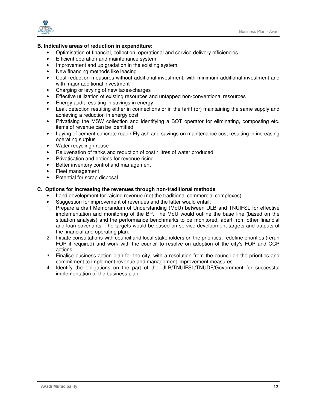

#### **B. Indicative areas of reduction in expenditure:**

- Optimisation of financial, collection, operational and service delivery efficiencies
- Efficient operation and maintenance system
- Improvement and up gradation in the existing system
- New financing methods like leasing
- Cost reduction measures without additional investment, with minimum additional investment and with major additional investment
- Charging or levying of new taxes/charges
- Effective utilization of existing resources and untapped non-conventional resources
- Energy audit resulting in savings in energy
- Leak detection resulting either in connections or in the tariff (or) maintaining the same supply and achieving a reduction in energy cost
- Privatising the MSW collection and identifying a BOT operator for eliminating, composting etc. items of revenue can be identified
- Laying of cement concrete road / Fly ash and savings on maintenance cost resulting in increasing operating surplus
- Water recycling / reuse
- Rejuvenation of tanks and reduction of cost / litres of water produced
- Privatisation and options for revenue rising
- Better inventory control and management
- Fleet management
- Potential for scrap disposal

#### **C. Options for increasing the revenues through non-traditional methods**

- Land development for raising revenue (not the traditional commercial complexes)
- Suggestion for improvement of revenues and the latter would entail:
- 1. Prepare a draft Memorandum of Understanding (MoU) between ULB and TNUIFSL for effective implementation and monitoring of the BP. The MoU would outline the base line (based on the situation analysis) and the performance benchmarks to be monitored, apart from other financial and loan covenants. The targets would be based on service development targets and outputs of the financial and operating plan.
- 2. Initiate consultations with council and local stakeholders on the priorities; redefine priorities (rerun FOP if required) and work with the council to resolve on adoption of the city's FOP and CCP actions.
- 3. Finalise business action plan for the city, with a resolution from the council on the priorities and commitment to implement revenue and management improvement measures.
- 4. Identify the obligations on the part of the ULB/TNUIFSL/TNUDF/Government for successful implementation of the business plan.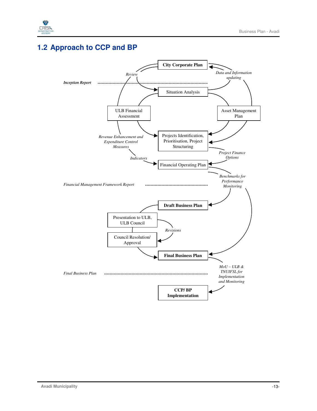

## **1.2 Approach to CCP and BP**

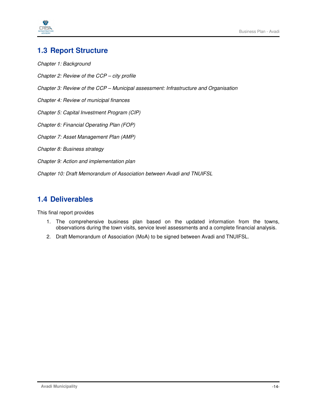



## **1.3 Report Structure**

Chapter 1: Background Chapter 2: Review of the CCP – city profile Chapter 3: Review of the CCP – Municipal assessment: Infrastructure and Organisation Chapter 4: Review of municipal finances Chapter 5: Capital Investment Program (CIP) Chapter 6: Financial Operating Plan (FOP) Chapter 7: Asset Management Plan (AMP) Chapter 8: Business strategy Chapter 9: Action and implementation plan Chapter 10: Draft Memorandum of Association between Avadi and TNUIFSL

## **1.4 Deliverables**

This final report provides

- 1. The comprehensive business plan based on the updated information from the towns, observations during the town visits, service level assessments and a complete financial analysis.
- 2. Draft Memorandum of Association (MoA) to be signed between Avadi and TNUIFSL.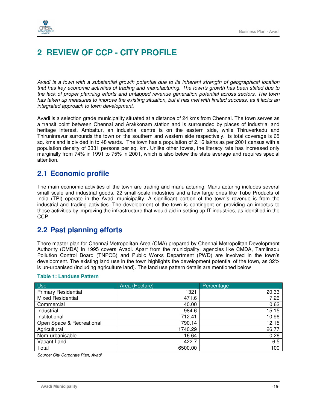

## **2 REVIEW OF CCP - CITY PROFILE**

Avadi is a town with a substantial growth potential due to its inherent strength of geographical location that has key economic activities of trading and manufacturing. The town's growth has been stifled due to the lack of proper planning efforts and untapped revenue generation potential across sectors. The town has taken up measures to improve the existing situation, but it has met with limited success, as it lacks an integrated approach to town development.

Avadi is a selection grade municipality situated at a distance of 24 kms from Chennai. The town serves as a transit point between Chennai and Arakkonam station and is surrounded by places of industrial and heritage interest. Ambattur, an industrial centre is on the eastern side, while Thiruverkadu and Thiruninravur surrounds the town on the southern and western side respectively. Its total coverage is 65 sq. kms and is divided in to 48 wards. The town has a population of 2.16 lakhs as per 2001 census with a population density of 3331 persons per sq. km. Unlike other towns, the literacy rate has increased only marginally from 74% in 1991 to 75% in 2001, which is also below the state average and requires special attention.

## **2.1 Economic profile**

The main economic activities of the town are trading and manufacturing. Manufacturing includes several small scale and industrial goods. 22 small-scale industries and a few large ones like Tube Products of India (TPI) operate in the Avadi municipality. A significant portion of the town's revenue is from the industrial and trading activities. The development of the town is contingent on providing an impetus to these activities by improving the infrastructure that would aid in setting up IT industries, as identified in the **CCP** 

## **2.2 Past planning efforts**

There master plan for Chennai Metropolitan Area (CMA) prepared by Chennai Metropolitan Development Authority (CMDA) in 1995 covers Avadi. Apart from the municipality, agencies like CMDA, Tamilnadu Pollution Control Board (TNPCB) and Public Works Department (PWD) are involved in the town's development. The existing land use in the town highlights the development potential of the town, as 32% is un-urbanised (including agriculture land). The land use pattern details are mentioned below

| <b>Use</b>                 | Area (Hectare) | Percentage |
|----------------------------|----------------|------------|
| <b>Primary Residential</b> | 1321           | 20.33      |
| <b>Mixed Residential</b>   | 471.6          | 7.26       |
| Commercial                 | 40.00          | 0.62       |
| Industrial                 | 984.6          | 15.15      |
| Institutional              | 712.41         | 10.96      |
| Open Space & Recreational  | 790.14         | 12.15      |
| Agricultural               | 1740.29        | 26.77      |
| Nom-urbanisable            | 16.64          | 0.26       |
| Vacant Land                | 422.7          | 6.5        |
| Total                      | 6500.00        | 100        |

#### **Table 1: Landuse Pattern**

Source: City Corporate Plan, Avadi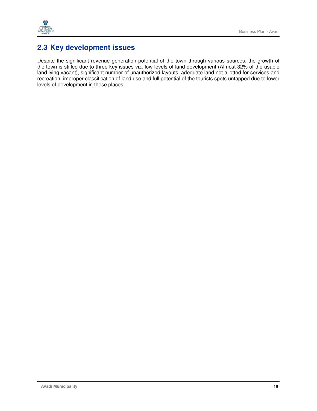

## **2.3 Key development issues**

Despite the significant revenue generation potential of the town through various sources, the growth of the town is stifled due to three key issues viz. low levels of land development (Almost 32% of the usable land lying vacant), significant number of unauthorized layouts, adequate land not allotted for services and recreation, improper classification of land use and full potential of the tourists spots untapped due to lower levels of development in these places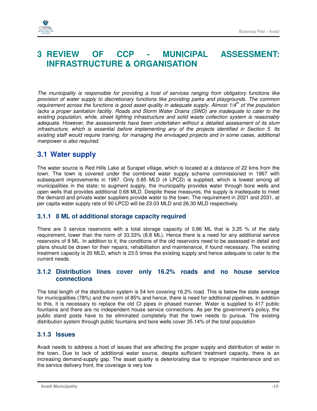



## **3 REVIEW OF CCP - MUNICIPAL ASSESSMENT: INFRASTRUCTURE & ORGANISATION**

The municipality is responsible for providing a host of services ranging from obligatory functions like provision of water supply to discretionary functions like providing parks and playgrounds. The common requirement across the functions is good asset quality in adequate supply. Almost  $1/4<sup>th</sup>$  of the population lacks a proper sanitation facility. Roads and Storm Water Drains (SWD) are inadequate to cater to the existing population, while, street lighting infrastructure and solid waste collection system is reasonably adequate. However, the assessments have been undertaken without a detailed assessment of its slum infrastructure, which is essential before implementing any of the projects identified in Section 5. Its existing staff would require training, for managing the envisaged projects and in some cases, additional manpower is also required.

## **3.1 Water supply**

The water source is Red Hills Lake at Surapet village, which is located at a distance of 22 kms from the town. The town is covered under the combined water supply scheme commissioned in 1967 with subsequent improvements in 1987. Only 0.85 MLD (4 LPCD) is supplied, which is lowest among all municipalities in the state; to augment supply, the municipality provides water through bore wells and open wells that provides additional 0.68 MLD. Despite these measures, the supply is inadequate to meet the demand and private water suppliers provide water to the town. The requirement in 2021 and 2031, at per capita water supply rate of 90 LPCD will be 23.03 MLD and 26.30 MLD respectively.

### **3.1.1 8 ML of additional storage capacity required**

There are 3 service reservoirs with a total storage capacity of 0.86 ML that is 3.25 % of the daily requirement, lower than the norm of 33.33% (8.8 ML). Hence there is a need for any additional service reservoirs of 8 ML. In addition to it, the conditions of the old reservoirs need to be assessed in detail and plans should be drawn for their repairs, rehabilitation and maintenance, if found necessary. The existing treatment capacity is 20 MLD, which is 23.5 times the existing supply and hence adequate to cater to the current needs.

### **3.1.2 Distribution lines cover only 16.2% roads and no house service connections**

The total length of the distribution system is 54 km covering 16.2% road. This is below the state average for municipalities (78%) and the norm of 85% and hence, there is need for additional pipelines. In addition to this, it is necessary to replace the old CI pipes in phased manner. Water is supplied to 417 public fountains and there are no independent house service connections. As per the government's policy, the public stand posts have to be eliminated completely that the town needs to pursue. The existing distribution system through public fountains and bore wells cover 35.14% of the total population

### **3.1.3 Issues**

Avadi needs to address a host of issues that are affecting the proper supply and distribution of water in the town. Due to lack of additional water source, despite sufficient treatment capacity, there is an increasing demand-supply gap. The asset quality is deteriorating due to improper maintenance and on the service delivery front, the coverage is very low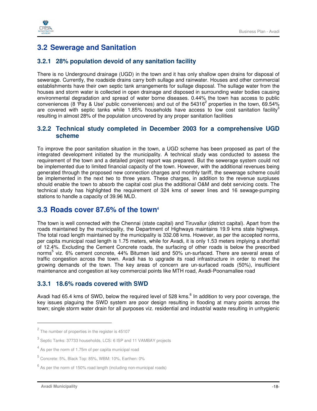

## **3.2 Sewerage and Sanitation**

### **3.2.1 28% population devoid of any sanitation facility**

There is no Underground drainage (UGD) in the town and it has only shallow open drains for disposal of sewerage. Currently, the roadside drains carry both sullage and rainwater. Houses and other commercial establishments have their own septic tank arrangements for sullage disposal. The sullage water from the houses and storm water is collected in open drainage and disposed in surrounding water bodies causing environmental degradation and spread of water borne diseases. 0.44% the town has access to public conveniences (8 'Pay & Use' public conveniences) and out of the 54316<sup>2</sup> properties in the town, 69.54% are covered with septic tanks while 1.85% households have access to low cost sanitation facility<sup>3</sup> resulting in almost 28% of the population uncovered by any proper sanitation facilities

### **3.2.2 Technical study completed in December 2003 for a comprehensive UGD scheme**

To improve the poor sanitation situation in the town, a UGD scheme has been proposed as part of the integrated development initiated by the municipality. A technical study was conducted to assess the requirement of the town and a detailed project report was prepared. But the sewerage system could not be implemented due to limited financial capacity of the town. However, with the additional revenues being generated through the proposed new connection charges and monthly tariff, the sewerage scheme could be implemented in the next two to three years. These charges, in addition to the revenue surpluses should enable the town to absorb the capital cost plus the additional O&M and debt servicing costs. The technical study has highlighted the requirement of 324 kms of sewer lines and 16 sewage-pumping stations to handle a capacity of 39.96 MLD.

## **3.3 Roads cover 87.6% of the town<sup>4</sup>**

The town is well connected with the Chennai (state capital) and Tiruvallur (district capital). Apart from the roads maintained by the municipality, the Department of Highways maintains 19.9 kms state highways. The total road length maintained by the municipality is 332.08 kms. However, as per the accepted norms, per capita municipal road length is 1.75 meters, while for Avadi, it is only 1.53 meters implying a shortfall of 12.4%. Excluding the Cement Concrete roads, the surfacing of other roads is below the prescribed norms<sup>5</sup> viz. 6% cement concrete, 44% Bitumen laid and 50% un-surfaced. There are several areas of traffic congestion across the town. Avadi has to upgrade its road infrastructure in order to meet the growing demands of the town. The key areas of concern are un-surfaced roads (50%), insufficient maintenance and congestion at key commercial points like MTH road, Avadi-Poonamallee road

### **3.3.1 18.6% roads covered with SWD**

Avadi had 65.4 kms of SWD, below the required level of 528 kms.<sup>6</sup> In addition to very poor coverage, the key issues plaguing the SWD system are poor design resulting in flooding at many points across the town; single storm water drain for all purposes viz. residential and industrial waste resulting in unhygienic

l

 $2$  The number of properties in the register is 45107

<sup>&</sup>lt;sup>3</sup> Septic Tanks: 37733 households, LCS: 6 ISP and 11 VAMBAY projects

 $4$  As per the norm of 1.75m of per capita municipal road

<sup>5</sup> Concrete: 5%, Black Top: 85%, WBM: 10%, Earthen: 0%

 $^6$  As per the norm of 150% road length (including non-municipal roads)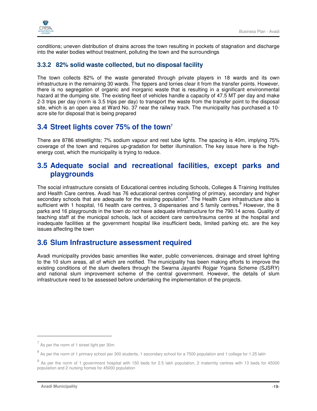

conditions; uneven distribution of drains across the town resulting in pockets of stagnation and discharge into the water bodies without treatment, polluting the town and the surroundings

### **3.3.2 82% solid waste collected, but no disposal facility**

The town collects 82% of the waste generated through private players in 18 wards and its own infrastructure in the remaining 30 wards. The tippers and lorries clear it from the transfer points. However, there is no segregation of organic and inorganic waste that is resulting in a significant environmental hazard at the dumping site. The existing fleet of vehicles handle a capacity of 47.5 MT per day and make 2-3 trips per day (norm is 3.5 trips per day) to transport the waste from the transfer point to the disposal site, which is an open area at Ward No. 37 near the railway track. The municipality has purchased a 10 acre site for disposal that is being prepared

## **3.4 Street lights cover 75% of the town<sup>7</sup>**

There are 8786 streetlights; 7% sodium vapour and rest tube lights. The spacing is 40m, implying 75% coverage of the town and requires up-gradation for better illumination. The key issue here is the highenergy cost, which the municipality is trying to reduce.

## **3.5 Adequate social and recreational facilities, except parks and playgrounds**

The social infrastructure consists of Educational centres including Schools, Colleges & Training Institutes and Health Care centres. Avadi has 76 educational centres consisting of primary, secondary and higher secondary schools that are adequate for the existing population<sup>8</sup>. The Health Care infrastructure also is sufficient with 1 hospital, 16 health care centres, 3 dispensaries and 5 family centres. <sup>9</sup> However, the 8 parks and 16 playgrounds in the town do not have adequate infrastructure for the 790.14 acres. Quality of teaching staff at the municipal schools, lack of accident care centre/trauma centre at the hospital and inadequate facilities at the government hospital like insufficient beds, limited parking etc. are the key issues affecting the town

## **3.6 Slum Infrastructure assessment required**

Avadi municipality provides basic amenities like water, public conveniences, drainage and street lighting to the 10 slum areas, all of which are notified. The municipality has been making efforts to improve the existing conditions of the slum dwellers through the Swarna Jayanthi Rojgar Yojana Scheme (SJSRY) and national slum improvement scheme of the central government. However, the details of slum infrastructure need to be assessed before undertaking the implementation of the projects.

-

 $<sup>7</sup>$  As per the norm of 1 street light per 30m</sup>

<sup>&</sup>lt;sup>8</sup> As per the norm of 1 primary school per 300 students, 1 secondary school for a 7500 population and 1 college for 1.25 lakh

 $^9$  As per the norm of 1 government hospital with 150 beds for 2.5 lakh population, 2 maternity centres with 13 beds for 45000 population and 2 nursing homes for 45000 population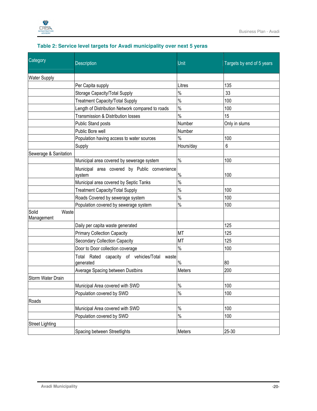

| Category                     | <b>Description</b>                                           | Unit          | Targets by end of 5 years |  |
|------------------------------|--------------------------------------------------------------|---------------|---------------------------|--|
|                              |                                                              |               |                           |  |
| <b>Water Supply</b>          |                                                              |               |                           |  |
|                              | Per Capita supply                                            | Litres        | 135                       |  |
|                              | Storage Capacity/Total Supply                                | $\%$          | 33                        |  |
|                              | <b>Treatment Capacity/Total Supply</b>                       | $\frac{1}{2}$ | 100                       |  |
|                              | Length of Distribution Network compared to roads             | $\%$          | 100                       |  |
|                              | Transmission & Distribution losses                           | $\%$          | 15                        |  |
|                              | <b>Public Stand posts</b>                                    | Number        | Only in slums             |  |
|                              | Public Bore well                                             | Number        |                           |  |
|                              | Population having access to water sources                    | $\frac{1}{2}$ | 100                       |  |
|                              | Supply                                                       | Hours/day     | 6                         |  |
| Sewerage & Sanitation        |                                                              |               |                           |  |
|                              | Municipal area covered by sewerage system                    | $\%$          | 100                       |  |
|                              | Municipal area covered by Public convenience                 |               |                           |  |
|                              | system                                                       | $\%$          | 100                       |  |
|                              | Municipal area covered by Septic Tanks                       | $\frac{1}{2}$ |                           |  |
|                              | <b>Treatment Capacity/Total Supply</b>                       | $\%$          | 100                       |  |
|                              | Roads Covered by sewerage system                             | $\%$          | 100                       |  |
|                              | Population covered by sewerage system                        | $\%$          | 100                       |  |
| Solid<br>Waste<br>Management |                                                              |               |                           |  |
|                              | Daily per capita waste generated                             |               | 125                       |  |
|                              | <b>Primary Collection Capacity</b>                           | <b>MT</b>     | 125                       |  |
|                              | <b>Secondary Collection Capacity</b>                         | <b>MT</b>     | 125                       |  |
|                              | Door to Door collection coverage                             | $\%$          | 100                       |  |
|                              | Rated capacity of vehicles/Total waste<br>Total<br>generated | $\%$          | 80                        |  |
|                              | Average Spacing between Dustbins                             | Meters        | 200                       |  |
| Storm Water Drain            |                                                              |               |                           |  |
|                              | Municipal Area covered with SWD                              | $\%$          | 100                       |  |
|                              | Population covered by SWD                                    | $\%$          | 100                       |  |
| Roads                        |                                                              |               |                           |  |
|                              | Municipal Area covered with SWD                              | $\%$          | 100                       |  |
|                              | Population covered by SWD                                    | $\%$          | 100                       |  |
| <b>Street Lighting</b>       |                                                              |               |                           |  |
|                              | Spacing between Streetlights                                 | Meters        | 25-30                     |  |

### **Table 2: Service level targets for Avadi municipality over next 5 yeras**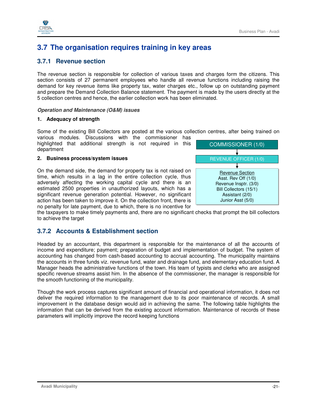

## **3.7 The organisation requires training in key areas**

### **3.7.1 Revenue section**

The revenue section is responsible for collection of various taxes and charges form the citizens. This section consists of 27 permanent employees who handle all revenue functions including raising the demand for key revenue items like property tax, water charges etc., follow up on outstanding payment and prepare the Demand Collection Balance statement. The payment is made by the users directly at the 5 collection centres and hence, the earlier collection work has been eliminated.

#### **Operation and Maintenance (O&M) issues**

#### **1. Adequacy of strength**

Some of the existing Bill Collectors are posted at the various collection centres, after being trained on various modules. Discussions with the commissioner has

highlighted that additional strength is not required in this department

#### **2. Business process/system issues**

On the demand side, the demand for property tax is not raised on time, which results in a lag in the entire collection cycle, thus adversely affecting the working capital cycle and there is an estimated 2500 properties in unauthorized layouts, which has a significant revenue generation potential. However, no significant action has been taken to improve it. On the collection front, there is no penalty for late payment, due to which, there is no incentive for



the taxpayers to make timely payments and, there are no significant checks that prompt the bill collectors to achieve the target

### **3.7.2 Accounts & Establishment section**

Headed by an accountant, this department is responsible for the maintenance of all the accounts of income and expenditure; payment; preparation of budget and implementation of budget. The system of accounting has changed from cash-based accounting to accrual accounting. The municipality maintains the accounts in three funds viz. revenue fund, water and drainage fund, and elementary education fund. A Manager heads the administrative functions of the town. His team of typists and clerks who are assigned specific revenue streams assist him. In the absence of the commissioner, the manager is responsible for the smooth functioning of the municipality.

Though the work process captures significant amount of financial and operational information, it does not deliver the required information to the management due to its poor maintenance of records. A small improvement in the database design would aid in achieving the same. The following table highlights the information that can be derived from the existing account information. Maintenance of records of these parameters will implicitly improve the record keeping functions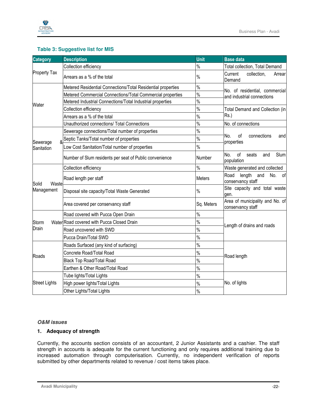

#### **Table 3: Suggestive list for MIS**

| <b>Category</b>        | <b>Description</b>                                           | <b>Unit</b>                         | <b>Base data</b>                                                                                                                                                                                                                                                                                                                                                                                                      |
|------------------------|--------------------------------------------------------------|-------------------------------------|-----------------------------------------------------------------------------------------------------------------------------------------------------------------------------------------------------------------------------------------------------------------------------------------------------------------------------------------------------------------------------------------------------------------------|
|                        | Collection efficiency                                        | $\%$                                | Total collection, Total Demand                                                                                                                                                                                                                                                                                                                                                                                        |
| <b>Property Tax</b>    | Arrears as a % of the total                                  | $\%$                                | Current<br>collection,<br>Arrear<br>Demand                                                                                                                                                                                                                                                                                                                                                                            |
|                        | Metered Residential Connections/Total Residential properties | $\%$                                |                                                                                                                                                                                                                                                                                                                                                                                                                       |
|                        | Metered Commercial Connections/Total Commercial properties   | $\frac{0}{0}$                       |                                                                                                                                                                                                                                                                                                                                                                                                                       |
| Water                  | Metered Industrial Connections/Total Industrial properties   | $\frac{1}{2}$                       |                                                                                                                                                                                                                                                                                                                                                                                                                       |
|                        | Collection efficiency                                        | $\frac{0}{0}$                       | Total Demand and Collection (in                                                                                                                                                                                                                                                                                                                                                                                       |
|                        | Arrears as a % of the total                                  | $\%$                                |                                                                                                                                                                                                                                                                                                                                                                                                                       |
|                        | Unauthorized connections/ Total Connections                  | $\frac{0}{0}$<br>No. of connections |                                                                                                                                                                                                                                                                                                                                                                                                                       |
|                        | Sewerage connections/Total number of properties              | $\frac{0}{0}$                       |                                                                                                                                                                                                                                                                                                                                                                                                                       |
|                        | Septic Tanks/Total number of properties                      | $\%$                                |                                                                                                                                                                                                                                                                                                                                                                                                                       |
| Sewerage<br>Sanitation | Low Cost Sanitation/Total number of properties               | $\frac{0}{0}$                       |                                                                                                                                                                                                                                                                                                                                                                                                                       |
|                        | Number of Slum residents per seat of Public convenience      | Number                              | No. of residential, commercial<br>and industrial connections<br>$Rs.$ )<br>No.<br>of<br>connections<br>and<br>properties<br>No.<br>of<br>Slum<br>seats<br>and<br>population<br>Waste generated and collected<br>Road<br>length<br>and<br>No.<br>0f<br>conservancy staff<br>Site capacity and total waste<br>gen.<br>Area of municipality and No. of<br>conservancy staff<br>Length of drains and roads<br>Road length |
|                        | Collection efficiency                                        | $\%$                                |                                                                                                                                                                                                                                                                                                                                                                                                                       |
| Waste<br>Solid         | Road length per staff                                        | <b>Meters</b>                       |                                                                                                                                                                                                                                                                                                                                                                                                                       |
| Management             | Disposal site capacity/Total Waste Generated                 | $\%$                                |                                                                                                                                                                                                                                                                                                                                                                                                                       |
|                        | Area covered per conservancy staff                           | Sq. Meters                          |                                                                                                                                                                                                                                                                                                                                                                                                                       |
|                        | Road covered with Pucca Open Drain                           | $\%$                                |                                                                                                                                                                                                                                                                                                                                                                                                                       |
| Storm                  | Water Road covered with Pucca Closed Drain                   | $\%$                                |                                                                                                                                                                                                                                                                                                                                                                                                                       |
| Drain                  | Road uncovered with SWD                                      | $\frac{1}{2}$                       |                                                                                                                                                                                                                                                                                                                                                                                                                       |
|                        | Pucca Drain/Total SWD                                        | $\frac{0}{0}$                       |                                                                                                                                                                                                                                                                                                                                                                                                                       |
|                        | Roads Surfaced (any kind of surfacing)                       | $\%$                                |                                                                                                                                                                                                                                                                                                                                                                                                                       |
|                        | Concrete Road/Total Road                                     | $\%$                                |                                                                                                                                                                                                                                                                                                                                                                                                                       |
| Roads                  | <b>Black Top Road/Total Road</b>                             | $\frac{1}{2}$                       |                                                                                                                                                                                                                                                                                                                                                                                                                       |
|                        | Earthen & Other Road/Total Road                              | $\frac{1}{2}$                       |                                                                                                                                                                                                                                                                                                                                                                                                                       |
|                        | Tube lights/Total Lights                                     | $\frac{1}{2}$                       |                                                                                                                                                                                                                                                                                                                                                                                                                       |
| <b>Street Lights</b>   | High power lights/Total Lights                               | $\frac{0}{0}$                       | No. of lights                                                                                                                                                                                                                                                                                                                                                                                                         |
|                        | Other Lights/Total Lights                                    | $\frac{0}{0}$                       |                                                                                                                                                                                                                                                                                                                                                                                                                       |

#### **O&M issues**

#### **1. Adequacy of strength**

Currently, the accounts section consists of an accountant, 2 Junior Assistants and a cashier. The staff strength in accounts is adequate for the current functioning and only requires additional training due to increased automation through computerisation. Currently, no independent verification of reports submitted by other departments related to revenue / cost items takes place.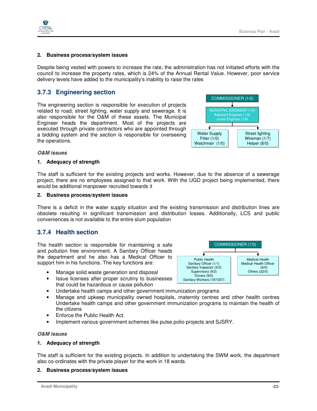

#### **2. Business process/system issues**

Despite being vested with powers to increase the rate, the administration has not initiated efforts with the council to increase the property rates, which is 24% of the Annual Rental Value. However, poor service delivery levels have added to the municipality's inability to raise the rates

### **3.7.3 Engineering section**

The engineering section is responsible for execution of projects related to road, street lighting, water supply and sewerage. It is also responsible for the O&M of these assets. The Municipal Engineer heads the department. Most of the projects are executed through private contractors who are appointed through a bidding system and the section is responsible for overseeing the operations.



#### **O&M issues**

#### **1. Adequacy of strength**

The staff is sufficient for the existing projects and works. However, due to the absence of a sewerage project, there are no employees assigned to that work. With the UGD project being implemented, there would be additional manpower recruited towards it

#### **2. Business process/system issues**

There is a deficit in the water supply situation and the existing transmission and distribution lines are obsolete resulting in significant transmission and distribution losses. Additionally, LCS and public conveniences is not available to the entire slum population

### **3.7.4 Health section**

The health section is responsible for maintaining a safe and pollution free environment. A Sanitary Officer heads the department and he also has a Medical Officer to support him in his functions. The key functions are:

- Manage solid waste generation and disposal
- Issue licenses after proper scrutiny to businesses that could be hazardous or cause pollution
- Undertake health camps and other government immunization programs
- Manage and upkeep municipality owned hospitals, maternity centres and other health centres Undertake health camps and other government immunization programs to maintain the health of the citizens
- Enforce the Public Health Act.
- Implement various government schemes like pulse polio projects and SJSRY.

#### **O&M issues**

#### **1. Adequacy of strength**

The staff is sufficient for the existing projects. In addition to undertaking the SWM work, the department also co-ordinates with the private player for the work in 18 wards.

#### **2. Business process/system issues**

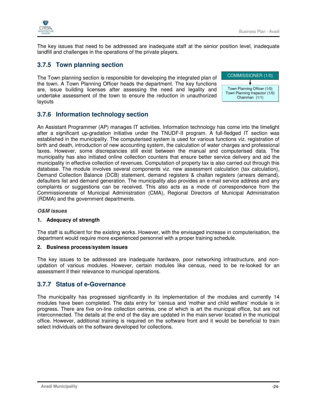

The key issues that need to be addressed are inadequate staff at the senior position level, inadequate landfill and challenges in the operations of the private players.

### **3.7.5 Town planning section**

The Town planning section is responsible for developing the integrated plan of the town. A Town Planning Officer heads the department. The key functions are, issue building licenses after assessing the need and legality and undertake assessment of the town to ensure the reduction in unauthorized layouts



## **3.7.6 Information technology section**

An Assistant Programmer (AP) manages IT activities. Information technology has come into the limelight after a significant up-gradation initiative under the TNUDF-II program. A full-fledged IT section was established in the municipality. The computerised system is used for various functions viz. registration of birth and death, introduction of new accounting system, the calculation of water charges and professional taxes. However, some discrepancies still exist between the manual and computerised data. The municipality has also initiated online collection counters that ensure better service delivery and aid the municipality in effective collection of revenues. Computation of property tax is also carried out through this database. The module involves several components viz. new assessment calculation (tax calculation), Demand Collection Balance (DCB) statement, demand registers & challan registers (arrears demand), defaulters list and demand generation. The municipality also provides an e-mail service address and any complaints or suggestions can be received. This also acts as a mode of correspondence from the Commissionerate of Municipal Administration (CMA), Regional Directors of Municipal Administration (RDMA) and the government departments.

#### **O&M issues**

#### **1. Adequacy of strength**

The staff is sufficient for the existing works. However, with the envisaged increase in computerisation, the department would require more experienced personnel with a proper training schedule.

#### **2. Business process/system issues**

The key issues to be addressed are inadequate hardware, poor networking infrastructure, and nonupdation of various modules. However, certain modules like census, need to be re-looked for an assessment if their relevance to municipal operations.

### **3.7.7 Status of e-Governance**

The municipality has progressed significantly in its implementation of the modules and currently 14 modules have been completed. The data entry for 'census and 'mother and child welfare' module is in progress. There are five on-line collection centres, one of which is art the municipal office, but are not interconnected. The details at the end of the day are updated in the main server located in the municipal office. However, additional training is required on the software front and it would be beneficial to train select individuals on the software developed for collections.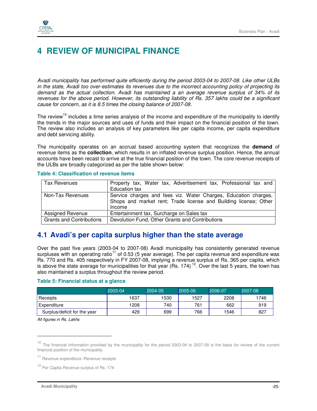

## **4 REVIEW OF MUNICIPAL FINANCE**

Avadi municipality has performed quite efficiently during the period 2003-04 to 2007-08. Like other ULBs in the state, Avadi too over-estimates its revenues due to the incorrect accounting policy of projecting its demand as the actual collection. Avadi has maintained a an average revenue surplus of 34% of its revenues for the above period. However, its outstanding liability of Rs. 357 lakhs could be a significant cause for concern, as it is 8.5 times the closing balance of 2007-08.

The review<sup>10</sup> includes a time series analysis of the income and expenditure of the municipality to identify the trends in the major sources and uses of funds and their impact on the financial position of the town. The review also includes an analysis of key parameters like per capita income, per capita expenditure and debt servicing ability.

The municipality operates on an accrual based accounting system that recognizes the **demand** of revenue items as the **collection**, which results in an inflated revenue surplus position. Hence, the annual accounts have been recast to arrive at the true financial position of the town. The core revenue receipts of the ULBs are broadly categorized as per the table shown below:

| Tax Revenues                    | Property tax, Water tax, Advertisement tax, Professional tax and<br><b>Education tax</b>                                                      |
|---------------------------------|-----------------------------------------------------------------------------------------------------------------------------------------------|
| Non-Tax Revenues                | Service charges and fees viz. Water Charges, Education charges,<br>Shops and market rent; Trade license and Building license; Other<br>Income |
| <b>Assigned Revenue</b>         | Entertainment tax, Surcharge on Sales tax                                                                                                     |
| <b>Grants and Contributions</b> | Devolution Fund, Other Grants and Contributions                                                                                               |

#### **Table 4: Classification of revenue items**

## **4.1 Avadi's per capita surplus higher than the state average**

Over the past five years (2003-04 to 2007-08) Avadi municipality has consistently generated revenue surpluses with an operating ratio<sup>11</sup> of 0.53 (5 year average). The per capita revenue and expenditure was Rs. 770 and Rs. 405 respectively in FY 2007-08, implying a revenue surplus of Rs. 365 per capita, which is above the state average for municipalities for that year (Rs. 174)<sup>12</sup>. Over the last 5 years, the town has also maintained a surplus throughout the review period.

#### **Table 5: Financial status at a glance**

|                              | 2003-04 | 2004-05 | $2005 - 06$ | 2006-07 | 2007-08 |
|------------------------------|---------|---------|-------------|---------|---------|
| Receipts                     | 1637    | 1530    | 1527        | 2208    | 1746    |
| Expenditure                  | 1208    | 740     | 761         | 662     | 919     |
| Surplus/deficit for the year | 429     | 699     | 766         | 1546    | 827     |

All figures in Rs. Lakhs

-

<sup>&</sup>lt;sup>10</sup> The financial information provided by the municipality for the period 2003-04 to 2007-08 is the basis for review of the current financial position of the municipality.

<sup>11</sup> Revenue expenditure /Revenue receipts

<sup>&</sup>lt;sup>12</sup> Per Capita Revenue surplus of Rs. 174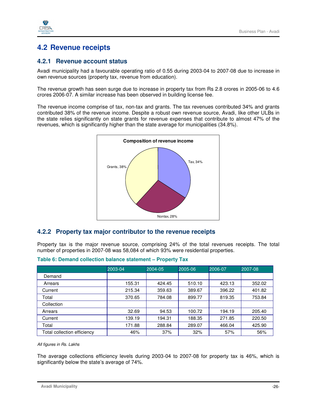

## **4.2 Revenue receipts**

### **4.2.1 Revenue account status**

Avadi municipality had a favourable operating ratio of 0.55 during 2003-04 to 2007-08 due to increase in own revenue sources (property tax, revenue from education).

The revenue growth has seen surge due to increase in property tax from Rs 2.8 crores in 2005-06 to 4.6 crores 2006-07. A similar increase has been observed in building license fee.

The revenue income comprise of tax, non-tax and grants. The tax revenues contributed 34% and grants contributed 38% of the revenue income. Despite a robust own revenue source, Avadi, like other ULBs in the state relies significantly on state grants for revenue expenses that contribute to almost 47% of the revenues, which is significantly higher than the state average for municipalities (34.8%).



### **4.2.2 Property tax major contributor to the revenue receipts**

Property tax is the major revenue source, comprising 24% of the total revenues receipts. The total number of properties in 2007-08 was 58,084 of which 93% were residential properties.

|                             | 2003-04 | 2004-05 | 2005-06 | 2006-07 | 2007-08 |
|-----------------------------|---------|---------|---------|---------|---------|
| Demand                      |         |         |         |         |         |
| Arrears                     | 155.31  | 424.45  | 510.10  | 423.13  | 352.02  |
| Current                     | 215.34  | 359.63  | 389.67  | 396.22  | 401.82  |
| Total                       | 370.65  | 784.08  | 899.77  | 819.35  | 753.84  |
| Collection                  |         |         |         |         |         |
| Arrears                     | 32.69   | 94.53   | 100.72  | 194.19  | 205.40  |
| Current                     | 139.19  | 194.31  | 188.35  | 271.85  | 220.50  |
| Total                       | 171.88  | 288.84  | 289.07  | 466.04  | 425.90  |
| Total collection efficiency | 46%     | 37%     | 32%     | 57%     | 56%     |

#### **Table 6: Demand collection balance statement – Property Tax**

All figures in Rs. Lakhs

The average collections efficiency levels during 2003-04 to 2007-08 for property tax is 46%, which is significantly below the state's average of 74%.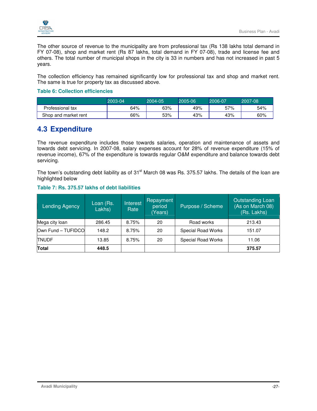

The other source of revenue to the municipality are from professional tax (Rs 138 lakhs total demand in FY 07-08), shop and market rent (Rs 87 lakhs, total demand in FY 07-08), trade and license fee and others. The total number of municipal shops in the city is 33 in numbers and has not increased in past 5 years.

The collection efficiency has remained significantly low for professional tax and shop and market rent. The same is true for property tax as discussed above.

#### **Table 6: Collection efficiencies**

|                      | 2003-04' | 2004-05 | 2005-06 | 2006-07 | 2007-08 |
|----------------------|----------|---------|---------|---------|---------|
| Professional tax     | 64%      | 63%     | 49%     | 57%     | 54%     |
| Shop and market rent | 66%      | 53%     | 43%     | 43%     | 60%     |

## **4.3 Expenditure**

The revenue expenditure includes those towards salaries, operation and maintenance of assets and towards debt servicing. In 2007-08, salary expenses account for 28% of revenue expenditure (15% of revenue income), 67% of the expenditure is towards regular O&M expenditure and balance towards debt servicing.

The town's outstanding debt liability as of 31<sup>st</sup> March 08 was Rs. 375.57 lakhs. The details of the loan are highlighted below

#### **Table 7: Rs. 375.57 lakhs of debt liabilities**

| Lending Agency     | Loan (Rs.<br>Lakhs) | Interest<br>Rate | Repayment<br>period<br>(Years) | Purpose / Scheme   | <b>Outstanding Loan</b><br>(As on March 08)<br>(Rs. Lakhs) |
|--------------------|---------------------|------------------|--------------------------------|--------------------|------------------------------------------------------------|
| Mega city loan     | 286.45              | 8.75%            | 20                             | Road works         | 213.43                                                     |
| Own Fund - TUFIDCO | 148.2               | 8.75%            | 20                             | Special Road Works | 151.07                                                     |
| <b>TNUDF</b>       | 13.85               | 8.75%            | 20                             | Special Road Works | 11.06                                                      |
| Total              | 448.5               |                  |                                |                    | 375.57                                                     |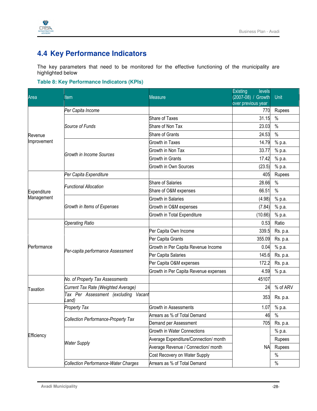

## **4.4 Key Performance Indicators**

The key parameters that need to be monitored for the effective functioning of the municipality are highlighted below

#### **Table 8: Key Performance Indicators (KPIs)**

|                 |                                             |                                                                                                                                                                                                                                                                                                                                                                                                                                                                                                                                                                                                            | <b>Existing</b><br>levels |               |
|-----------------|---------------------------------------------|------------------------------------------------------------------------------------------------------------------------------------------------------------------------------------------------------------------------------------------------------------------------------------------------------------------------------------------------------------------------------------------------------------------------------------------------------------------------------------------------------------------------------------------------------------------------------------------------------------|---------------------------|---------------|
| Area            | ltem                                        | Measure                                                                                                                                                                                                                                                                                                                                                                                                                                                                                                                                                                                                    | (2007-08) / Growth        | Unit          |
|                 |                                             |                                                                                                                                                                                                                                                                                                                                                                                                                                                                                                                                                                                                            |                           |               |
|                 | Per Capita Income                           |                                                                                                                                                                                                                                                                                                                                                                                                                                                                                                                                                                                                            | 770                       | Rupees        |
|                 |                                             |                                                                                                                                                                                                                                                                                                                                                                                                                                                                                                                                                                                                            | 31.15                     | $\frac{0}{0}$ |
|                 | Source of Funds                             |                                                                                                                                                                                                                                                                                                                                                                                                                                                                                                                                                                                                            | 23.03                     | $\%$          |
| Revenue         |                                             |                                                                                                                                                                                                                                                                                                                                                                                                                                                                                                                                                                                                            | 24.53                     | $\%$          |
| Improvement     |                                             |                                                                                                                                                                                                                                                                                                                                                                                                                                                                                                                                                                                                            | 14.79                     | % p.a.        |
|                 | <b>Growth in Income Sources</b>             | Growth in Non Tax                                                                                                                                                                                                                                                                                                                                                                                                                                                                                                                                                                                          | 33.77                     | % p.a.        |
|                 |                                             |                                                                                                                                                                                                                                                                                                                                                                                                                                                                                                                                                                                                            | 17.42                     | % p.a.        |
|                 |                                             | Growth in Own Sources                                                                                                                                                                                                                                                                                                                                                                                                                                                                                                                                                                                      | (23.5)                    | % p.a.        |
|                 | Per Capita Expenditure                      |                                                                                                                                                                                                                                                                                                                                                                                                                                                                                                                                                                                                            | 405                       | Rupees        |
|                 | <b>Functional Allocation</b>                | <b>Share of Salaries</b>                                                                                                                                                                                                                                                                                                                                                                                                                                                                                                                                                                                   | 28.66                     | $\%$          |
| Expenditure     |                                             | Share of O&M expenses                                                                                                                                                                                                                                                                                                                                                                                                                                                                                                                                                                                      | 66.51                     | $\%$          |
| Management      |                                             | <b>Growth in Salaries</b>                                                                                                                                                                                                                                                                                                                                                                                                                                                                                                                                                                                  | (4.98)                    | % p.a.        |
|                 | Growth in Items of Expenses                 | Growth in O&M expenses                                                                                                                                                                                                                                                                                                                                                                                                                                                                                                                                                                                     | (7.84)                    | % p.a.        |
|                 |                                             | Growth in Total Expenditure                                                                                                                                                                                                                                                                                                                                                                                                                                                                                                                                                                                | (10.66)                   | % p.a.        |
|                 | <b>Operating Ratio</b>                      |                                                                                                                                                                                                                                                                                                                                                                                                                                                                                                                                                                                                            | 0.53                      | Ratio         |
|                 |                                             | over previous year<br>Share of Taxes<br>Share of Non Tax<br><b>Share of Grants</b><br>Growth in Taxes<br><b>Growth in Grants</b><br>Per Capita Own Income<br>Per Capita Grants<br>Growth in Per Capita Revenue Income<br>Per Capita Salaries<br>Per Capita O&M expenses<br>Growth in Per Capita Revenue expenses<br>Vacant<br><b>Growth in Assessments</b><br>Arrears as % of Total Demand<br>Demand per Assessment<br><b>Growth in Water Connections</b><br>Average Expenditure/Connection/ month<br>Average Revenue / Connection/ month<br>Cost Recovery on Water Supply<br>Arrears as % of Total Demand | 339.5                     | Rs. p.a.      |
|                 |                                             |                                                                                                                                                                                                                                                                                                                                                                                                                                                                                                                                                                                                            | 355.09                    | Rs. p.a.      |
| Performance     |                                             |                                                                                                                                                                                                                                                                                                                                                                                                                                                                                                                                                                                                            | 0.04                      | % p.a.        |
|                 | Per-capita performance Assessment           |                                                                                                                                                                                                                                                                                                                                                                                                                                                                                                                                                                                                            | 145.6                     | Rs. p.a.      |
|                 |                                             |                                                                                                                                                                                                                                                                                                                                                                                                                                                                                                                                                                                                            | 172.2                     | Rs. p.a.      |
|                 |                                             |                                                                                                                                                                                                                                                                                                                                                                                                                                                                                                                                                                                                            | 4.59                      | % p.a.        |
|                 | No. of Property Tax Assessments             |                                                                                                                                                                                                                                                                                                                                                                                                                                                                                                                                                                                                            | 45107                     |               |
| <b>Taxation</b> | Current Tax Rate (Weighted Average)         |                                                                                                                                                                                                                                                                                                                                                                                                                                                                                                                                                                                                            | 24                        | % of ARV      |
|                 | Tax Per Assessment (excluding<br>and)       |                                                                                                                                                                                                                                                                                                                                                                                                                                                                                                                                                                                                            | 353                       | Rs. p.a.      |
|                 | <b>Property Tax</b>                         |                                                                                                                                                                                                                                                                                                                                                                                                                                                                                                                                                                                                            | 1.07                      | % p.a.        |
|                 |                                             |                                                                                                                                                                                                                                                                                                                                                                                                                                                                                                                                                                                                            | 46                        | $\%$          |
|                 | <b>Collection Performance-Property Tax</b>  |                                                                                                                                                                                                                                                                                                                                                                                                                                                                                                                                                                                                            | 705                       | Rs. p.a.      |
|                 |                                             |                                                                                                                                                                                                                                                                                                                                                                                                                                                                                                                                                                                                            |                           | % p.a.        |
| Efficiency      |                                             |                                                                                                                                                                                                                                                                                                                                                                                                                                                                                                                                                                                                            |                           | Rupees        |
|                 | <b>Water Supply</b>                         |                                                                                                                                                                                                                                                                                                                                                                                                                                                                                                                                                                                                            | <b>NA</b>                 | Rupees        |
|                 |                                             |                                                                                                                                                                                                                                                                                                                                                                                                                                                                                                                                                                                                            |                           |               |
|                 | <b>Collection Performance-Water Charges</b> |                                                                                                                                                                                                                                                                                                                                                                                                                                                                                                                                                                                                            |                           | $\%$          |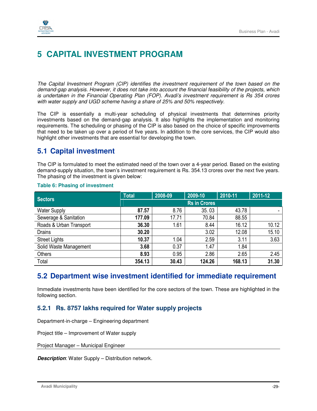

## **5 CAPITAL INVESTMENT PROGRAM**

The Capital Investment Program (CIP) identifies the investment requirement of the town based on the demand-gap analysis. However, it does not take into account the financial feasibility of the projects, which is undertaken in the Financial Operating Plan (FOP). Avadi's investment requirement is Rs 354 crores with water supply and UGD scheme having a share of 25% and 50% respectively.

The CIP is essentially a multi-year scheduling of physical investments that determines priority investments based on the demand-gap analysis. It also highlights the implementation and monitoring requirements. The scheduling or phasing of the CIP is also based on the choice of specific improvements that need to be taken up over a period of five years. In addition to the core services, the CIP would also highlight other investments that are essential for developing the town.

## **5.1 Capital investment**

The CIP is formulated to meet the estimated need of the town over a 4-year period. Based on the existing demand-supply situation, the town's investment requirement is Rs. 354.13 crores over the next five years. The phasing of the investment is given below:

| <b>Sectors</b>          | <b>Total</b>        | 2008-09 | 2009-10 | 2010-11 | 2011-12 |  |
|-------------------------|---------------------|---------|---------|---------|---------|--|
|                         | <b>Rs in Crores</b> |         |         |         |         |  |
| <b>Water Supply</b>     | 87.57               | 8.76    | 35.03   | 43.78   |         |  |
| Sewerage & Sanitation   | 177.09              | 17.71   | 70.84   | 88.55   |         |  |
| Roads & Urban Transport | 36.30               | 1.61    | 8.44    | 16.12   | 10.12   |  |
| <b>Drains</b>           | 30.20               |         | 3.02    | 12.08   | 15.10   |  |
| <b>Street Lights</b>    | 10.37               | 1.04    | 2.59    | 3.11    | 3.63    |  |
| Solid Waste Management  | 3.68                | 0.37    | 1.47    | 1.84    |         |  |
| Others                  | 8.93                | 0.95    | 2.86    | 2.65    | 2.45    |  |
| Total                   | 354.13              | 30.43   | 124.26  | 168.13  | 31.30   |  |

### **Table 6: Phasing of investment**

## **5.2 Department wise investment identified for immediate requirement**

Immediate investments have been identified for the core sectors of the town. These are highlighted in the following section.

## **5.2.1 Rs. 8757 lakhs required for Water supply projects**

Department-in-charge – Engineering department

Project title – Improvement of Water supply

Project Manager – Municipal Engineer

**Description**: Water Supply – Distribution network.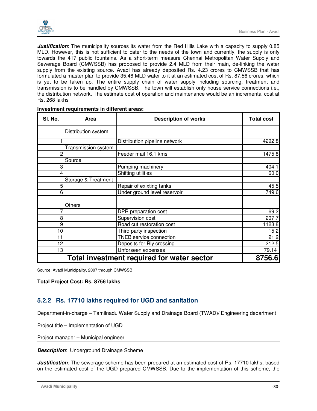

*Justification*: The municipality sources its water from the Red Hills Lake with a capacity to supply 0.85 MLD. However, this is not sufficient to cater to the needs of the town and currently, the supply is only towards the 417 public fountains. As a short-term measure Chennai Metropolitan Water Supply and Sewerage Board (CMWSSB) has proposed to provide 2.4 MLD from their main, de-linking the water supply from the existing source. Avadi has already deposited Rs. 4.23 crores to CMWSSB that has formulated a master plan to provide 35.46 MLD water to it at an estimated cost of Rs. 87.56 crores, which is yet to be taken up. The entire supply chain of water supply including sourcing, treatment and transmission is to be handled by CMWSSB. The town will establish only house service connections i.e., the distribution network. The estimate cost of operation and maintenance would be an incremental cost at Rs. 268 lakhs

| SI. No. | Area                | <b>Description of works</b>                | <b>Total cost</b> |
|---------|---------------------|--------------------------------------------|-------------------|
|         | Distribution system |                                            |                   |
|         |                     | Distribution pipeline network              | 4292.8            |
|         | Transmission system |                                            |                   |
| 2       |                     | Feeder mail 16.1 kms                       | 1475.8            |
|         | Source              |                                            |                   |
| 3       |                     | Pumping machinery                          | 404.1             |
|         |                     | Shifting utilities                         | 60.0              |
|         | Storage & Treatment |                                            |                   |
| 5       |                     | Repair of exixting tanks                   | 45.5              |
| 6       |                     | Under ground level reservoir               | 749.6             |
|         |                     |                                            |                   |
|         | Others              |                                            |                   |
|         |                     | DPR preparation cost                       | 69.2              |
| 8       |                     | Supervision cost                           | 207.7             |
| 9       |                     | Road cut restoration cost                  | 1123.8            |
| 10      |                     | Third party inspection                     | 15.2              |
| 11      |                     | <b>TNEB</b> service connection             | 21.2              |
| 12      |                     | Deposits for Rly crossing                  | 212.5             |
| 13      |                     | Unforseen expenses                         | 79.14             |
|         |                     | Total investment required for water sector | 8756.6            |

#### **Investment requirements in different areas:**

Source: Avadi Municipality, 2007 through CMWSSB

**Total Project Cost: Rs. 8756 lakhs** 

### **5.2.2 Rs. 17710 lakhs required for UGD and sanitation**

Department-in-charge – Tamilnadu Water Supply and Drainage Board (TWAD)/ Engineering department

Project title – Implementation of UGD

Project manager – Municipal engineer

**Description:** Underground Drainage Scheme

*Justification*: The sewerage scheme has been prepared at an estimated cost of Rs. 17710 lakhs, based on the estimated cost of the UGD prepared CMWSSB. Due to the implementation of this scheme, the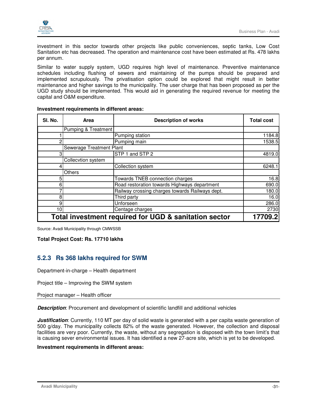

investment in this sector towards other projects like public conveniences, septic tanks, Low Cost Sanitation etc has decreased. The operation and maintenance cost have been estimated at Rs. 478 lakhs per annum.

Similar to water supply system, UGD requires high level of maintenance. Preventive maintenance schedules including flushing of sewers and maintaining of the pumps should be prepared and implemented scrupulously. The privatisation option could be explored that might result in better maintenance and higher savings to the municipality. The user charge that has been proposed as per the UGD study should be implemented. This would aid in generating the required revenue for meeting the capital and O&M expenditure.

| SI. No.                                               | Area                     | <b>Description of works</b>                     | <b>Total cost</b> |
|-------------------------------------------------------|--------------------------|-------------------------------------------------|-------------------|
|                                                       | Pumping & Treatment      |                                                 |                   |
|                                                       |                          | Pumping station                                 | 1184.8            |
|                                                       |                          | Pumping main                                    | 1538.5            |
|                                                       | Sewerage Treatment Plant |                                                 |                   |
| ິ                                                     |                          | STP 1 and STP 2                                 | 4819.0            |
|                                                       | Collecvtion system       |                                                 |                   |
|                                                       |                          | Collection system                               | 6248.1            |
|                                                       | <b>Others</b>            |                                                 |                   |
|                                                       |                          | Towards TNEB connection charges                 | 16.8              |
| 6                                                     |                          | Road restoration towards Highways department    | 690.0             |
|                                                       |                          | Railway crossing charges towards Railways dept. | 180.0             |
| 8                                                     |                          | Third party                                     | 16.0              |
| 9                                                     |                          | Unforseen                                       | 286.0             |
| 10 <sup>1</sup>                                       |                          | Centage charges                                 | 2730              |
| Total investment required for UGD & sanitation sector | 17709.2                  |                                                 |                   |

#### **Investment requirements in different areas:**

Source: Avadi Municipality through CMWSSB

**Total Project Cost: Rs. 17710 lakhs** 

### **5.2.3 Rs 368 lakhs required for SWM**

Department-in-charge – Health department

Project title – Improving the SWM system

Project manager – Health officer

**Description**: Procurement and development of scientific landfill and additional vehicles

**Justification**: Currently, 110 MT per day of solid waste is generated with a per capita waste generation of 500 g/day. The municipality collects 82% of the waste generated. However, the collection and disposal facilities are very poor. Currently, the waste, without any segregation is disposed with the town limit's that is causing sever environmental issues. It has identified a new 27-acre site, which is yet to be developed.

#### **Investment requirements in different areas:**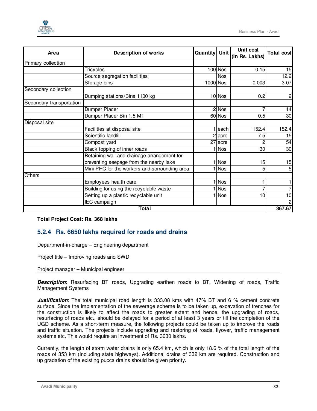

| Area                     | <b>Description of works</b>                   | Quantity   Unit |            | Unit cost<br>(In Rs. Lakhs) | <b>Total cost</b> |
|--------------------------|-----------------------------------------------|-----------------|------------|-----------------------------|-------------------|
| Primary collection       |                                               |                 |            |                             |                   |
|                          | <b>Tricycles</b>                              |                 | $100$ Nos  | 0.15                        | 15                |
|                          | Source segregation facilities                 |                 | <b>Nos</b> |                             | 12.2              |
|                          | Storage bins                                  | $1000$ Nos      |            | 0.003                       | 3.07              |
| Secondary collection     |                                               |                 |            |                             |                   |
|                          | Dumping stations/Bins 1100 kg                 |                 | $10$ Nos   | 0.2                         | 2 <sub>l</sub>    |
| Secondary transportation |                                               |                 |            |                             |                   |
|                          | Dumper Placer                                 |                 | $2$ Nos    |                             | 14                |
|                          | Dumper Placer Bin 1.5 MT                      |                 | 60 Nos     | 0.5                         | 30                |
| Disposal site            |                                               |                 |            |                             |                   |
|                          | Facilities at disposal site                   |                 | each       | 152.4                       | 152.4             |
|                          | Scientific landfill                           |                 | acre       | 7.5                         | 15                |
|                          | Compost yard                                  |                 | 27 acre    |                             | 54                |
|                          | Black topping of inner roads                  |                 | <b>Nos</b> | 30                          | 30                |
|                          | Retaining wall and drainage arrangement for   |                 |            |                             |                   |
|                          | preventing seepage from the nearby lake       |                 | <b>Nos</b> | 15                          | 15                |
|                          | Mini PHC for the workers and sorrounding area |                 | <b>Nos</b> | 5                           | 5 <sup>1</sup>    |
| Others                   |                                               |                 |            |                             |                   |
|                          | Employees health care                         |                 | <b>Nos</b> |                             |                   |
|                          | Building for using the recyclable waste       |                 | <b>Nos</b> | 7                           | 7                 |
|                          | Setting up a plastic recyclable unit          |                 | <b>Nos</b> | 10                          | 10                |
|                          | IEC campaign                                  |                 |            |                             | $\overline{c}$    |
|                          | <b>Total</b>                                  |                 |            |                             | 367.67            |

#### **Total Project Cost: Rs. 368 lakhs**

### **5.2.4 Rs. 6650 lakhs required for roads and drains**

Department-in-charge – Engineering department

Project title – Improving roads and SWD

Project manager – Municipal engineer

**Description**: Resurfacing BT roads, Upgrading earthen roads to BT, Widening of roads, Traffic Management Systems

**Justification**: The total municipal road length is 333.08 kms with 47% BT and 6 % cement concrete surface. Since the implementation of the sewerage scheme is to be taken up, excavation of trenches for the construction is likely to affect the roads to greater extent and hence, the upgrading of roads, resurfacing of roads etc., should be delayed for a period of at least 3 years or till the completion of the UGD scheme. As a short-term measure, the following projects could be taken up to improve the roads and traffic situation. The projects include upgrading and restoring of roads, flyover, traffic management systems etc. This would require an investment of Rs. 3630 lakhs.

Currently, the length of storm water drains is only 65.4 km, which is only 18.6 % of the total length of the roads of 353 km (Including state highways). Additional drains of 332 km are required. Construction and up gradation of the existing pucca drains should be given priority.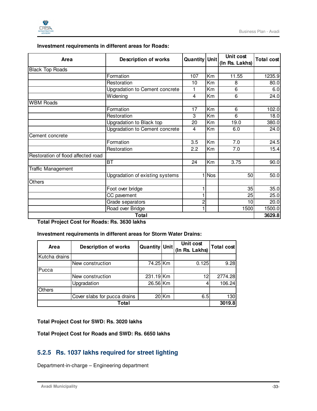

| Investment requirements in different areas for Roads: |  |
|-------------------------------------------------------|--|
|-------------------------------------------------------|--|

| Area                               | <b>Description of works</b>     | <b>Quantity Unit</b> |            | Unit cost<br>(In Rs. Lakhs) | <b>Total cost</b> |
|------------------------------------|---------------------------------|----------------------|------------|-----------------------------|-------------------|
| <b>Black Top Roads</b>             |                                 |                      |            |                             |                   |
|                                    | Formation                       | 107                  | Km         | 11.55                       | 1235.9            |
|                                    | Restoration                     | 10                   | Km         | 8                           | 80.0              |
|                                    | Upgradation to Cement concrete  | 1                    | Km         | 6                           | 6.0               |
|                                    | Widening                        | 4                    | Km         | 6                           | 24.0              |
| <b>WBM Roads</b>                   |                                 |                      |            |                             |                   |
|                                    | Formation                       | 17                   | Km         | 6                           | 102.0             |
|                                    | Restoration                     | 3                    | Km         | 6                           | 18.0              |
|                                    | Upgradation to Black top        | 20                   | Km         | 19.0                        | 380.0             |
|                                    | Upgradation to Cement concrete  | $\overline{4}$       | Кm         | 6.0                         | 24.0              |
| Cement concrete                    |                                 |                      |            |                             |                   |
|                                    | Formation                       | 3.5                  | Km         | 7.0                         | 24.5              |
|                                    | Restoration                     | 2.2                  | Km         | 7.0                         | 15.4              |
| Restoration of flood affected road |                                 |                      |            |                             |                   |
|                                    | BT                              | 24                   | Km         | 3.75                        | 90.0              |
| Traffic Management                 |                                 |                      |            |                             |                   |
|                                    | Upgradation of existing systems |                      | <b>Nos</b> | 50                          | 50.0              |
| Others                             |                                 |                      |            |                             |                   |
|                                    | Foot over bridge                |                      |            | 35                          | 35.0              |
|                                    | CC pavement                     |                      |            | 25                          | 25.0              |
|                                    | Grade separators                | 2                    |            | 10                          | 20.0              |
|                                    | Road over Bridge                |                      |            | 1500                        | 1500.0            |
|                                    | <b>Total</b>                    |                      |            |                             | 3629.8            |

**Total Project Cost for Roads: Rs. 3630 lakhs** 

### **Investment requirements in different areas for Storm Water Drains:**

| Area          | <b>Description of works</b>  | Quantity Unit |         | Unit cost<br>(In Rs. Lakhs) | Total cost |
|---------------|------------------------------|---------------|---------|-----------------------------|------------|
| Kutcha drains |                              |               |         |                             |            |
|               | New construction             | 74.25 Km      |         | 0.125                       | 9.28       |
| Pucca         |                              |               |         |                             |            |
|               | New construction             | 231.19Km      |         | 12                          | 2774.28    |
|               | Upgradation                  | 26.56 Km      |         |                             | 106.24     |
| <b>Others</b> |                              |               |         |                             |            |
|               | Cover slabs for pucca drains |               | $20$ Km | 6.5                         | 130        |
|               | Total                        |               |         |                             | 3019.8     |

**Total Project Cost for SWD: Rs. 3020 lakhs** 

**Total Project Cost for Roads and SWD: Rs. 6650 lakhs** 

## **5.2.5 Rs. 1037 lakhs required for street lighting**

Department-in-charge – Engineering department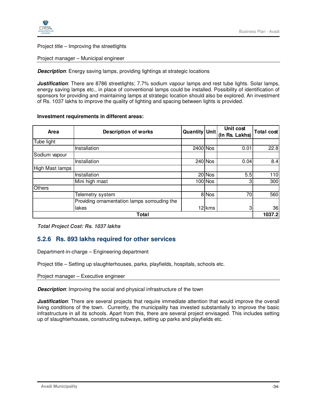Project title – Improving the streetlights

Project manager – Municipal engineer

**Description:** Energy saving lamps, providing lightings at strategic locations

**Justification**: There are 8786 streetlights; 7.7% sodium vapour lamps and rest tube lights. Solar lamps, energy saving lamps etc., in place of conventional lamps could be installed. Possibility of identification of sponsors for providing and maintaining lamps at strategic location should also be explored. An investment of Rs. 1037 lakhs to improve the quality of lighting and spacing between lights is provided.

#### **Investment requirements in different areas:**

| Area            | <b>Description of works</b>                  | Quantity   Unit |           | Unit cost<br>(In Rs. Lakhs) | <b>Total cost</b> |
|-----------------|----------------------------------------------|-----------------|-----------|-----------------------------|-------------------|
| Tube light      |                                              |                 |           |                             |                   |
|                 | Installation                                 | 2400 Nos        |           | 0.01                        | 22.8              |
| Sodium vapour   |                                              |                 |           |                             |                   |
|                 | Installation                                 |                 | $240$ Nos | 0.04                        | 8.4               |
| High Mast lamps |                                              |                 |           |                             |                   |
|                 | Installation                                 |                 | 20 Nos    | 5.5                         | 110               |
|                 | Mini high mast                               |                 | $100$ Nos | 3                           | 300               |
| Others          |                                              |                 |           |                             |                   |
|                 | Telemetry system                             |                 | 8 Nos     | 70                          | 560               |
|                 | Providing ornamentation lamps sorrouding the |                 |           |                             |                   |
|                 | lakes                                        |                 | 12 kms    | 3                           | 36                |
|                 | Total                                        |                 |           |                             | 1037.2            |

**Total Project Cost: Rs. 1037 lakhs** 

## **5.2.6 Rs. 893 lakhs required for other services**

Department-in-charge – Engineering department

Project title – Setting up slaughterhouses, parks, playfields, hospitals, schools etc.

Project manager – Executive engineer

**Description**: Improving the social and physical infrastructure of the town

*Justification*: There are several projects that require immediate attention that would improve the overall living conditions of the town. Currently, the municipality has invested substantially to improve the basic infrastructure in all its schools. Apart from this, there are several project envisaged. This includes setting up of slaughterhouses, constructing subways, setting up parks and playfields etc.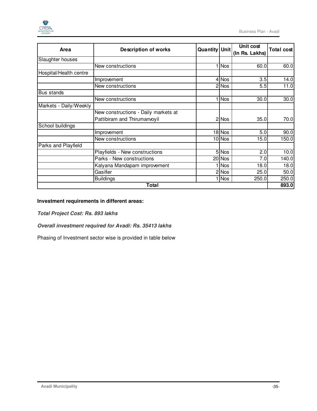

| Area                   | <b>Description of works</b>          | Quantity Unit |            | Unit cost<br>(In Rs. Lakhs) | <b>Total cost</b> |
|------------------------|--------------------------------------|---------------|------------|-----------------------------|-------------------|
| Slaughter houses       |                                      |               |            |                             |                   |
|                        | New constructions                    |               | <b>Nos</b> | 60.0                        | 60.0              |
| Hospital/Health centre |                                      |               |            |                             |                   |
|                        | Improvement                          |               | 4 Nos      | 3.5                         | 14.0              |
|                        | New constructions                    |               | 2 Nos      | 5.5                         | 11.0              |
| Bus stands             |                                      |               |            |                             |                   |
|                        | New constructions                    |               | <b>Nos</b> | 30.0                        | 30.0              |
| Markets - Daily/Weekly |                                      |               |            |                             |                   |
|                        | New constructions - Daily markets at |               |            |                             |                   |
|                        | Pattibiram and Thirumanvoyil         |               | 2 Nos      | 35.0                        | 70.0              |
| School buildings       |                                      |               |            |                             |                   |
|                        | Improvement                          |               | 18 Nos     | 5.0                         | 90.0              |
|                        | New constructions                    |               | 10 Nos     | 15.0                        | 150.0             |
| Parks and Playfield    |                                      |               |            |                             |                   |
|                        | Playfields - New constructions       |               | 5 Nos      | 2.0                         | 10.0              |
|                        | Parks - New constructions            |               | 20 Nos     | 7.0                         | 140.0             |
|                        | Kalyana Mandapam improvement         |               | <b>Nos</b> | 18.0                        | 18.0              |
|                        | Gasifier                             |               | 2 Nos      | 25.0                        | 50.0              |
|                        | <b>Buildings</b>                     |               | Nos        | 250.0                       | 250.0             |
|                        | <b>Total</b>                         |               |            |                             | 893.0             |

### **Investment requirements in different areas:**

**Total Project Cost: Rs. 893 lakhs** 

**Overall investment required for Avadi: Rs. 35413 lakhs** 

Phasing of Investment sector wise is provided in table below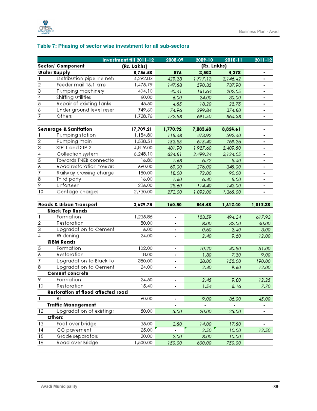

### **Table 7: Phasing of sector wise investment for all sub-sectors**

|                         |                                    | Investment till 2011-12 | 2008-09        | 2009-10     | 2010-11  | $2011 - 12$    |
|-------------------------|------------------------------------|-------------------------|----------------|-------------|----------|----------------|
|                         | Sector/ Component                  | (Rs. Lakhs)             |                | (Rs. Lakhs) |          |                |
|                         | Water Supply                       | 8,756.58                | 876            | 3,503       | 4,378    | ۰              |
| 1                       | Distribution pipeline netv         | 4,292.83                | 429.28         | 1,717.13    | 2,146.42 | ٠              |
| $\overline{2}$          | Feeder mail 16.1 kms               | 1,475.79                | 147.58         | 590.32      | 737.90   | $\blacksquare$ |
| $\overline{3}$          | Pumping machinery                  | 404.10                  | 40.41          | 161.64      | 202.05   |                |
| $\overline{4}$          | Shifting utilities                 | 60.00                   | 6.00           | 24.00       | 30.00    | ٠              |
| $\overline{5}$          | Repair of exixting tanks           | 45.50                   | 4.55           | 18.20       | 22.75    | $\blacksquare$ |
| 76                      | Under ground level reser           | 749.60                  | 74.96          | 299.84      | 374.80   | $\blacksquare$ |
| 7                       | Others                             | 1,728.76                | 172.88         | 691.50      | 864.38   | ٠              |
|                         |                                    |                         |                |             |          |                |
|                         | <b>Sewerage &amp; Sanitation</b>   | 17,709.21               | 1,770.92       | 7,083.68    | 8,854.61 | $\blacksquare$ |
|                         | Pumping station                    | 1,184.80                | 118.48         | 473.92      | 592.40   | $\blacksquare$ |
| $\frac{2}{3}$           | Pumping main                       | 1,538.51                | 153.85         | 615.40      | 769.26   | $\blacksquare$ |
|                         | STP 1 and STP 2                    | 4,819.00                | 481.90         | 1,927.60    | 2,409.50 | $\blacksquare$ |
| $\overline{4}$          | Collection system                  | 6,248.10                | 624.81         | 2,499.24    | 3,124.05 |                |
| $\overline{5}$          | Towards TNEB connectio             | 16.80                   | 1.68           | 6.72        | 8.40     | $\blacksquare$ |
| 3                       | Road restoration toward            | 690.00                  | 69.00          | 276.00      | 345.00   |                |
| 7                       | Railway crossing charge            | 180.00                  | 18.00          | 72.00       | 90.00    |                |
| $\overline{\mathbf{8}}$ | Third party                        | 16.00                   | 1.60           | 6.40        | 8.00     |                |
| ब्र                     | Unforseen                          | 286.00                  | 28.60          | 114.40      | 143.00   |                |
| $\overline{10}$         | Centage charges                    | 2,730.00                | 273.00         | 1,092.00    | 1,365.00 | $\blacksquare$ |
|                         |                                    |                         |                |             |          |                |
|                         | Roads & Urban Transport            | 3,629.75                | 160.50         | 844.48      | 1,612.40 | 1,012.38       |
|                         | <b>Black Top Roads</b>             |                         |                |             |          |                |
| $\mathbf{1}$            | Formation                          | 1,235.85                |                | 123.59      | 494.34   | 617.93         |
| $\overline{2}$          | Restoration                        | 80.00                   | $\blacksquare$ | 8.00        | 32.00    | 40.00          |
| $\overline{3}$          | Upgradation to Cement              | 6.00                    | $\blacksquare$ | 0.60        | 2.40     | 3.00           |
| 4                       | Widening                           | 24.00                   |                | 2.40        | 9.60     | 12.00          |
|                         | <b>WBM Roads</b>                   |                         |                |             |          |                |
| $\overline{5}$          | Formation                          | 102.00                  | $\blacksquare$ | 10.20       | 40.80    | 51.00          |
| 7                       | Restoration                        | 18.00                   | $\blacksquare$ | 1.80        | 7.20     | 9.00           |
| 7                       | Upgradation to Black to            | 380.00                  | ٠              | 38.00       | 152.00   | 190.00         |
| ਭ                       | Upgradation to Cement              | 24.00                   |                | 2.40        | 9.60     | 12.00          |
|                         | <b>Cement concrete</b>             |                         |                |             |          |                |
| ब्र                     | Formation                          | 24.50                   | $\blacksquare$ | 2.45        | 9.80     | 12.25          |
| $\overline{10}$         | Restoration                        | 15.40                   |                | 1.54        | 6.16     | 7.70           |
|                         | Restoration of flood affected road |                         |                |             |          |                |
| $\overline{11}$         | <b>BT</b>                          | 90.00                   | ٠              | 9.00        | 36.00    | 45.00          |
|                         | <b>Traffic Management</b>          |                         |                |             |          | ۰              |
| $12 \overline{ }$       | Upgradation of existing:           | 50.00                   | 5.00           | 20.00       | 25.00    |                |
|                         | Others                             |                         |                |             |          |                |
| 13                      | Foot over bridge                   | 35.00                   | 3.50           | 14.00       | 17.50    |                |
| $\overline{14}$         | CC pavement                        | 25.00                   |                | 2.50        | 10.00    | 12.50          |
| $\overline{15}$         | Grade separators                   | 20.00                   | 2.00           | 8.00        | 10.00    |                |
| 16                      | Road over Bridge                   | 1,500.00                | 150.00         | 600.00      | 750.00   |                |
|                         |                                    |                         |                |             |          |                |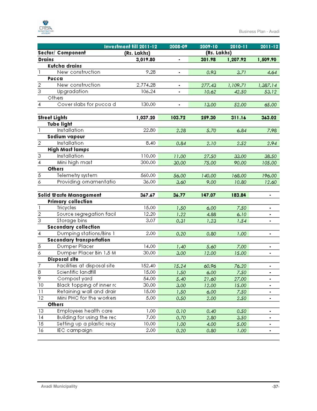

|                 |                                 | Investment till 2011-12 | 2008-09 | 2009-10     | 2010-11  | $2011 - 12$    |
|-----------------|---------------------------------|-------------------------|---------|-------------|----------|----------------|
|                 | Sector/ Component               | (Rs. Lakhs)             |         | (Rs. Lakhs) |          |                |
| <b>Drains</b>   |                                 | 3,019.80                |         | 301.98      | 1,207.92 | 1,509.90       |
|                 | Kutcha drains                   |                         |         |             |          |                |
| $\mathbf{1}$    | New construction                | 9.28                    |         | 0.93        | 3.71     | 4.64           |
|                 | Pucca                           |                         |         |             |          |                |
| $\overline{2}$  | New construction                | 2,774.28                | ٠       | 277.43      | 1,109.71 | 1,387.14       |
| $\overline{3}$  | Upgradation                     | 106.24                  |         | 10.62       | 42.50    | 53.12          |
|                 | Others                          |                         |         |             |          |                |
| 4               | Cover slabs for pucca d         | 130.00                  |         | 13.00       | 52.00    | 65.00          |
|                 |                                 |                         |         |             |          |                |
|                 | <b>Street Lights</b>            | 1,037.20                | 103.72  | 259.30      | 311.16   | 363.02         |
|                 | <b>Tube light</b>               |                         |         |             |          |                |
| $\mathbf{1}$    | Installation                    | 22.80                   | 2.28    | 5.70        | 6.84     | 7.98           |
|                 | Sodium vapour                   |                         |         |             |          |                |
| $\overline{2}$  | Installation                    | 8.40                    | 0.84    | 2.10        | 2.52     | 2.94           |
|                 | <b>High Mast lamps</b>          |                         |         |             |          |                |
| $\overline{3}$  | <b>Installation</b>             | 110.00                  | 11.00   | 27.50       | 33.00    | 38.50          |
| $\overline{4}$  | Mini high mast                  | 300.00                  | 30.00   | 75.00       | 90.00    | 105.00         |
|                 | <b>Others</b>                   |                         |         |             |          |                |
| $\overline{5}$  | Telemetry system                | 560.00                  | 56.00   | 140.00      | 168.00   | 196.00         |
| 76              | Providing ornamentatio          | 36.00                   | 3.60    | 9.00        | 10.80    | 12.60          |
|                 |                                 |                         |         |             |          |                |
|                 | Solid Waste Management          | 367.67                  | 36.77   | 147.07      | 183.84   |                |
|                 | <b>Primary collection</b>       |                         |         |             |          |                |
| $\mathbf{I}$    | Tricycles                       | 15.00                   | 1.50    | 6.00        | 7.50     | $\blacksquare$ |
| $\frac{2}{3}$   | Source segregation facil        | 12.20                   | 1.22    | 4.88        | 6.10     | ۰              |
|                 | Storage bins                    | 3.07                    | 0.31    | 1.23        | 1.54     |                |
|                 | <b>Secondary collection</b>     |                         |         |             |          |                |
| $\overline{4}$  | Dumping stations/Bins 1         | 2.00                    | 0.20    | 0.80        | 1.00     | ٠              |
|                 | <b>Secondary transportation</b> |                         |         |             |          |                |
| $\overline{5}$  | Dumper Placer                   | 14.00                   | 1.40    | 5.60        | 7.00     |                |
| 76              | Dumper Placer Bin 1.5 M         | 30.00                   | 3.00    | 12.00       | 15.00    |                |
|                 | <b>Disposal site</b>            |                         |         |             |          |                |
| 7<br>ਨ          | Facilities at disposal site     | 152.40                  | 15.24   | 60.96       | 76.20    |                |
|                 | Scientific landfill             | 15.00                   | 1.50    | 6.00        | 7.50     |                |
| ब्र             | Compost yard                    | 54.00                   | 5.40    | 21.60       | 27.00    | ٠              |
| $\overline{10}$ | Black topping of inner rc       | 30.00                   | 3.00    | 12.00       | 15.00    |                |
| $\overline{11}$ | Retaining wall and drair        | 15.00                   | 1.50    | 6.00        | 7.50     | ٠              |
| $\overline{12}$ | Mini PHC for the workers.       | 5.00                    | 0.50    | 2.00        | 2.50     | $\blacksquare$ |
|                 | Others                          |                         |         |             |          |                |
| 13              | Employees health care           | 1.00                    | 0.10    | 0.40        | 0.50     | ٠              |
| 14              | Building for using the rec-     | 7.00                    | 0.70    | 2.80        | 3.50     | ٠              |
| 15              | Setting up a plastic recy       | 10.00                   | 1.00    | 4.00        | 5.00     |                |
| 16              | <b>IEC</b> campaign             | 2.00                    | 0.20    | 0.80        | 1.00     | ۰              |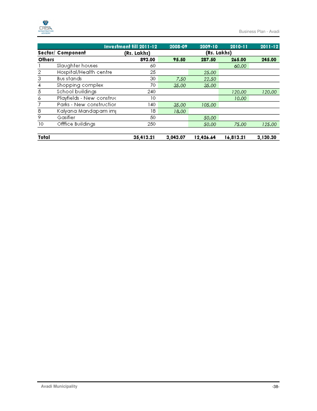

|               |                                  | Investment till 2011-12 | 2008-09  | 2009-10     | 2010-11   | $2011 - 12$ |
|---------------|----------------------------------|-------------------------|----------|-------------|-----------|-------------|
|               | Sector/ Component                | (Rs. Lakhs)             |          | (Rs. Lakhs) |           |             |
| <b>Others</b> |                                  | 893.00                  | 95.50    | 287.50      | 265.00    | 245.00      |
|               | Slaughter houses                 | 60                      |          |             | 60.00     |             |
| 2             | Hospital/Health centre           | 25                      |          | 25.00       |           |             |
| 3             | Bus stands                       | 30                      | 7.50     | 22.50       |           |             |
| 4             | Shopping complex                 | 70.                     | 35.00    | 35.00       |           |             |
| 5             | School buildings                 | 240                     |          |             | 120.00    | 120.00      |
| 6             | Playfields - New construc        | 10                      |          |             | 10.00     |             |
| 7             | Parks - New constructior         | 140                     | 35.00    | 105.00      |           |             |
| 8             | Kalyana Mandapam im <sub>l</sub> | 18                      | 18.00    |             |           |             |
| 9.            | Gasifier                         | 50                      |          | 50.00       |           |             |
| 10            | Offfice Buildings                | 250                     |          | 50.00       | 75.00     | 125.00      |
| Total         |                                  | 35,413.21               | 3.043.07 | 12,426.64   | 16,813.21 | 3,130.30    |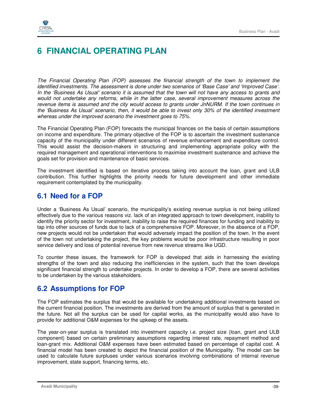# **6 FINANCIAL OPERATING PLAN**

The Financial Operating Plan (FOP) assesses the financial strength of the town to implement the identified investments. The assessment is done under two scenarios of 'Base Case' and 'Improved Case'. In the 'Business As Usual' scenario it is assumed that the town will not have any access to grants and would not undertake any reforms, while in the latter case, several improvement measures across the revenue items is assumed and the city would access to grants under JnNURM. If the town continues in the 'Business As Usual' scenario, then, it would be able to invest only 30% of the identified investment whereas under the improved scenario the investment goes to 75%.

The Financial Operating Plan (FOP) forecasts the municipal finances on the basis of certain assumptions on income and expenditure. The primary objective of the FOP is to ascertain the investment sustenance capacity of the municipality under different scenarios of revenue enhancement and expenditure control. This would assist the decision-makers in structuring and implementing appropriate policy with the required management and operational interventions to maximise investment sustenance and achieve the goals set for provision and maintenance of basic services.

The investment identified is based on iterative process taking into account the loan, grant and ULB contribution. This further highlights the priority needs for future development and other immediate requirement contemplated by the municipality.

## **6.1 Need for a FOP**

Under a 'Business As Usual' scenario, the municipality's existing revenue surplus is not being utilized effectively due to the various reasons viz. lack of an integrated approach to town development, inability to identify the priority sector for investment, inability to raise the required finances for funding and inability to tap into other sources of funds due to lack of a comprehensive FOP. Moreover, in the absence of a FOP, new projects would not be undertaken that would adversely impact the position of the town. In the event of the town not undertaking the project, the key problems would be poor infrastructure resulting in poor service delivery and loss of potential revenue from new revenue streams like UGD.

To counter these issues, the framework for FOP is developed that aids in harnessing the existing strengths of the town and also reducing the inefficiencies in the system, such that the town develops significant financial strength to undertake projects. In order to develop a FOP, there are several activities to be undertaken by the various stakeholders.

## **6.2 Assumptions for FOP**

The FOP estimates the surplus that would be available for undertaking additional investments based on the current financial position. The investments are derived from the amount of surplus that is generated in the future. Not all the surplus can be used for capital works, as the municipality would also have to provide for additional O&M expenses for the upkeep of the assets.

The year-on-year surplus is translated into investment capacity i.e. project size (loan, grant and ULB component) based on certain preliminary assumptions regarding interest rate, repayment method and loan-grant mix. Additional O&M expenses have been estimated based on percentage of capital cost. A financial model has been created to depict the financial position of the Municipality. The model can be used to calculate future surpluses under various scenarios involving combinations of internal revenue improvement, state support, financing terms, etc.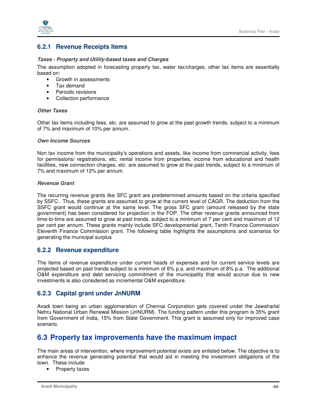

### **6.2.1 Revenue Receipts Items**

#### **Taxes - Property and Utility-based taxes and Charges**

The assumption adopted in forecasting property tax, water tax/charges, other tax items are essentially based on:

- Growth in assessments
- Tax demand
- Periodic revisions
- Collection performance

#### **Other Taxes**

Other tax items including fees, etc. are assumed to grow at the past growth trends, subject to a minimum of 7% and maximum of 10% per annum.

#### **Own Income Sources**

Non tax income from the municipality's operations and assets, like income from commercial activity, fees for permissions/ registrations, etc, rental income from properties, income from educational and health facilities, new connection charges, etc. are assumed to grow at the past trends, subject to a minimum of 7% and maximum of 12% per annum.

#### **Revenue Grant**

The recurring revenue grants like SFC grant are predetermined amounts based on the criteria specified by SSFC. Thus, these grants are assumed to grow at the current level of CAGR. The deduction from the SSFC grant would continue at the same level. The gross SFC grant (amount released by the state government) has been considered for projection in the FOP. The other revenue grants announced from time-to-time are assumed to grow at past trends, subject to a minimum of 7 per cent and maximum of 12 per cent per annum. These grants mainly include SFC developmental grant, Tenth Finance Commission/ Eleventh Finance Commission grant. The following table highlights the assumptions and scenarios for generating the municipal surplus

### **6.2.2 Revenue expenditure**

The items of revenue expenditure under current heads of expenses and for current service levels are projected based on past trends subject to a minimum of 6% p.a. and maximum of 8% p.a. The additional O&M expenditure and debt servicing commitment of the municipality that would accrue due to new investments is also considered as incremental O&M expenditure.

## **6.2.3 Capital grant under JnNURM**

Avadi town being an urban agglomeration of Chennai Corporation gets covered under the Jawaharlal Nehru National Urban Renewal Mission (JnNURM). The funding pattern under this program is 35% grant from Government of India, 15% from State Government. This grant is assumed only for improved case scenario.

## **6.3 Property tax improvements have the maximum impact**

The main areas of intervention, where improvement potential exists are enlisted below. The objective is to enhance the revenue generating potential that would aid in meeting the investment obligations of the town. These include

• Property taxes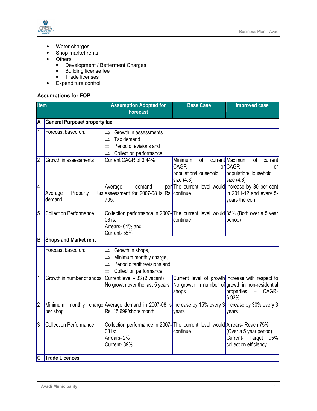

- Water charges
- Shop market rents
- Others
	- **-** Development / Betterment Charges
	- Building license fee
	- Trade licenses
- Expenditure control

## **Assumptions for FOP**

| <b>Item</b>             |                                      | <b>Assumption Adopted for</b>                                                                                                                               | <b>Base Case</b>                                              | <b>Improved case</b>                                                                                                                             |
|-------------------------|--------------------------------------|-------------------------------------------------------------------------------------------------------------------------------------------------------------|---------------------------------------------------------------|--------------------------------------------------------------------------------------------------------------------------------------------------|
|                         |                                      | <b>Forecast</b>                                                                                                                                             |                                                               |                                                                                                                                                  |
| A                       | <b>General Purpose/ property tax</b> |                                                                                                                                                             |                                                               |                                                                                                                                                  |
| $\mathbf 1$             | Forecast based on.                   | $\Rightarrow$ Growth in assessments<br>Tax demand<br>$\Rightarrow$ Periodic revisions and<br>$\Rightarrow$ Collection performance                           |                                                               |                                                                                                                                                  |
| $\overline{2}$          | Growth in assessments                | Current CAGR of 3.44%                                                                                                                                       | Minimum<br>of<br>CAGR<br>population/Household<br>size $(4.8)$ | current Maximum<br>of<br>current<br>orCAGR<br><b>or</b><br>population/Household<br>size $(4.8)$                                                  |
| $\overline{4}$          | Property<br>Average<br>demand        | demand<br>Average<br>$tax assessment$ for 2007-08 is Rs. continue<br>705.                                                                                   | per The current level would Increase by 30 per cent           | in 2011-12 and every 5-<br>years thereon                                                                                                         |
| 5                       | <b>Collection Performance</b>        | Collection performance in 2007-The current level would 85% (Both over a 5 year<br>08 is:<br>Arrears- 61% and<br>Current-55%                                 | continue                                                      | period)                                                                                                                                          |
| B                       | <b>Shops and Market rent</b>         |                                                                                                                                                             |                                                               |                                                                                                                                                  |
|                         | Forecast based on:                   | $\Rightarrow$ Growth in shops,<br>$\implies$ Minimum monthly charge,<br>$\Rightarrow$ Periodic tariff revisions and<br>$\Rightarrow$ Collection performance |                                                               |                                                                                                                                                  |
| 1                       | Growth in number of shops            | Current level - 33 (2 vacant)<br>No growth over the last 5 years                                                                                            | shops                                                         | Current level of growth Increase with respect to<br>No growth in number of growth in non-residential<br>CAGR-<br>properties<br>$\equiv$<br>6.93% |
| $\overline{2}$          | per shop                             | Minimum monthly charge Average demand in 2007-08 is Increase by 15% every 3 Increase by 30% every 3<br>Rs. 15,699/shop/ month.                              | years                                                         | years                                                                                                                                            |
| 3                       | <b>Collection Performance</b>        | Collection performance in 2007-The current level would Arrears-Reach 75%<br>08 is:<br>Arrears-2%<br>Current-89%                                             | continue                                                      | (Over a 5 year period)<br>Current- Target 95%<br>collection efficiency                                                                           |
| $\overline{\mathsf{c}}$ | <b>Trade Licences</b>                |                                                                                                                                                             |                                                               |                                                                                                                                                  |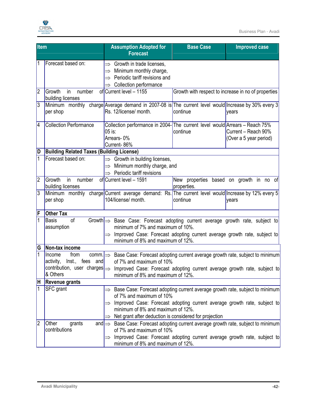

| <b>Item</b>             |                                                                                   | <b>Assumption Adopted for</b><br><b>Forecast</b>                                                                                                                                                                                                                 | <b>Base Case</b> | <b>Improved case</b>                                |
|-------------------------|-----------------------------------------------------------------------------------|------------------------------------------------------------------------------------------------------------------------------------------------------------------------------------------------------------------------------------------------------------------|------------------|-----------------------------------------------------|
|                         | Forecast based on:                                                                | $\Rightarrow$ Growth in trade licenses,<br>Minimum monthly charge,<br>$\Rightarrow$<br>Periodic tariff revisions and<br>$\Rightarrow$<br>Collection performance                                                                                                  |                  |                                                     |
| 2                       | Growth<br>number<br>in<br>building licenses                                       | of Current level - 1155                                                                                                                                                                                                                                          |                  | Growth with respect to increase in no of properties |
| $\overline{3}$          | per shop                                                                          | Minimum monthly charge Average demand in 2007-08 is The current level would Increase by 30% every 3<br>Rs. 12/license/ month.                                                                                                                                    | continue         | years                                               |
| $\overline{\mathsf{4}}$ | <b>Collection Performance</b>                                                     | Collection performance in 2004- The current level would Arrears - Reach 75%<br>05 is:<br>Arrears-0%<br>Current-86%                                                                                                                                               | continue         | Current - Reach 90%<br>(Over a 5 year period)       |
| D                       | <b>Building Related Taxes (Building License)</b>                                  |                                                                                                                                                                                                                                                                  |                  |                                                     |
| 1                       | Forecast based on:                                                                | $\Rightarrow$ Growth in building licenses,<br>Minimum monthly charge, and<br>$\Rightarrow$<br>Periodic tariff revisions<br>$\Rightarrow$                                                                                                                         |                  |                                                     |
| $\overline{2}$          | Growth<br>in<br>number<br>building licenses                                       | of Current level - 1591                                                                                                                                                                                                                                          | properties.      | New properties based on growth in no of             |
| $\overline{3}$          | per shop                                                                          | Minimum monthly charge Current average demand: Rs. The current level would Increase by 12% every 5<br>104/license/ month.                                                                                                                                        | continue         | years                                               |
| ΙF                      | <b>Other Tax</b>                                                                  |                                                                                                                                                                                                                                                                  |                  |                                                     |
| $\mathbf{1}$            | of<br><b>Basis</b><br>assumption                                                  | Growth $\Rightarrow$ Base Case: Forecast adopting current average growth rate, subject to<br>minimum of 7% and maximum of 10%.<br>Improved Case: Forecast adopting current average growth rate, subject to<br>$\Rightarrow$<br>minimum of 8% and maximum of 12%. |                  |                                                     |
| G                       | Non-tax income                                                                    |                                                                                                                                                                                                                                                                  |                  |                                                     |
| 1                       | Income<br>from<br>comm. $\Rightarrow$<br>activity,<br>lnst., fees and<br>& Others | Base Case: Forecast adopting current average growth rate, subject to minimum<br>of 7% and maximum of 10%<br>contribution, user charges   > Improved Case: Forecast adopting current average growth rate, subject to                                              |                  |                                                     |
| ΙH                      | <b>Revenue grants</b>                                                             | minimum of 8% and maximum of 12%.                                                                                                                                                                                                                                |                  |                                                     |
|                         | <b>SFC</b> grant                                                                  | Base Case: Forecast adopting current average growth rate, subject to minimum                                                                                                                                                                                     |                  |                                                     |
|                         |                                                                                   | of 7% and maximum of 10%                                                                                                                                                                                                                                         |                  |                                                     |
|                         |                                                                                   | Improved Case: Forecast adopting current average growth rate, subject to<br>$\Rightarrow$<br>minimum of 8% and maximum of 12%.                                                                                                                                   |                  |                                                     |
|                         |                                                                                   | Net grant after deduction is considered for projection<br>$\Rightarrow$                                                                                                                                                                                          |                  |                                                     |
| 2                       | Other<br>grants<br>and $\Rightarrow$<br>contributions                             | Base Case: Forecast adopting current average growth rate, subject to minimum<br>of 7% and maximum of 10%                                                                                                                                                         |                  |                                                     |
|                         |                                                                                   | Improved Case: Forecast adopting current average growth rate, subject to<br>$\Rightarrow$<br>minimum of 8% and maximum of 12%.                                                                                                                                   |                  |                                                     |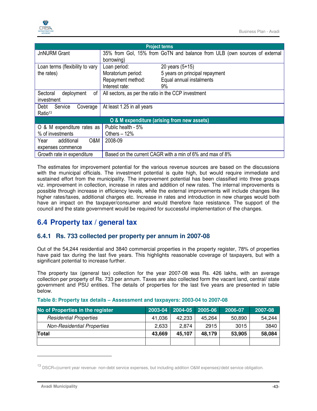

|                                            |                                                          | <b>Project terms</b>                                                      |  |
|--------------------------------------------|----------------------------------------------------------|---------------------------------------------------------------------------|--|
| <b>JnNURM Grant</b>                        | borrowing)                                               | 35% from Gol, 15% from GoTN and balance from ULB (own sources of external |  |
| Loan terms (flexibility to vary            | Loan period:                                             | 20 years $(5+15)$                                                         |  |
| the rates)                                 | Moratorium period:                                       | 5 years on principal repayment                                            |  |
|                                            | Repayment method:                                        | Equal annual instalments                                                  |  |
|                                            | Interest rate:                                           | 9%                                                                        |  |
| οf<br>Sectoral<br>deployment<br>investment | All sectors, as per the ratio in the CCP investment      |                                                                           |  |
| Debt<br>Service<br>Coverage                | At least 1.25 in all years                               |                                                                           |  |
| Ratio <sup>13</sup>                        |                                                          |                                                                           |  |
|                                            |                                                          | O & M expenditure (arising from new assets)                               |  |
| O & M expenditure rates as                 | Public health - 5%                                       |                                                                           |  |
| % of investments                           | Others $-12%$                                            |                                                                           |  |
| O&M<br>additional<br>Year                  | 2008-09                                                  |                                                                           |  |
| expenses commence                          |                                                          |                                                                           |  |
| Growth rate in expenditure                 | Based on the current CAGR with a min of 6% and max of 8% |                                                                           |  |

The estimates for improvement potential for the various revenue sources are based on the discussions with the municipal officials. The investment potential is quite high, but would require immediate and sustained effort from the municipality. The improvement potential has been classified into three groups viz. improvement in collection, increase in rates and addition of new rates. The internal improvements is possible through increase in efficiency levels, while the external improvements will include changes like higher rates/taxes, additional charges etc. Increase in rates and introduction in new charges would both have an impact on the taxpayer/consumer and would therefore face resistance. The support of the council and the state government would be required for successful implementation of the changes.

## **6.4 Property tax / general tax**

## **6.4.1 Rs. 733 collected per property per annum in 2007-08**

Out of the 54,244 residential and 3840 commercial properties in the property register, 78% of properties have paid tax during the last five years. This highlights reasonable coverage of taxpayers, but with a significant potential to increase further.

The property tax (general tax) collection for the year 2007-08 was Rs. 426 lakhs, with an average collection per property of Rs. 733 per annum. Taxes are also collected form the vacant land, central/ state government and PSU entities. The details of properties for the last five years are presented in table below.

| No of Properties in the register  |        | 2003-04 2004-05 2005-06 |        | 2006-07 | 2007-08 |
|-----------------------------------|--------|-------------------------|--------|---------|---------|
| <b>Residential Properties</b>     | 41.036 | 42.233                  | 45.264 | 50.890  | 54,244  |
| <b>Non-Residential Properties</b> | 2.633  | 2.874                   | 2915   | 3015    | 3840    |
| <b>Total</b>                      | 43,669 | 45,107                  | 48,179 | 53,905  | 58,084  |
|                                   |        |                         |        |         |         |

#### **Table 8: Property tax details – Assessment and taxpayers: 2003-04 to 2007-08**

-

<sup>13</sup> DSCR=(current year revenue- non-debt service expenses, but including addition O&M expenses)/debt service obligation.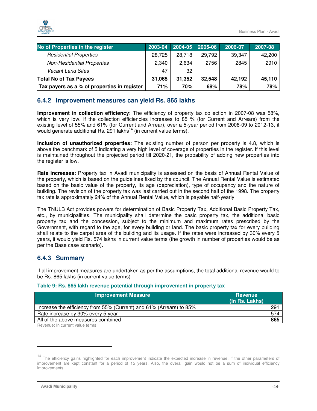

| No of Properties in the register            | $ 2003 - 04 $ | 2004-05 | 2005-06 | 2006-07 | 2007-08 |
|---------------------------------------------|---------------|---------|---------|---------|---------|
| <b>Residential Properties</b>               | 28.725        | 28,718  | 29,792  | 39,347  | 42,200  |
| <b>Non-Residential Properties</b>           | 2.340         | 2.634   | 2756    | 2845    | 2910    |
| <b>Vacant Land Sites</b>                    | 47            | 32      |         |         |         |
| <b>Total No of Tax Payees</b>               | 31,065        | 31,352  | 32,548  | 42,192  | 45,110  |
| Tax payers as a % of properties in register | 71%           | 70%     | 68%     | 78%     | 78%     |

## **6.4.2 Improvement measures can yield Rs. 865 lakhs**

**Improvement in collection efficiency:** The efficiency of property tax collection in 2007-08 was 58%, which is very low. If the collection efficiencies increases to 85 % (for Current and Arrears) from the existing level of 55% and 61% (for Current and Arrear), over a 5-year period from 2008-09 to 2012-13, it would generate additional Rs. 291 lakhs<sup>14</sup> (in current value terms).

**Inclusion of unauthorized properties:** The existing number of person per property is 4.8, which is above the benchmark of 5 indicating a very high level of coverage of properties in the register. If this level is maintained throughout the projected period till 2020-21, the probability of adding new properties into the register is low.

**Rate increases:** Property tax in Avadi municipality is assessed on the basis of Annual Rental Value of the property, which is based on the guidelines fixed by the council. The Annual Rental Value is estimated based on the basic value of the property, its age (depreciation), type of occupancy and the nature of building. The revision of the property tax was last carried out in the second half of the 1998. The property tax rate is approximately 24% of the Annual Rental Value, which is payable half-yearly

The TNULB Act provides powers for determination of Basic Property Tax, Additional Basic Property Tax, etc., by municipalities. The municipality shall determine the basic property tax, the additional basic property tax and the concession, subject to the minimum and maximum rates prescribed by the Government, with regard to the age, for every building or land. The basic property tax for every building shall relate to the carpet area of the building and its usage. If the rates were increased by 30% every 5 years, it would yield Rs. 574 lakhs in current value terms (the growth in number of properties would be as per the Base case scenario).

## **6.4.3 Summary**

If all improvement measures are undertaken as per the assumptions, the total additional revenue would to be Rs. 865 lakhs (in current value terms)

| Table 9: Rs. 865 lakh revenue potential through improvement in property tax |  |  |  |  |  |
|-----------------------------------------------------------------------------|--|--|--|--|--|
|-----------------------------------------------------------------------------|--|--|--|--|--|

| <b>Improvement Measure</b>                                          | Revenue<br>(In Rs. Lakhs) |
|---------------------------------------------------------------------|---------------------------|
| Increase the efficiency from 55% (Current) and 61% (Arrears) to 85% | 291                       |
| Rate increase by 30% every 5 year                                   | 574                       |
| All of the above measures combined                                  | 865                       |

Revenue: In current value terms

-

<sup>&</sup>lt;sup>14</sup> The efficiency gains highlighted for each improvement indicate the expected increase in revenue, if the other parameters of improvement are kept constant for a period of 15 years. Also, the overall gain would not be a sum of individual efficiency improvements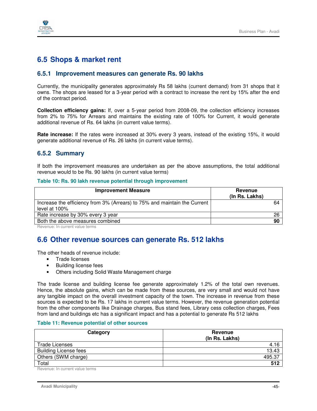

## **6.5 Shops & market rent**

### **6.5.1 Improvement measures can generate Rs. 90 lakhs**

Currently, the municipality generates approximately Rs 58 lakhs (current demand) from 31 shops that it owns. The shops are leased for a 3-year period with a contract to increase the rent by 15% after the end of the contract period.

**Collection efficiency gains:** If, over a 5-year period from 2008-09, the collection efficiency increases from 2% to 75% for Arrears and maintains the existing rate of 100% for Current, it would generate additional revenue of Rs. 64 lakhs (in current value terms).

**Rate increase:** If the rates were increased at 30% every 3 years, instead of the existing 15%, it would generate additional revenue of Rs. 26 lakhs (in current value terms).

### **6.5.2 Summary**

If both the improvement measures are undertaken as per the above assumptions, the total additional revenue would to be Rs. 90 lakhs (in current value terms)

#### **Table 10: Rs. 90 lakh revenue potential through improvement**

| <b>Improvement Measure</b>                                                                    | Revenue<br>(In Rs. Lakhs) |
|-----------------------------------------------------------------------------------------------|---------------------------|
| Increase the efficiency from 3% (Arrears) to 75% and maintain the Current<br>level at $100\%$ | 64                        |
| Rate increase by 30% every 3 year                                                             | 26                        |
| Both the above measures combined                                                              | 90                        |

Revenue: In current value terms

## **6.6 Other revenue sources can generate Rs. 512 lakhs**

The other heads of revenue include:

- Trade licenses
- Building license fees
- Others including Solid Waste Management charge

The trade license and building license fee generate approximately 1.2% of the total own revenues. Hence, the absolute gains, which can be made from these sources, are very small and would not have any tangible impact on the overall investment capacity of the town. The increase in revenue from these sources is expected to be Rs. 17 lakhs in current value terms. However, the revenue generation potential from the other components like Drainage charges, Bus stand fees, Library cess collection charges, Fees from land and buildings etc has a significant impact and has a potential to generate Rs 512 lakhs

#### **Table 11: Revenue potential of other sources**

| Category                     | Revenue<br>(In Rs. Lakhs) |
|------------------------------|---------------------------|
| <b>Trade Licenses</b>        | 4.16                      |
| <b>Building License fees</b> | 13.43                     |
| Others (SWM charge)          | 495.37                    |
| Total                        | 512                       |

Revenue: In current value terms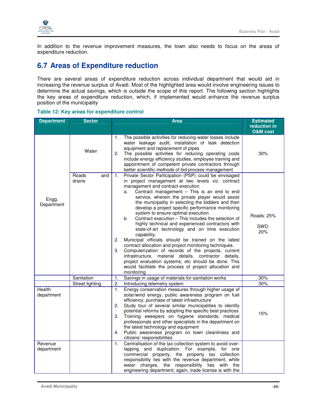

In addition to the revenue improvement measures, the town also needs to focus on the areas of expenditure reduction.

## **6.7 Areas of Expenditure reduction**

There are several areas of expenditure reduction across individual department that would aid in increasing the revenue surplus of Avadi. Most of the highlighted area would involve engineering issues to determine the actual savings, which is outside the scope of this report. The following section highlights the key areas of expenditure reduction, which, if implemented would enhance the revenue surplus position of the municipality

|  |  | Table 12: Key areas for expenditure control |
|--|--|---------------------------------------------|
|--|--|---------------------------------------------|

| <b>Department</b>           | <b>Sector</b>          | <b>Area</b>                                                                                                                                                                                                                                                                                                                                                                                                                                                                                                                                                                                                                                                                                                                                                                                                                                                                                                                                                                     |                           |
|-----------------------------|------------------------|---------------------------------------------------------------------------------------------------------------------------------------------------------------------------------------------------------------------------------------------------------------------------------------------------------------------------------------------------------------------------------------------------------------------------------------------------------------------------------------------------------------------------------------------------------------------------------------------------------------------------------------------------------------------------------------------------------------------------------------------------------------------------------------------------------------------------------------------------------------------------------------------------------------------------------------------------------------------------------|---------------------------|
|                             |                        |                                                                                                                                                                                                                                                                                                                                                                                                                                                                                                                                                                                                                                                                                                                                                                                                                                                                                                                                                                                 | reduction in              |
|                             |                        |                                                                                                                                                                                                                                                                                                                                                                                                                                                                                                                                                                                                                                                                                                                                                                                                                                                                                                                                                                                 | <b>O&amp;M</b> cost       |
|                             | Water                  | The possible activities for reducing water losses include<br>1.<br>water leakage audit, installation of leak detection<br>equipment and replacement of pipes<br>The possible activities for reducing operating costs<br>2.<br>include energy efficiency studies, employee training and<br>appointment of competent private contractors through<br>better scientific methods of bid process management                                                                                                                                                                                                                                                                                                                                                                                                                                                                                                                                                                           | 30%                       |
| Engg.<br>Department         | Roads<br>and<br>drains | Private Sector Participation (PSP) could be envisaged<br>1.<br>in project management at two levels viz. contract<br>management and contract execution<br>Contract management - This is an end to end<br>a.<br>service, wherein the private player would assist<br>the municipality in selecting the bidders and then<br>develop a project specific performance monitoring<br>system to ensure optimal execution.<br>Contract execution - This includes the selection of<br>b.<br>highly technical and experienced contractors with<br>state-of-art technology and on time execution<br>capability.<br>Municipal officials should be trained on the latest<br>2.<br>contract allocation and project monitoring techniques.<br>Computerization of records of the projects, current<br>3.<br>infrastructure, material details, contractor details,<br>project evaluation systems, etc should be done. This<br>would facilitate the process of project allocation and<br>monitoring | Roads: 25%<br>SWD:<br>20% |
|                             | Sanitation             | Savings in usage of materials for sanitation works<br>1.                                                                                                                                                                                                                                                                                                                                                                                                                                                                                                                                                                                                                                                                                                                                                                                                                                                                                                                        | 30%                       |
|                             | Street lighting        | $\overline{2}$ .<br>Introducing telemetry system                                                                                                                                                                                                                                                                                                                                                                                                                                                                                                                                                                                                                                                                                                                                                                                                                                                                                                                                | 30%                       |
| <b>Health</b><br>department |                        | Energy conservation measures through higher usage of<br>1.<br>solar/wind energy, public awareness program on fuel<br>efficiency, purchase of latest infrastructure<br>Study tour of several similar municipalities to identify<br>2.<br>potential reforms by adopting the specific best practices<br>Training sweepers on hygiene standards; medical<br>3.<br>professionals and other specialists in the department on<br>the latest technology and equipment<br>Public awareness program on town cleanliness and<br>4.<br>citizens' responsibilities                                                                                                                                                                                                                                                                                                                                                                                                                           | 15%                       |
| Revenue<br>department       |                        | Centralisation of the tax collection system to avoid over-<br>1.<br>lapping and duplication. For example, for one<br>commercial property, the property tax collection<br>responsibility lies with the revenue department, while<br>water charges, the responsibility lies with the<br>engineering department; again, trade license is with the                                                                                                                                                                                                                                                                                                                                                                                                                                                                                                                                                                                                                                  |                           |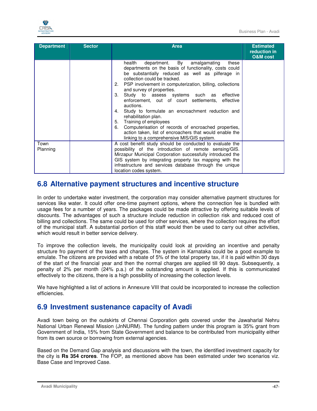

| <b>Department</b> | <b>Sector</b> | <b>Area</b>                                                                                                                                                                                                                                                                                                                                                                                                                                                                                                                                                                                                                                                                                          | <b>Estimated</b><br>reduction in<br><b>O&amp;M</b> cost |
|-------------------|---------------|------------------------------------------------------------------------------------------------------------------------------------------------------------------------------------------------------------------------------------------------------------------------------------------------------------------------------------------------------------------------------------------------------------------------------------------------------------------------------------------------------------------------------------------------------------------------------------------------------------------------------------------------------------------------------------------------------|---------------------------------------------------------|
|                   |               | department. By amalgamating<br>health<br>these<br>departments on the basis of functionality, costs could<br>be substantially reduced as well as pilferage in<br>collection could be tracked.<br>2. PSP involvement in computerization, billing, collections<br>and survey of properties.<br>3.<br>Study to assess systems such as effective<br>enforcement, out of court settlements, effective<br>auctions.<br>Study to formulate an encroachment reduction and<br>4.<br>rehabilitation plan.<br>Training of employees<br>5.<br>6.<br>Computerisation of records of encroached properties,<br>action taken, list of encroachers that would enable the<br>linking to a comprehensive MIS/GIS system. |                                                         |
| Town<br>Planning  |               | A cost benefit study should be conducted to evaluate the<br>possibility of the introduction of remote sensing/GIS.<br>Mirzapur Municipal Corporation successfully introduced the<br>GIS system by integrating property tax mapping with the<br>infrastructure and services database through the unique<br>location codes system.                                                                                                                                                                                                                                                                                                                                                                     |                                                         |

## **6.8 Alternative payment structures and incentive structure**

In order to undertake water investment, the corporation may consider alternative payment structures for services like water. It could offer one-time payment options, where the connection fee is bundled with usage fees for a number of years. The packages could be made attractive by offering suitable levels of discounts. The advantages of such a structure include reduction in collection risk and reduced cost of billing and collections. The same could be used for other services, where the collection requires the effort of the municipal staff. A substantial portion of this staff would then be used to carry out other activities, which would result in better service delivery.

To improve the collection levels, the municipality could look at providing an incentive and penalty structure fro payment of the taxes and charges. The system in Karnataka could be a good example to emulate. The citizens are provided with a rebate of 5% of the total property tax, if it is paid within 30 days of the start of the financial year and then the normal charges are applied till 90 days. Subsequently, a penalty of 2% per month (24% p.a.) of the outstanding amount is applied. If this is communicated effectively to the citizens, there is a high possibility of increasing the collection levels.

We have highlighted a list of actions in Annexure VIII that could be incorporated to increase the collection efficiencies.

## **6.9 Investment sustenance capacity of Avadi**

Avadi town being on the outskirts of Chennai Corporation gets covered under the Jawaharlal Nehru National Urban Renewal Mission (JnNURM). The funding pattern under this program is 35% grant from Government of India, 15% from State Government and balance to be contributed from municipality either from its own source or borrowing from external agencies.

Based on the Demand Gap analysis and discussions with the town, the identified investment capacity for the city is **Rs 354 crores**. The FOP, as mentioned above has been estimated under two scenarios viz. Base Case and Improved Case.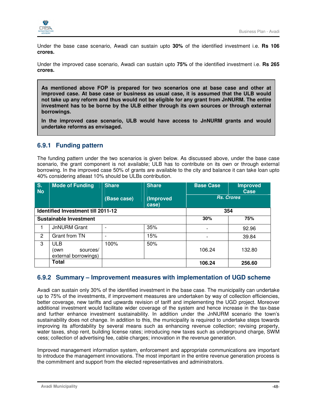

Under the base case scenario, Awadi can sustain upto **30%** of the identified investment i.e. **Rs 106 crores.** 

Under the improved case scenario, Awadi can sustain upto **75%** of the identified investment i.e. **Rs 265 crores.** 

**As mentioned above FOP is prepared for two scenarios one at base case and other at improved case. At base case or business as usual case, it is assumed that the ULB would not take up any reform and thus would not be eligible for any grant from JnNURM. The entire investment has to be borne by the ULB either through its own sources or through external borrowings.** 

**In the improved case scenario, ULB would have access to JnNURM grants and would undertake reforms as envisaged.** 

## **6.9.1 Funding pattern**

The funding pattern under the two scenarios is given below. As discussed above, under the base case scenario, the grant component is not available; ULB has to contribute on its own or through external borrowing. In the improved case 50% of grants are available to the city and balance it can take loan upto 40% considering atleast 10% should be ULBs contribution.

| S.<br><b>No</b> | <b>Mode of Funding</b>                          | <b>Share</b> | <b>Share</b>       | <b>Base Case</b> | <b>Improved</b><br>Case |
|-----------------|-------------------------------------------------|--------------|--------------------|------------------|-------------------------|
|                 |                                                 | (Base case)  | (Improved<br>case) |                  | <b>Rs. Crores</b>       |
|                 | Identified Investment till 2011-12              |              |                    | 354              |                         |
|                 | <b>Sustainable Investment</b>                   |              |                    | 30%              | 75%                     |
|                 | <b>JnNURM Grant</b>                             |              | 35%                |                  | 92.96                   |
| 2               | Grant from TN                                   |              | 15%                |                  | 39.84                   |
| 3               | ULB<br>sources/<br>(own<br>external borrowings) | 100%         | 50%                | 106.24           | 132.80                  |
|                 | Total                                           |              |                    | 106.24           | 256.60                  |

## **6.9.2 Summary – Improvement measures with implementation of UGD scheme**

Avadi can sustain only 30% of the identified investment in the base case. The municipality can undertake up to 75% of the investments, if improvement measures are undertaken by way of collection efficiencies, better coverage, new tariffs and upwards revision of tariff and implementing the UGD project. Moreover additional investment would facilitate wider coverage of the system and hence increase in the tax-base and further enhance investment sustainability. In addition under the JnNURM scenario the town's sustainability does not change. In addition to this, the municipality is required to undertake steps towards improving its affordability by several means such as enhancing revenue collection; revising property, water taxes, shop rent, building license rates; introducing new taxes such as underground charge, SWM cess; collection of advertising fee, cable charges; innovation in the revenue generation.

Improved management information system, enforcement and appropriate communications are important to introduce the management innovations. The most important in the entire revenue generation process is the commitment and support from the elected representatives and administrators.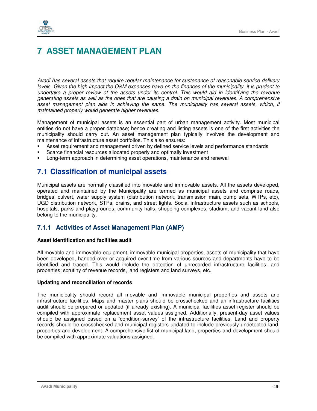

# **7 ASSET MANAGEMENT PLAN**

Avadi has several assets that require regular maintenance for sustenance of reasonable service delivery levels. Given the high impact the O&M expenses have on the finances of the municipality, it is prudent to undertake a proper review of the assets under its control. This would aid in identifying the revenue generating assets as well as the ones that are causing a drain on municipal revenues. A comprehensive asset management plan aids in achieving the same. The municipality has several assets, which, if maintained properly would generate higher revenues.

Management of municipal assets is an essential part of urban management activity. Most municipal entities do not have a proper database; hence creating and listing assets is one of the first activities the municipality should carry out. An asset management plan typically involves the development and maintenance of infrastructure asset portfolios. This also ensures:

- Asset requirement and management driven by defined service levels and performance standards
- Scarce financial resources allocated properly and optimally investment
- Long-term approach in determining asset operations, maintenance and renewal

## **7.1 Classification of municipal assets**

Municipal assets are normally classified into movable and immovable assets. All the assets developed, operated and maintained by the Municipality are termed as municipal assets and comprise roads, bridges, culvert, water supply system (distribution network, transmission main, pump sets, WTPs, etc), UGD distribution network, STPs, drains, and street lights. Social infrastructure assets such as schools, hospitals, parks and playgrounds, community halls, shopping complexes, stadium, and vacant land also belong to the municipality.

### **7.1.1 Activities of Asset Management Plan (AMP)**

#### **Asset identification and facilities audit**

All movable and immovable equipment, immovable municipal properties, assets of municipality that have been developed, handed over or acquired over time from various sources and departments have to be identified and traced. This would include the detection of unrecorded infrastructure facilities, and properties; scrutiny of revenue records, land registers and land surveys, etc.

#### **Updating and reconciliation of records**

The municipality should record all movable and immovable municipal properties and assets and infrastructure facilities. Maps and master plans should be crosschecked and an infrastructure facilities audit should be prepared or updated (if already existing). A municipal facilities asset register should be compiled with approximate replacement asset values assigned. Additionally, present-day asset values should be assigned based on a 'condition-survey' of the infrastructure facilities. Land and property records should be crosschecked and municipal registers updated to include previously undetected land, properties and development. A comprehensive list of municipal land, properties and development should be compiled with approximate valuations assigned.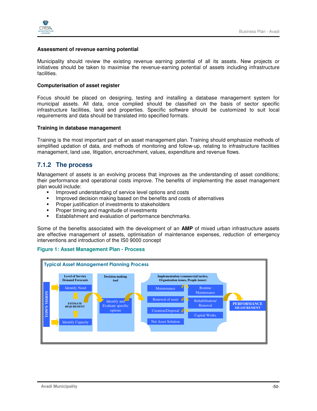

#### **Assessment of revenue earning potential**

Municipality should review the existing revenue earning potential of all its assets. New projects or initiatives should be taken to maximise the revenue-earning potential of assets including infrastructure facilities.

#### **Computerisation of asset register**

Focus should be placed on designing, testing and installing a database management system for municipal assets. All data, once complied should be classified on the basis of sector specific infrastructure facilities, land and properties. Specific software should be customized to suit local requirements and data should be translated into specified formats.

#### **Training in database management**

Training is the most important part of an asset management plan. Training should emphasize methods of simplified updation of data, and methods of monitoring and follow-up, relating to infrastructure facilities management, land use, litigation, encroachment, values, expenditure and revenue flows.

## **7.1.2 The process**

Management of assets is an evolving process that improves as the understanding of asset conditions; their performance and operational costs improve. The benefits of implementing the asset management plan would include:

- **IMPROVED UNDER** Improved understanding of service level options and costs
- **IMPROVED DECISTS** 10 making based on the benefits and costs of alternatives
- **Proper justification of investments to stakeholders**
- **Proper timing and magnitude of investments**
- **Establishment and evaluation of performance benchmarks.**

Some of the benefits associated with the development of an **AMP** of mixed urban infrastructure assets are effective management of assets, optimisation of maintenance expenses, reduction of emergency interventions and introduction of the IS0 9000 concept



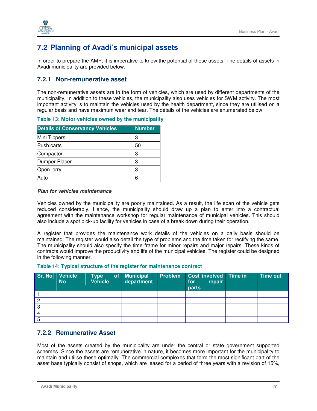

## **7.2 Planning of Avadi's municipal assets**

In order to prepare the AMP, it is imperative to know the potential of these assets. The details of assets in Avadi municipality are provided below.

### **7.2.1 Non-remunerative asset**

The non-remunerative assets are in the form of vehicles, which are used by different departments of the municipality. In addition to these vehicles, the municipality also uses vehicles for SWM activity. The most important activity is to maintain the vehicles used by the health department, since they are utilised on a regular basis and have maximum wear and tear. The details of the vehicles are enumerated below

| Table 13: Motor vehicles owned by the municipality |  |
|----------------------------------------------------|--|
|----------------------------------------------------|--|

| <b>Details of Conservancy Vehicles</b> | <b>Number</b> |
|----------------------------------------|---------------|
| Mini Tippers                           |               |
| Push carts                             | 50            |
| Compactor                              |               |
| Dumper Placer                          |               |
| Open lorry                             |               |
| Auto                                   | 6             |

#### **Plan for vehicles maintenance**

Vehicles owned by the municipality are poorly maintained. As a result, the life span of the vehicle gets reduced considerably. Hence, the municipality should draw up a plan to enter into a contractual agreement with the maintenance workshop for regular maintenance of municipal vehicles. This should also include a spot pick-up facility for vehicles in case of a break down during their operation.

A register that provides the maintenance work details of the vehicles on a daily basis should be maintained. The register would also detail the type of problems and the time taken for rectifying the same. The municipality should also specify the time frame for minor repairs and major repairs. These kinds of contracts would improve the productivity and life of the municipal vehicles. The register could be designed in the following manner.

#### **Table 14: Typical structure of the register for maintenance contract**

|   | Sr. No Vehicle<br><b>No</b> | Type <sup>1</sup><br>Vehicle | of Municipal<br>department | Problem | Cost involved Time in<br>repair<br>for<br>parts | <b>Time out</b> |
|---|-----------------------------|------------------------------|----------------------------|---------|-------------------------------------------------|-----------------|
|   |                             |                              |                            |         |                                                 |                 |
| റ |                             |                              |                            |         |                                                 |                 |
| റ |                             |                              |                            |         |                                                 |                 |
|   |                             |                              |                            |         |                                                 |                 |
| 5 |                             |                              |                            |         |                                                 |                 |

### **7.2.2 Remunerative Asset**

Most of the assets created by the municipality are under the central or state government supported schemes. Since the assets are remunerative in nature, it becomes more important for the municipality to maintain and utilise these optimally. The commercial complexes that form the most significant part of the asset base typically consist of shops, which are leased for a period of three years with a revision of 15%,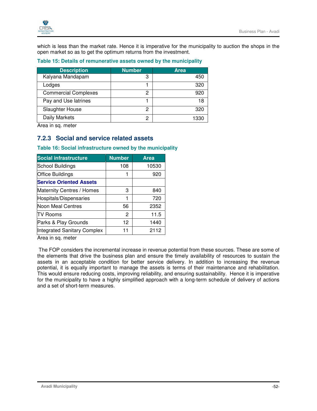

which is less than the market rate. Hence it is imperative for the municipality to auction the shops in the open market so as to get the optimum returns from the investment.

#### **Table 15: Details of remunerative assets owned by the municipality**

| <b>Description</b>          | <b>Number</b> | <b>Area</b> |
|-----------------------------|---------------|-------------|
| Kalyana Mandapam            | 3             | 450         |
| Lodges                      |               | 320         |
| <b>Commercial Complexes</b> | 2             |             |
| Pay and Use latrines        |               | 18          |
| Slaughter House             | 2             | 320         |
| Daily Markets               | 2             | 133         |

Area in sq. meter

### **7.2.3 Social and service related assets**

| <b>Social infrastructure</b>   | <b>Number</b> | <b>Area</b> |
|--------------------------------|---------------|-------------|
| School Buildings               | 108           | 10530       |
| <b>Office Buildings</b>        |               | 920         |
| <b>Service Oriented Assets</b> |               |             |
| Maternity Centres / Homes      | 3             | 840         |
| Hospitals/Dispensaries         |               | 720         |
| Noon Meal Centres              | 56            | 2352        |
| <b>TV Rooms</b>                | 2             | 11.5        |
| Parks & Play Grounds           | 12            | 1440        |
| Integrated Sanitary Complex    | 11            | 2112        |

**Table 16: Social infrastructure owned by the municipality** 

Area in sq. meter

 The FOP considers the incremental increase in revenue potential from these sources. These are some of the elements that drive the business plan and ensure the timely availability of resources to sustain the assets in an acceptable condition for better service delivery. In addition to increasing the revenue potential, it is equally important to manage the assets is terms of their maintenance and rehabilitation. This would ensure reducing costs, improving reliability, and ensuring sustainability. Hence it is imperative for the municipality to have a highly simplified approach with a long-term schedule of delivery of actions and a set of short-term measures.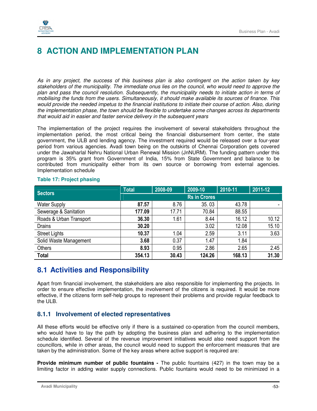

# **8 ACTION AND IMPLEMENTATION PLAN**

As in any project, the success of this business plan is also contingent on the action taken by key stakeholders of the municipality. The immediate onus lies on the council, who would need to approve the plan and pass the council resolution. Subsequently, the municipality needs to initiate action in terms of mobilising the funds from the users. Simultaneously, it should make available its sources of finance. This would provide the needed impetus to the financial institutions to initiate their course of action. Also, during the implementation phase, the town should be flexible to undertake some changes across its departments that would aid in easier and faster service delivery in the subsequent years

The implementation of the project requires the involvement of several stakeholders throughout the implementation period, the most critical being the financial disbursement from center, the state government, the ULB and lending agency. The investment required would be released over a four-year period from various agencies. Avadi town being on the outskirts of Chennai Corporation gets covered under the Jawaharlal Nehru National Urban Renewal Mission (JnNURM). The funding pattern under this program is 35% grant from Government of India, 15% from State Government and balance to be contributed from municipality either from its own source or borrowing from external agencies. Implementation schedule

| Sectors                 | <b>Total</b>        | 2008-09 | 2009-10 | 2010-11 | 2011-12 |  |
|-------------------------|---------------------|---------|---------|---------|---------|--|
|                         | <b>Rs in Crores</b> |         |         |         |         |  |
| <b>Water Supply</b>     | 87.57               | 8.76    | 35.03   | 43.78   |         |  |
| Sewerage & Sanitation   | 177.09              | 17.71   | 70.84   | 88.55   |         |  |
| Roads & Urban Transport | 36.30               | 1.61    | 8.44    | 16.12   | 10.12   |  |
| <b>Drains</b>           | 30.20               |         | 3.02    | 12.08   | 15.10   |  |
| <b>Street Lights</b>    | 10.37               | 1.04    | 2.59    | 3.11    | 3.63    |  |
| Solid Waste Management  | 3.68                | 0.37    | 1.47    | 1.84    |         |  |
| Others                  | 8.93                | 0.95    | 2.86    | 2.65    | 2.45    |  |
| <b>Total</b>            | 354.13              | 30.43   | 124.26  | 168.13  | 31.30   |  |

#### **Table 17: Project phasing**

## **8.1 Activities and Responsibility**

Apart from financial involvement, the stakeholders are also responsible for implementing the projects. In order to ensure effective implementation, the involvement of the citizens is required. It would be more effective, if the citizens form self-help groups to represent their problems and provide regular feedback to the ULB.

## **8.1.1 Involvement of elected representatives**

All these efforts would be effective only if there is a sustained co-operation from the council members, who would have to lay the path by adopting the business plan and adhering to the implementation schedule identified. Several of the revenue improvement initiatives would also need support from the councillors, while in other areas, the council would need to support the enforcement measures that are taken by the administration. Some of the key areas where active support is required are:

**Provide minimum number of public fountains -** The public fountains (427) in the town may be a limiting factor in adding water supply connections. Public fountains would need to be minimized in a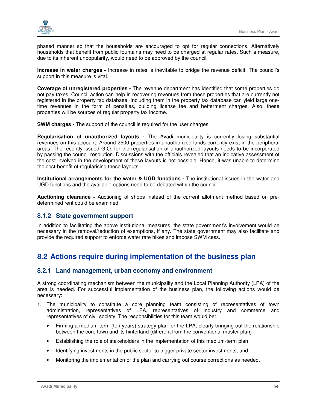

phased manner so that the households are encouraged to opt for regular connections. Alternatively households that benefit from public fountains may need to be charged at regular rates. Such a measure, due to its inherent unpopularity, would need to be approved by the council.

**Increase in water charges -** Increase in rates is inevitable to bridge the revenue deficit. The council's support in this measure is vital.

**Coverage of unregistered properties -** The revenue department has identified that some properties do not pay taxes. Council action can help in recovering revenues from these properties that are currently not registered in the property tax database. Including them in the property tax database can yield large onetime revenues in the form of penalties, building license fee and betterment charges. Also, these properties will be sources of regular property tax income.

**SWM charges -** The support of the council is required for the user charges

**Regularisation of unauthorized layouts -** The Avadi municipality is currently losing substantial revenues on this account. Around 2500 properties in unauthorized lands currently exist in the peripheral areas. The recently issued G.O. for the regularisation of unauthorized layouts needs to be incorporated by passing the council resolution. Discussions with the officials revealed that an indicative assessment of the cost involved in the development of these layouts is not possible. Hence, it was unable to determine the cost-benefit of regularising these layouts.

**Institutional arrangements for the water & UGD functions -** The institutional issues in the water and UGD functions and the available options need to be debated within the council.

**Auctioning clearance -** Auctioning of shops instead of the current allotment method based on predetermined rent could be examined.

### **8.1.2 State government support**

In addition to facilitating the above institutional measures, the state government's involvement would be necessary in the removal/reduction of exemptions, if any. The state government may also facilitate and provide the required support to enforce water rate hikes and impose SWM cess.

## **8.2 Actions require during implementation of the business plan**

#### **8.2.1 Land management, urban economy and environment**

A strong coordinating mechanism between the municipality and the Local Planning Authority (LPA) of the area is needed. For successful implementation of the business plan, the following actions would be necessary:

- 1. The municipality to constitute a core planning team consisting of representatives of town administration, representatives of LPA, representatives of industry and commerce and representatives of civil society. The responsibilities for this team would be:
	- Firming a medium term (ten years) strategy plan for the LPA, clearly bringing out the relationship between the core town and its hinterland (different from the conventional master plan)
	- Establishing the role of stakeholders in the implementation of this medium-term plan
	- Identifying investments in the public sector to trigger private sector investments, and
	- Monitoring the implementation of the plan and carrying out course corrections as needed.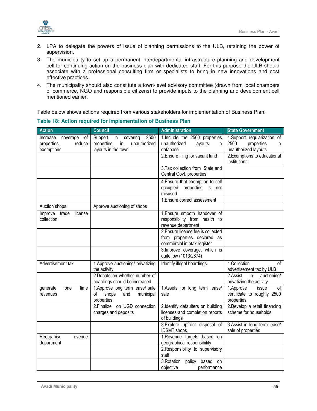

- 2. LPA to delegate the powers of issue of planning permissions to the ULB, retaining the power of supervision.
- 3. The municipality to set up a permanent interdepartmental infrastructure planning and development cell for continuing action on the business plan with dedicated staff. For this purpose the ULB should associate with a professional consulting firm or specialists to bring in new innovations and cost effective practices.
- 4. The municipality should also constitute a town-level advisory committee (drawn from local chambers of commerce, NGO and responsible citizens) to provide inputs to the planning and development cell mentioned earlier.

Table below shows actions required from various stakeholders for implementation of Business Plan.

| <b>Action</b>                                                     | <b>Council</b>                                                                                          | <b>Administration</b>                                                                            | <b>State Government</b>                                                           |
|-------------------------------------------------------------------|---------------------------------------------------------------------------------------------------------|--------------------------------------------------------------------------------------------------|-----------------------------------------------------------------------------------|
| Increase<br>coverage<br>οf<br>properties,<br>reduce<br>exemptions | Support<br>2500<br>in<br>covering<br>$\mathsf{in}$<br>unauthorized<br>properties<br>layouts in the town | 1.Include the 2500 properties<br>unauthorized<br>layouts<br>in.<br>database                      | 1. Support regularization of<br>2500<br>properties<br>in.<br>unauthorized layouts |
|                                                                   |                                                                                                         | 2. Ensure filing for vacant land                                                                 | 2. Exemptions to educational<br>institutions                                      |
|                                                                   |                                                                                                         | 3. Tax collection from State and<br>Central Govt. properties                                     |                                                                                   |
|                                                                   |                                                                                                         | 4. Ensure that exemption to self<br>occupied properties is not<br>misused                        |                                                                                   |
|                                                                   |                                                                                                         | 1. Ensure correct assessment                                                                     |                                                                                   |
| Auction shops                                                     | Approve auctioning of shops                                                                             |                                                                                                  |                                                                                   |
| Improve<br>trade<br>license<br>collection                         |                                                                                                         | 1. Ensure smooth handover of<br>responsibility from health to<br>revenue department              |                                                                                   |
|                                                                   |                                                                                                         | 2. Ensure license fee is collected<br>from properties declared as<br>commercial in ptax register |                                                                                   |
|                                                                   |                                                                                                         | 3. Improve coverage, which is<br>quite low (1013/2874)                                           |                                                                                   |
| Advertisement tax                                                 | 1. Approve auctioning/ privatizing<br>the activity                                                      | Identify illegal hoardings                                                                       | 1.Collection<br>0f<br>advertisement tax by ULB                                    |
|                                                                   | 2. Debate on whether number of<br>hoardings should be increased                                         |                                                                                                  | 2.Assist<br>in<br>auctioning/<br>privatizing the activity                         |
| time<br>generate<br>one<br>revenues                               | 1. Approve long term lease/ sale<br>shops<br>of<br>and<br>municipal<br>properties                       | 1.Assets for long term lease/<br>sale                                                            | 1.Approve<br>issue<br>οf<br>certificate to roughly 2500<br>properties             |
|                                                                   | 2. Finalize on UGD connection<br>charges and deposits                                                   | 2.Identify defaulters on building<br>licenses and completion reports<br>of buildings             | 2.Develop a retail financing<br>scheme for households                             |
|                                                                   |                                                                                                         | 3.Explore upfront disposal of<br><b>IDSMT</b> shops                                              | 3. Assist in long term lease/<br>sale of properties                               |
| Reorganise<br>revenue                                             |                                                                                                         | 1.Revenue targets based on                                                                       |                                                                                   |
| department                                                        |                                                                                                         | geographical responsibility                                                                      |                                                                                   |
|                                                                   |                                                                                                         | 2. Responsibility to supervisory<br>staff                                                        |                                                                                   |
|                                                                   |                                                                                                         | 3. Rotation<br>based<br>policy<br>on<br>objective<br>performance                                 |                                                                                   |

#### **Table 18: Action required for implementation of Business Plan**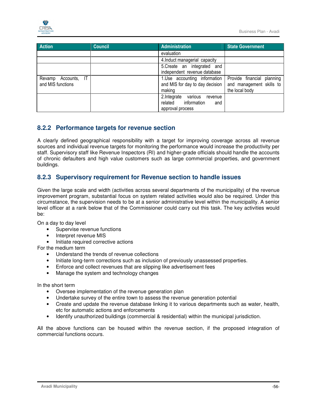

| <b>Action</b>       | <b>Council</b> | Administration                  | <b>State Government</b>    |
|---------------------|----------------|---------------------------------|----------------------------|
|                     |                | evaluation                      |                            |
|                     |                | 4. Induct managerial capacity   |                            |
|                     |                | 5. Create an integrated and     |                            |
|                     |                | independent revenue database    |                            |
| Revamp Accounts, IT |                | 1.Use accounting information    | Provide financial planning |
| and MIS functions   |                | and MIS for day to day decision | and management skills to   |
|                     |                | making                          | the local body             |
|                     |                | 2.Integrate various<br>revenue  |                            |
|                     |                | related information<br>and      |                            |
|                     |                | approval process                |                            |

## **8.2.2 Performance targets for revenue section**

A clearly defined geographical responsibility with a target for improving coverage across all revenue sources and individual revenue targets for monitoring the performance would increase the productivity per staff. Supervisory staff like Revenue Inspectors (RI) and higher-grade officials should handle the accounts of chronic defaulters and high value customers such as large commercial properties, and government buildings.

## **8.2.3 Supervisory requirement for Revenue section to handle issues**

Given the large scale and width (activities across several departments of the municipality) of the revenue improvement program, substantial focus on system related activities would also be required. Under this circumstance, the supervision needs to be at a senior administrative level within the municipality. A senior level officer at a rank below that of the Commissioner could carry out this task. The key activities would be:

On a day to day level

- Supervise revenue functions
- Interpret revenue MIS
- Initiate required corrective actions

For the medium term

- Understand the trends of revenue collections
- Initiate long-term corrections such as inclusion of previously unassessed properties.
- Enforce and collect revenues that are slipping like advertisement fees
- Manage the system and technology changes

In the short term

- Oversee implementation of the revenue generation plan
- Undertake survey of the entire town to assess the revenue generation potential
- Create and update the revenue database linking it to various departments such as water, health, etc for automatic actions and enforcements
- Identify unauthorized buildings (commercial & residential) within the municipal jurisdiction.

All the above functions can be housed within the revenue section, if the proposed integration of commercial functions occurs.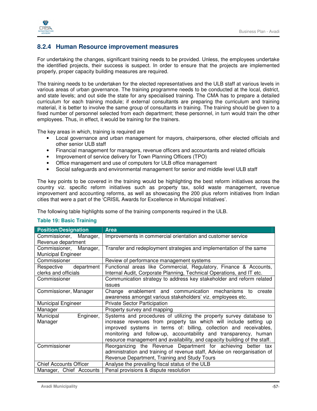

## **8.2.4 Human Resource improvement measures**

For undertaking the changes, significant training needs to be provided. Unless, the employees undertake the identified projects, their success is suspect. In order to ensure that the projects are implemented properly, proper capacity building measures are required.

The training needs to be undertaken for the elected representatives and the ULB staff at various levels in various areas of urban governance. The training programme needs to be conducted at the local, district, and state levels; and out side the state for any specialised training. The CMA has to prepare a detailed curriculum for each training module; if external consultants are preparing the curriculum and training material, it is better to involve the same group of consultants in training. The training should be given to a fixed number of personnel selected from each department; these personnel, in turn would train the other employees. Thus, in effect, it would be training for the trainers.

The key areas in which, training is required are

- Local governance and urban management for mayors, chairpersons, other elected officials and other senior ULB staff
- Financial management for managers, revenue officers and accountants and related officials
- Improvement of service delivery for Town Planning Officers (TPO)
- Office management and use of computers for ULB office management
- Social safeguards and environmental management for senior and middle level ULB staff

The key points to be covered in the training would be highlighting the best reform initiatives across the country viz. specific reform initiatives such as property tax, solid waste management, revenue improvement and accounting reforms, as well as showcasing the 200 plus reform initiatives from Indian cities that were a part of the 'CRISIL Awards for Excellence in Municipal Initiatives'.

The following table highlights some of the training components required in the ULB.

#### **Table 19: Basic Training**

| <b>Position/Designation</b>   | <b>Area</b>                                                               |
|-------------------------------|---------------------------------------------------------------------------|
| Commissioner, Manager,        | Improvements in commercial orientation and customer service               |
| Revenue department            |                                                                           |
| Commissioner,<br>Manager,     | Transfer and redeployment strategies and implementation of the same       |
| <b>Municipal Engineer</b>     |                                                                           |
| Commissioner                  | Review of performance management systems                                  |
| Respective<br>department      | Functional areas like Commercial, Regulatory, Finance & Accounts,         |
| clerks and officials          | Internal Audit, Corporate Planning, Technical Operations, and IT etc.     |
| Commissioner                  | Communication strategy to address key stakeholder and reform related      |
|                               | issues                                                                    |
| Commissioner, Manager         | Change enablement and communication mechanisms<br>create<br>to            |
|                               | awareness amongst various stakeholders' viz. employees etc.               |
| <b>Municipal Engineer</b>     | <b>Private Sector Participation</b>                                       |
| Manager                       | Property survey and mapping                                               |
| Engineer,<br>Municipal        | Systems and procedures of utilizing the property survey database to       |
| Manager                       | increase revenues from property tax which will include setting up         |
|                               | improved systems in terms of: billing, collection and receivables,        |
|                               | monitoring and follow-up, accountability and transparency, human          |
|                               | resource management and availability, and capacity building of the staff. |
| Commissioner                  | Reorganizing the Revenue Department for achieving better tax              |
|                               | administration and training of revenue staff, Advise on reorganisation of |
|                               | Revenue Department, Training and Study Tours                              |
| <b>Chief Accounts Officer</b> | Analyse the prevailing fiscal status of the ULB                           |
| Manager, Chief Accounts       | Penal provisions & dispute resolution                                     |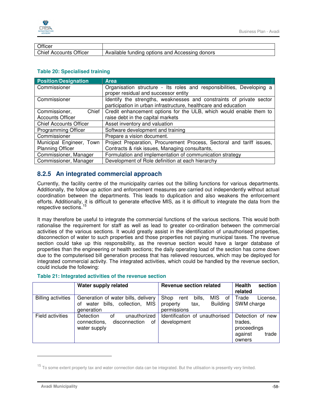

| Officer                      |                                                |
|------------------------------|------------------------------------------------|
| Chief<br>Officer<br>Accounts | Available funding options and Accessing donors |

#### **Table 20: Specialised training**

| <b>Position/Designation</b>   | <b>Area</b>                                                           |  |  |  |  |  |  |  |
|-------------------------------|-----------------------------------------------------------------------|--|--|--|--|--|--|--|
| Commissioner                  | Organisation structure - Its roles and responsibilities, Developing a |  |  |  |  |  |  |  |
|                               | proper residual and successor entity                                  |  |  |  |  |  |  |  |
| Commissioner                  | Identify the strengths, weaknesses and constraints of private sector  |  |  |  |  |  |  |  |
|                               | participation in urban infrastructure, healthcare and education       |  |  |  |  |  |  |  |
| Commissioner,<br>Chief        | Credit enhancement options for the ULB, which would enable them to    |  |  |  |  |  |  |  |
| <b>Accounts Officer</b>       | raise debt in the capital markets                                     |  |  |  |  |  |  |  |
| <b>Chief Accounts Officer</b> | Asset inventory and valuation                                         |  |  |  |  |  |  |  |
| <b>Programming Officer</b>    | Software development and training                                     |  |  |  |  |  |  |  |
| Commissioner                  | Prepare a vision document.                                            |  |  |  |  |  |  |  |
| Municipal Engineer, Town      | Project Preparation, Procurement Process, Sectoral and tariff issues, |  |  |  |  |  |  |  |
| <b>Planning Officer</b>       | Contracts & risk issues, Managing consultants,                        |  |  |  |  |  |  |  |
| Commissioner, Manager         | Formulation and implementation of communication strategy              |  |  |  |  |  |  |  |
| Commissioner, Manager         | Development of Role definition at each hierarchy                      |  |  |  |  |  |  |  |

## **8.2.5 An integrated commercial approach**

Currently, the facility centre of the municipality carries out the billing functions for various departments. Additionally, the follow up action and enforcement measures are carried out independently without actual coordination between the departments. This leads to duplication and also weakens the enforcement efforts. Additionally, it is difficult to generate effective MIS, as it is difficult to integrate the data from the respective sections.<sup>15</sup>

It may therefore be useful to integrate the commercial functions of the various sections. This would both rationalise the requirement for staff as well as lead to greater co-ordination between the commercial activities of the various sections. It would greatly assist in the identification of unauthorised properties, disconnection of water to such properties and those properties not paying municipal taxes. The revenue section could take up this responsibility, as the revenue section would have a larger database of properties than the engineering or health sections; the daily operating load of the section has come down due to the computerised bill generation process that has relieved resources, which may be deployed for integrated commercial activity. The integrated activities, which could be handled by the revenue section, could include the following:

#### **Table 21: Integrated activities of the revenue section**

|                           | Water supply related                                                                    | <b>Revenue section related</b>                                                           | <b>Health</b><br>section<br>related                                      |
|---------------------------|-----------------------------------------------------------------------------------------|------------------------------------------------------------------------------------------|--------------------------------------------------------------------------|
| <b>Billing activities</b> | Generation of water bills, delivery<br>water bills, collection, MIS<br>οf<br>generation | MIS of I<br>Shop<br>bills,<br>rent<br><b>Building</b><br>tax,<br>property<br>permissions | Trade<br>License.<br>SWM charge                                          |
| Field activities          | unauthorized<br>Detection<br>οf<br>disconnection<br>connections,<br>of<br>water supply  | Identification of unauthorised<br>development                                            | Detection of new<br>trades,<br>proceedings<br>against<br>trade<br>owners |

 $15$  To some extent property tax and water connection data can be integrated. But the utilisation is presently very limited.

-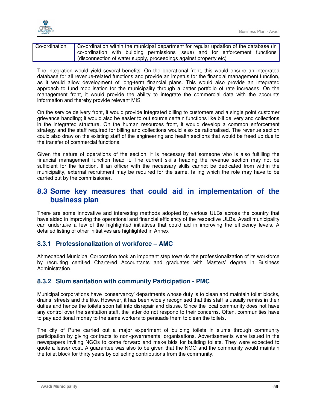

| Co-ordination | Co-ordination within the municipal department for regular updation of the database (in |  |  |  |  |
|---------------|----------------------------------------------------------------------------------------|--|--|--|--|
|               | co-ordination with building permissions issue) and for enforcement functions           |  |  |  |  |
|               | disconnection of water supply, proceedings against property etc)                       |  |  |  |  |

The integration would yield several benefits. On the operational front, this would ensure an integrated database for all revenue-related functions and provide an impetus for the financial management function, as it would allow development of long-term financial plans. This would also provide an integrated approach to fund mobilisation for the municipality through a better portfolio of rate increases. On the management front, it would provide the ability to integrate the commercial data with the accounts information and thereby provide relevant MIS

On the service delivery front, it would provide integrated billing to customers and a single point customer grievance handling; it would also be easier to out source certain functions like bill delivery and collections in the integrated structure. On the human resources front, it would develop a common enforcement strategy and the staff required for billing and collections would also be rationalised. The revenue section could also draw on the existing staff of the engineering and health sections that would be freed up due to the transfer of commercial functions.

Given the nature of operations of the section, it is necessary that someone who is also fulfilling the financial management function head it. The current skills heading the revenue section may not be sufficient for the function. If an officer with the necessary skills cannot be dedicated from within the municipality, external recruitment may be required for the same, failing which the role may have to be carried out by the commissioner.

## **8.3 Some key measures that could aid in implementation of the business plan**

There are some innovative and interesting methods adopted by various ULBs across the country that have aided in improving the operational and financial efficiency of the respective ULBs. Avadi municipality can undertake a few of the highlighted initiatives that could aid in improving the efficiency levels. A detailed listing of other initiatives are highlighted in Annex

## **8.3.1 Professionalization of workforce – AMC**

Ahmedabad Municipal Corporation took an important step towards the professionalization of its workforce by recruiting certified Chartered Accountants and graduates with Masters' degree in Business Administration.

## **8.3.2 Slum sanitation with community Participation - PMC**

Municipal corporations have 'conservancy' departments whose duty is to clean and maintain toilet blocks, drains, streets and the like. However, it has been widely recognised that this staff is usually remiss in their duties and hence the toilets soon fall into disrepair and disuse. Since the local community does not have any control over the sanitation staff, the latter do not respond to their concerns. Often, communities have to pay additional money to the same workers to persuade them to clean the toilets.

The city of Pune carried out a major experiment of building toilets in slums through community participation by giving contracts to non-governmental organisations. Advertisements were issued in the newspapers inviting NGOs to come forward and make bids for building toilets. They were expected to quote a lesser cost. A guarantee was also to be given that the NGO and the community would maintain the toilet block for thirty years by collecting contributions from the community.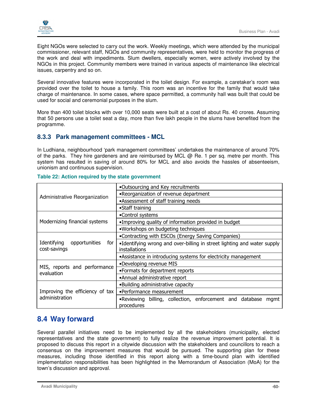

Eight NGOs were selected to carry out the work. Weekly meetings, which were attended by the municipal commissioner, relevant staff, NGOs and community representatives, were held to monitor the progress of the work and deal with impediments. Slum dwellers, especially women, were actively involved by the NGOs in this project. Community members were trained in various aspects of maintenance like electrical issues, carpentry and so on.

Several innovative features were incorporated in the toilet design. For example, a caretaker's room was provided over the toilet to house a family. This room was an incentive for the family that would take charge of maintenance. In some cases, where space permitted, a community hall was built that could be used for social and ceremonial purposes in the slum.

More than 400 toilet blocks with over 10,000 seats were built at a cost of about Rs. 40 crores. Assuming that 50 persons use a toilet seat a day, more than five lakh people in the slums have benefited from the programme.

### **8.3.3 Park management committees - MCL**

In Ludhiana, neighbourhood 'park management committees' undertakes the maintenance of around 70% of the parks. They hire gardeners and are reimbursed by MCL @ Re. 1 per sq. metre per month. This system has resulted in saving of around 80% for MCL and also avoids the hassles of absenteeism, unionism and continuous supervision.

|                                                     | .Outsourcing and Key recruitments                                                        |  |  |  |  |  |  |  |  |
|-----------------------------------------------------|------------------------------------------------------------------------------------------|--|--|--|--|--|--|--|--|
| Administrative Reorganization                       | •Reorganization of revenue department                                                    |  |  |  |  |  |  |  |  |
|                                                     | •Assessment of staff training needs                                                      |  |  |  |  |  |  |  |  |
|                                                     | •Staff training                                                                          |  |  |  |  |  |  |  |  |
|                                                     | •Control systems                                                                         |  |  |  |  |  |  |  |  |
| Modernizing financial systems                       | •Improving quality of information provided in budget                                     |  |  |  |  |  |  |  |  |
|                                                     | .Workshops on budgeting techniques                                                       |  |  |  |  |  |  |  |  |
|                                                     | •Contracting with ESCOs (Energy Saving Companies)                                        |  |  |  |  |  |  |  |  |
| Identifying<br>opportunities<br>for<br>cost-savings | •Identifying wrong and over-billing in street lighting and water supply<br>installations |  |  |  |  |  |  |  |  |
|                                                     | •Assistance in introducing systems for electricity management                            |  |  |  |  |  |  |  |  |
|                                                     | •Developing revenue MIS                                                                  |  |  |  |  |  |  |  |  |
| MIS, reports and performance<br>evaluation          | •Formats for department reports                                                          |  |  |  |  |  |  |  |  |
|                                                     | •Annual administrative report                                                            |  |  |  |  |  |  |  |  |
|                                                     | •Building administrative capacity                                                        |  |  |  |  |  |  |  |  |
| Improving the efficiency of tax                     | •Performance measurement                                                                 |  |  |  |  |  |  |  |  |
| administration                                      | .Reviewing billing, collection, enforcement and database<br>mgmt<br>procedures           |  |  |  |  |  |  |  |  |

#### **Table 22: Action required by the state government**

## **8.4 Way forward**

Several parallel initiatives need to be implemented by all the stakeholders (municipality, elected representatives and the state government) to fully realize the revenue improvement potential. It is proposed to discuss this report in a citywide discussion with the stakeholders and councillors to reach a consensus on the improvement measures that would be pursued. The supporting plan for these measures, including those identified in this report along with a time-bound plan with identified implementation responsibilities has been highlighted in the Memorandum of Association (MoA) for the town's discussion and approval.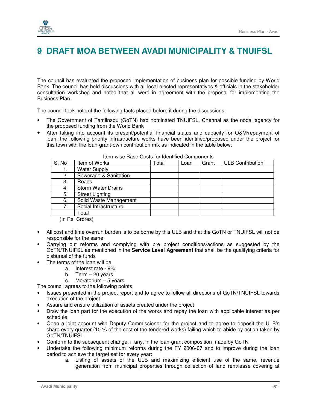

# **9 DRAFT MOA BETWEEN AVADI MUNICIPALITY & TNUIFSL**

The council has evaluated the proposed implementation of business plan for possible funding by World Bank. The council has held discussions with all local elected representatives & officials in the stakeholder consultation workshop and noted that all were in agreement with the proposal for implementing the Business Plan.

The council took note of the following facts placed before it during the discussions:

- The Government of Tamilnadu (GoTN) had nominated TNUIFSL, Chennai as the nodal agency for the proposed funding from the World Bank
- After taking into account its present/potential financial status and capacity for O&M/repayment of loan, the following priority infrastructure works have been identified/proposed under the project for this town with the loan-grant-own contribution mix as indicated in the table below:

| S. No | Item of Works             | Total | Loan | Grant | <b>ULB Contribution</b> |
|-------|---------------------------|-------|------|-------|-------------------------|
|       | <b>Water Supply</b>       |       |      |       |                         |
| 2.    | Sewerage & Sanitation     |       |      |       |                         |
| 3.    | Roads                     |       |      |       |                         |
| 4.    | <b>Storm Water Drains</b> |       |      |       |                         |
| 5.    | <b>Street Lighting</b>    |       |      |       |                         |
| 6.    | Solid Waste Management    |       |      |       |                         |
| 7.    | Social Infrastructure     |       |      |       |                         |
|       | Total                     |       |      |       |                         |

#### Item-wise Base Costs for Identified Components

(In Rs. Crores)

- All cost and time overrun burden is to be borne by this ULB and that the GoTN or TNUIFSL will not be responsible for the same
- Carrying out reforms and complying with pre project conditions/actions as suggested by the GoTN/TNUIFSL as mentioned in the **Service Level Agreement** that shall be the qualifying criteria for disbursal of the funds
- The terms of the loan will be
	- a. Interest rate 9%
	- b. Term  $-20$  years
	- c. Moratorium 5 years

The council agrees to the following points:

- Issues presented in the project report and to agree to follow all directions of GoTN/TNUIFSL towards execution of the project
- Assure and ensure utilization of assets created under the project
- Draw the loan part for the execution of the works and repay the loan with applicable interest as per schedule
- Open a joint account with Deputy Commissioner for the project and to agree to deposit the ULB's share every quarter (10 % of the cost of the tendered works) failing which to abide by action taken by GoTN/TNUIFSL
- Conform to the subsequent change, if any, in the loan-grant composition made by GoTN
- Undertake the following minimum reforms during the FY 2006-07 and to improve during the loan period to achieve the target set for every year:
	- a. Listing of assets of the ULB and maximizing efficient use of the same, revenue generation from municipal properties through collection of land rent/lease covering at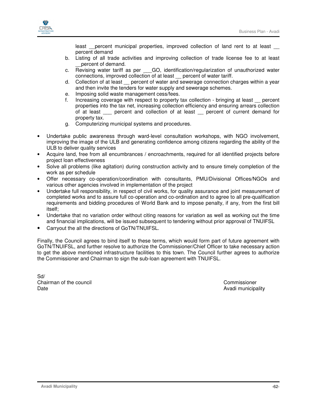

least percent municipal properties, improved collection of land rent to at least percent demand

- b. Listing of all trade activities and improving collection of trade license fee to at least \_\_percent of demand.
- c. Revising water tariff as per GO, identification/regularization of unauthorized water connections, improved collection of at least \_\_ percent of water tariff.
- d. Collection of at least percent of water and sewerage connection charges within a year and then invite the tenders for water supply and sewerage schemes.
- e. Imposing solid waste management cess/fees.
- f. Increasing coverage with respect to property tax collection bringing at least percent properties into the tax net, increasing collection efficiency and ensuring arrears collection of at least zero percent and collection of at least zero percent of current demand for property tax.
- g. Computerizing municipal systems and procedures.
- Undertake public awareness through ward-level consultation workshops, with NGO involvement, improving the image of the ULB and generating confidence among citizens regarding the ability of the ULB to deliver quality services
- Acquire land, free from all encumbrances / encroachments, required for all identified projects before project loan effectiveness
- Solve all problems (like agitation) during construction activity and to ensure timely completion of the work as per schedule
- Offer necessary co-operation/coordination with consultants, PMU/Divisional Offices/NGOs and various other agencies involved in implementation of the project
- Undertake full responsibility, in respect of civil works, for quality assurance and joint measurement of completed works and to assure full co-operation and co-ordination and to agree to all pre-qualification requirements and bidding procedures of World Bank and to impose penalty, if any, from the first bill itself;
- Undertake that no variation order without citing reasons for variation as well as working out the time and financial implications, will be issued subsequent to tendering without prior approval of TNUIFSL
- Carryout the all the directions of GoTN/TNUIFSL.

Finally, the Council agrees to bind itself to these terms, which would form part of future agreement with GoTN/TNUIFSL, and further resolve to authorize the Commissioner/Chief Officer to take necessary action to get the above mentioned infrastructure facilities to this town. The Council further agrees to authorize the Commissioner and Chairman to sign the sub-loan agreement with TNUIFSL.

Sd/ Chairman of the council Commissioner Date **Date** Avadi municipality and the Avadi municipality of the Avadi municipality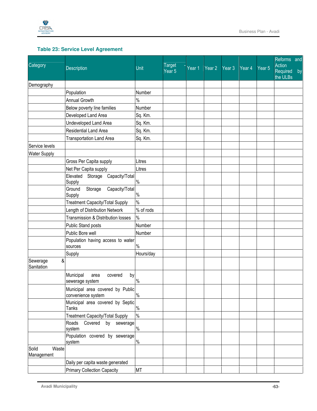

## **Table 23: Service Level Agreement**

| Category                     |                                                       |           | <b>Target</b>     |        |          |        |        |                   | Reforms and<br><b>Action</b> |    |
|------------------------------|-------------------------------------------------------|-----------|-------------------|--------|----------|--------|--------|-------------------|------------------------------|----|
|                              | <b>Description</b>                                    | Unit      | Year <sub>5</sub> | Year 1 | Year $2$ | Year 3 | Year 4 | Year <sub>5</sub> | Required<br>the ULBs         | by |
| Demography                   |                                                       |           |                   |        |          |        |        |                   |                              |    |
|                              | Population                                            | Number    |                   |        |          |        |        |                   |                              |    |
|                              | <b>Annual Growth</b>                                  | $\%$      |                   |        |          |        |        |                   |                              |    |
|                              | Below poverty line families                           | Number    |                   |        |          |        |        |                   |                              |    |
|                              | Developed Land Area                                   | Sq. Km.   |                   |        |          |        |        |                   |                              |    |
|                              | Undeveloped Land Area                                 | Sq. Km.   |                   |        |          |        |        |                   |                              |    |
|                              | Residential Land Area                                 | Sq. Km.   |                   |        |          |        |        |                   |                              |    |
|                              | <b>Transportation Land Area</b>                       | Sq. Km.   |                   |        |          |        |        |                   |                              |    |
| Service levels               |                                                       |           |                   |        |          |        |        |                   |                              |    |
| <b>Water Supply</b>          |                                                       |           |                   |        |          |        |        |                   |                              |    |
|                              | Gross Per Capita supply                               | Litres    |                   |        |          |        |        |                   |                              |    |
|                              | Net Per Capita supply                                 | Litres    |                   |        |          |        |        |                   |                              |    |
|                              | Elevated<br>Storage Capacity/Total<br>Supply          | $\%$      |                   |        |          |        |        |                   |                              |    |
|                              | Storage<br>Capacity/Total<br>Ground                   |           |                   |        |          |        |        |                   |                              |    |
|                              | Supply                                                | $\%$      |                   |        |          |        |        |                   |                              |    |
|                              | <b>Treatment Capacity/Total Supply</b>                | $\%$      |                   |        |          |        |        |                   |                              |    |
|                              | Length of Distribution Network                        | % of rods |                   |        |          |        |        |                   |                              |    |
|                              | Transmission & Distribution losses                    | $\%$      |                   |        |          |        |        |                   |                              |    |
|                              | Public Stand posts                                    | Number    |                   |        |          |        |        |                   |                              |    |
|                              | Public Bore well                                      | Number    |                   |        |          |        |        |                   |                              |    |
|                              | Population having access to water<br>sources          | $\%$      |                   |        |          |        |        |                   |                              |    |
|                              | Supply                                                | Hours/day |                   |        |          |        |        |                   |                              |    |
| &<br>Sewerage<br>Sanitation  |                                                       |           |                   |        |          |        |        |                   |                              |    |
|                              | Municipal<br>covered<br>by<br>area<br>sewerage system | $\%$      |                   |        |          |        |        |                   |                              |    |
|                              | Municipal area covered by Public                      |           |                   |        |          |        |        |                   |                              |    |
|                              | convenience system                                    | $\%$      |                   |        |          |        |        |                   |                              |    |
|                              | Municipal area covered by Septic<br><b>Tanks</b>      | $\%$      |                   |        |          |        |        |                   |                              |    |
|                              | <b>Treatment Capacity/Total Supply</b>                | $\%$      |                   |        |          |        |        |                   |                              |    |
|                              | Roads<br>Covered by sewerage                          |           |                   |        |          |        |        |                   |                              |    |
|                              | system                                                | $\%$      |                   |        |          |        |        |                   |                              |    |
|                              | Population covered by sewerage<br>system              | $\%$      |                   |        |          |        |        |                   |                              |    |
| Waste<br>Solid<br>Management |                                                       |           |                   |        |          |        |        |                   |                              |    |
|                              | Daily per capita waste generated                      |           |                   |        |          |        |        |                   |                              |    |
|                              | <b>Primary Collection Capacity</b>                    | <b>MT</b> |                   |        |          |        |        |                   |                              |    |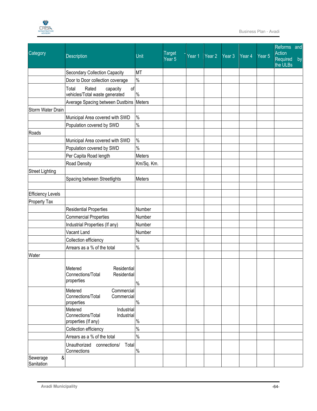

|                             |                                                                                 |               |                                    |        |        |                   |          |                   | Reforms and                    |    |  |
|-----------------------------|---------------------------------------------------------------------------------|---------------|------------------------------------|--------|--------|-------------------|----------|-------------------|--------------------------------|----|--|
| Category                    | Description                                                                     | Unit          | <b>Target</b><br>Year <sub>5</sub> | Year 1 | Year 2 | Year <sub>3</sub> | Year $4$ | Year <sub>5</sub> | Action<br>Required<br>the ULBs | by |  |
|                             | Secondary Collection Capacity                                                   | <b>MT</b>     |                                    |        |        |                   |          |                   |                                |    |  |
|                             | Door to Door collection coverage                                                | $\%$          |                                    |        |        |                   |          |                   |                                |    |  |
|                             | of<br>Total<br>Rated<br>capacity<br>vehicles/Total waste generated              | $\%$          |                                    |        |        |                   |          |                   |                                |    |  |
|                             | Average Spacing between Dustbins                                                | Meters        |                                    |        |        |                   |          |                   |                                |    |  |
| Storm Water Drain           |                                                                                 |               |                                    |        |        |                   |          |                   |                                |    |  |
|                             | Municipal Area covered with SWD                                                 | $\%$          |                                    |        |        |                   |          |                   |                                |    |  |
|                             | Population covered by SWD                                                       | $\%$          |                                    |        |        |                   |          |                   |                                |    |  |
| Roads                       |                                                                                 |               |                                    |        |        |                   |          |                   |                                |    |  |
|                             | Municipal Area covered with SWD                                                 | $\frac{0}{0}$ |                                    |        |        |                   |          |                   |                                |    |  |
|                             | Population covered by SWD                                                       | $\frac{0}{0}$ |                                    |        |        |                   |          |                   |                                |    |  |
|                             | Per Capita Road length                                                          | Meters        |                                    |        |        |                   |          |                   |                                |    |  |
|                             | Road Density                                                                    | Km/Sq. Km.    |                                    |        |        |                   |          |                   |                                |    |  |
| <b>Street Lighting</b>      |                                                                                 |               |                                    |        |        |                   |          |                   |                                |    |  |
|                             | Spacing between Streetlights                                                    | Meters        |                                    |        |        |                   |          |                   |                                |    |  |
|                             |                                                                                 |               |                                    |        |        |                   |          |                   |                                |    |  |
| <b>Efficiency Levels</b>    |                                                                                 |               |                                    |        |        |                   |          |                   |                                |    |  |
| <b>Property Tax</b>         |                                                                                 |               |                                    |        |        |                   |          |                   |                                |    |  |
|                             | <b>Residential Properties</b>                                                   | Number        |                                    |        |        |                   |          |                   |                                |    |  |
|                             | <b>Commercial Properties</b>                                                    | Number        |                                    |        |        |                   |          |                   |                                |    |  |
|                             | Industrial Properties (If any)                                                  | Number        |                                    |        |        |                   |          |                   |                                |    |  |
|                             | Vacant Land                                                                     | Number        |                                    |        |        |                   |          |                   |                                |    |  |
|                             | Collection efficiency                                                           | $\%$          |                                    |        |        |                   |          |                   |                                |    |  |
|                             | Arrears as a % of the total                                                     | $\frac{0}{0}$ |                                    |        |        |                   |          |                   |                                |    |  |
| Water                       |                                                                                 |               |                                    |        |        |                   |          |                   |                                |    |  |
|                             | Metered<br>Residential<br>Connections/Total<br>Residential<br>properties        | $\%$          |                                    |        |        |                   |          |                   |                                |    |  |
|                             | Commercial<br>Metered<br>Connections/Total<br>Commercial<br>properties          | $\%$          |                                    |        |        |                   |          |                   |                                |    |  |
|                             | Metered<br>Industrial<br>Connections/Total<br>Industrial<br>properties (If any) | $\%$          |                                    |        |        |                   |          |                   |                                |    |  |
|                             | Collection efficiency                                                           | $\%$          |                                    |        |        |                   |          |                   |                                |    |  |
|                             | Arrears as a % of the total                                                     | $\%$          |                                    |        |        |                   |          |                   |                                |    |  |
|                             | Unauthorized<br>connections/<br>Total<br>Connections                            | $\%$          |                                    |        |        |                   |          |                   |                                |    |  |
| &<br>Sewerage<br>Sanitation |                                                                                 |               |                                    |        |        |                   |          |                   |                                |    |  |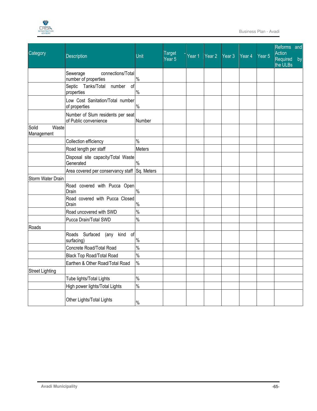

| Category                     | <b>Description</b>                                         | Unit          | <b>Target</b><br>Year <sub>5</sub> | Year 1 | Year $2$ | Year 3 | Year 4 | Year <sub>5</sub> | Reforms and<br>Action<br>Required<br>by<br>the ULBs |
|------------------------------|------------------------------------------------------------|---------------|------------------------------------|--------|----------|--------|--------|-------------------|-----------------------------------------------------|
|                              | Sewerage<br>connections/Total<br>number of properties      | $\%$          |                                    |        |          |        |        |                   |                                                     |
|                              | Septic Tanks/Total number<br>οf<br>properties              | $\%$          |                                    |        |          |        |        |                   |                                                     |
|                              | Low Cost Sanitation/Total number<br>of properties          | $\%$          |                                    |        |          |        |        |                   |                                                     |
|                              | Number of Slum residents per seat<br>of Public convenience | Number        |                                    |        |          |        |        |                   |                                                     |
| Solid<br>Waste<br>Management |                                                            |               |                                    |        |          |        |        |                   |                                                     |
|                              | Collection efficiency                                      | $\%$          |                                    |        |          |        |        |                   |                                                     |
|                              | Road length per staff                                      | Meters        |                                    |        |          |        |        |                   |                                                     |
|                              | Disposal site capacity/Total Waste<br>Generated            | $\%$          |                                    |        |          |        |        |                   |                                                     |
|                              | Area covered per conservancy staff Sq. Meters              |               |                                    |        |          |        |        |                   |                                                     |
| Storm Water Drain            |                                                            |               |                                    |        |          |        |        |                   |                                                     |
|                              | Road covered with Pucca Open<br>Drain                      | $\%$          |                                    |        |          |        |        |                   |                                                     |
|                              | Road covered with Pucca Closed<br>Drain                    | $\%$          |                                    |        |          |        |        |                   |                                                     |
|                              | Road uncovered with SWD                                    | $\%$          |                                    |        |          |        |        |                   |                                                     |
|                              | Pucca Drain/Total SWD                                      | $\%$          |                                    |        |          |        |        |                   |                                                     |
| Roads                        |                                                            |               |                                    |        |          |        |        |                   |                                                     |
|                              | Roads Surfaced<br>(any kind<br>of<br>surfacing)            | $\%$          |                                    |        |          |        |        |                   |                                                     |
|                              | Concrete Road/Total Road                                   | $\frac{1}{2}$ |                                    |        |          |        |        |                   |                                                     |
|                              | <b>Black Top Road/Total Road</b>                           | $\frac{9}{6}$ |                                    |        |          |        |        |                   |                                                     |
|                              | Earthen & Other Road/Total Road                            | $\frac{9}{6}$ |                                    |        |          |        |        |                   |                                                     |
| <b>Street Lighting</b>       |                                                            |               |                                    |        |          |        |        |                   |                                                     |
|                              | Tube lights/Total Lights                                   | $\%$          |                                    |        |          |        |        |                   |                                                     |
|                              | High power lights/Total Lights                             | $\%$          |                                    |        |          |        |        |                   |                                                     |
|                              | Other Lights/Total Lights                                  | $\%$          |                                    |        |          |        |        |                   |                                                     |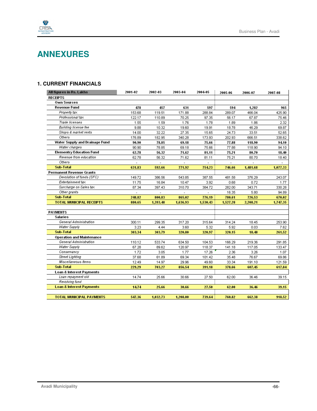

# **ANNEXURES**

### **1. CURRENT FINANCIALS**

| All figures in Rs. Lakhs            | 2001-02 | 2002-03        | 2003-04                  | 2004-05        | 2005-06                  | 2006-07  | 2007-08  |
|-------------------------------------|---------|----------------|--------------------------|----------------|--------------------------|----------|----------|
| <b>RECEIPTS</b>                     |         |                |                          |                |                          |          |          |
| <b>Own Sources</b>                  |         |                |                          |                |                          |          |          |
| <b>Revenue Fund</b>                 | 478     | 457            | 631                      | 597            | 594                      | 1,282    | 965      |
| Property tax                        | 153.68  | 119.51         | 171.88                   | 288.84         | 289.07                   | 466.04   | 425.90   |
| Professional tax                    | 122.17  | 110.89         | 70.25                    | 97.35          | 56.17                    | 67.87    | 75.46    |
| Trade licenses                      | 1.55    | 1.59           | 1.76                     | 1.78           | 1.89                     | 1.86     | 2.32     |
| <b>Building license fee</b>         | 9.88    | 10.32          | 19.60                    | 19.91          | 18.78                    | 46.29    | 69.87    |
| Shops & market rents                | 14.00   | 32.22          | 27.35                    | 15.65          | 24.73                    | 33.51    | 52.65    |
| Others                              | 176.89  | 182.95         | 340.28                   | 173.93         | 202.93                   | 666.51   | 338.62   |
| Water Supply and Drainage Fund      | 90.90   | 78.85          | 69.18                    | 75.66          | 77.88                    | 118.90   | 94.10    |
| Water charges                       | 90.90   | 78.85          | 69.18                    | 75.66          | 77.88                    | 118.90   | 94.10    |
| <b>Elementry Education Fund</b>     | 62.78   | 56.32          | 71.62                    | 81.11          | 75.21                    | 80.70    | 18.40    |
| Revenue from education              | 62.78   | 56.32          | 71.62                    | 81.11          | 75.21                    | 80.70    | 18.40    |
| Others                              |         | $\overline{a}$ | $\overline{\phantom{a}}$ | $\overline{a}$ | $\overline{\phantom{a}}$ |          |          |
| <b>Sub-Total</b>                    | 631.83  | 592.66         | 771.92                   | 754.23         | 746.66                   | 1,481.68 | 1,077.33 |
| <b>Permanent Revenue Grants</b>     |         |                |                          |                |                          |          |          |
| Devolution of funds (SFC)           | 149.72  | 386.56         | 543.85                   | 387.55         | 481.58                   | 376.29   | 243.07   |
| Entertainment tax                   | 11.75   | 16.84          | 10.47                    | 3.92           | 0.68                     | 0.72     | 1.77     |
| Surcharge on Sales tax              | 87.34   | 397.43         | 310.70                   | 384.72         | 282.00                   | 343.71   | 330.28   |
| Other grants                        |         |                |                          |                | 16.35                    | 5.80     | 94.89    |
| <b>Sub-Total</b>                    | 248.82  | 800.83         | 865.02                   | 776.19         | 780.61                   | 726.53   | 670.02   |
| <b>TOTAL MUNICIPAL RECEIPTS</b>     | 880.65  | 1,393.48       | 1,636.93                 | 1,530.43       | 1,527.28                 | 2,208.21 | 1,747.35 |
|                                     |         |                |                          |                |                          |          |          |
| <b>PAYMENTS</b>                     |         |                |                          |                |                          |          |          |
| Salaries                            |         |                |                          |                |                          |          |          |
| General Administration              | 300.11  | 299.35         | 317.20                   | 315.64         | 314.24                   | 18.45    | 253.90   |
| Water Supply                        | 3.23    | 4.44           | 3.60                     | 5.32           | 5.92                     | 0.03     | 7.62     |
| <b>Sub-Total</b>                    | 303.34  | 303.79         | 320.80                   | 320.97         | 320.15                   | 18.48    | 261.52   |
| <b>Operation and Maintenance</b>    |         |                |                          |                |                          |          |          |
| General Administration              | 110.12  | 533.74         | 634.50                   | 104.53         | 166.29                   | 219.36   | 291.85   |
| Water Supply                        | 67.28   | 89.62          | 120.97                   | 118.37         | 141.18                   | 117.05   | 133.47   |
| Conservancy                         | 1.72    | 3.05           | 1.77                     | 17.26          | 2.36                     | 3.26     | 1.07     |
| <b>Street Lighting</b>              | 37.68   | 61.89          | 69.34                    | 101.42         | 35.48                    | 76.67    | 69.86    |
| Miscellaneous Items                 | 12.49   | 14.97          | 29.96                    | 49.60          | 33.34                    | 191.10   | 121.59   |
| <b>Sub-Total</b>                    | 229.29  | 703.27         | 856.54                   | 391.18         | 378.66                   | 607.45   | 617.84   |
| Loan & Interest Payments            |         |                |                          |                |                          |          |          |
| Loan repayment old                  | 14.74   | 25.66          | 30.66                    | 27.50          | 62.00                    | 36.46    | 39.15    |
| Revolving fund                      |         |                |                          |                |                          |          |          |
| <b>Loan &amp; Interest Payments</b> | 14.74   | 25.66          | 30.66                    | 27.50          | 62.00                    | 36.46    | 39.15    |
|                                     |         |                |                          |                |                          |          |          |
| <b>TOTAL MUNICIPAL PAYMENTS</b>     | 547.36  | 1,032.73       | 1,208.00                 | 739.64         | 760.82                   | 662.38   | 918.52   |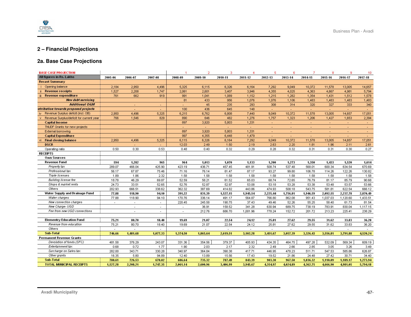

## **2 – Financial Projections**

### **2a. Base Case Projections**

| <b>BASE CASE PROJECTION</b>               |                          |                          |                          |                |          | 3        |                          |                          | в                        |                          | 8        | 9                        | 10       |
|-------------------------------------------|--------------------------|--------------------------|--------------------------|----------------|----------|----------|--------------------------|--------------------------|--------------------------|--------------------------|----------|--------------------------|----------|
| All figures in Rs. Lakhs                  | 2005-06                  | 2006-07                  | 2007-08                  | 2008-09        | 2009-10  | 2010-11  | 2011-12                  | 2012-13                  | 2013-14                  | 2014-15                  | 2015-16  | 2016-17                  | 2017-18  |
| <b>Recast Summary</b>                     |                          |                          |                          |                |          |          |                          |                          |                          |                          |          |                          |          |
| Opening balance                           | 2,184                    | 2,950                    | 4,496                    | 5,325          | 6,115    | 6,326    | 6,164                    | 7,292                    | 9,049                    | 10,372                   | 11,578   | 13,005                   | 14,657   |
| <b>Revenue receipts</b>                   | 1,527                    | 2,208                    | 1,747                    | 2,061          | 2,601    | 3,407    | 3,946                    | 4,355                    | 4,025                    | 4,363                    | 4,667    | 4,981                    | 5,794    |
| Revenue expenditure<br>iii                | 761                      | 662                      | 919                      | 991            | 1,041    | 1,089    | 1,152                    | 1,215                    | 1,282                    | 1,354                    | 1,431    | 1,512                    | 1,578    |
| New debt servicing                        |                          |                          |                          | 81             | 433      | 956      | 1,076                    | 1,076                    | 1,106                    | 1,483                    | 1,483    | 1,483                    | 1,483    |
| <b>Additional O&amp;M</b>                 |                          |                          |                          |                | 45       | 235      | 293                      | 308                      | 314                      | 320                      | 327      | 333                      | 340      |
| ntribution towards proposed projects      |                          |                          |                          | 100            | 436      | 645      | 148                      | $\sim$                   | $\sim$                   |                          | $\sim$   | $\sim$                   |          |
| Revenue Surplus deficit (incl. OB)<br>iv. | 2,950                    | 4,496                    | 5,325                    | 6,215          | 6,762    | 6,808    | 7,440                    | 9,049                    | 10,372                   | 11,578                   | 13,005   | 14,657                   | 17,051   |
| Revenue Surplus/deficit for current year  | 766                      | 1,546                    | 829                      | 890            | 646      | 482      | 1,276                    | 1,757                    | 1,323                    | 1,206                    | 1,427    | 1,653                    | 2,394    |
| <b>Capital Income</b>                     |                          |                          |                          | 897            | 3,920    | 5,803    | 1,331                    | $\sim$                   | $\sim$                   |                          |          |                          |          |
| TNUDF Grants for new projects             |                          |                          |                          |                |          |          | ÷                        | $\sim$                   | $\overline{a}$           |                          |          | $\sim$                   | $\sim$   |
| External borrowing                        |                          |                          |                          | 897            | 3,920    | 5,803    | 1,331                    | $\sim$                   | $\overline{\phantom{a}}$ |                          | $\sim$   | $\overline{\phantom{a}}$ | $\sim$   |
| <b>Capital Expenditure</b>                |                          |                          |                          | 997            | 4,355    | 6,448    | 1,479                    | $\sim$                   | $\blacksquare$           |                          | $\sim$   |                          | $\sim$   |
| <b>Final closing balance</b><br>-vi       | 2,950                    | 4,496                    | 5,325                    | 6,115          | 6,326    | 6,164    | 7,292                    | 9,049                    | 10,372                   | 11,578                   | 13,005   | 14,657                   | 17,051   |
| <b>DSCR</b>                               |                          |                          |                          | 12.03          | 2.49     | 1.50     | 2.19                     | 2.63                     | 2.20                     | 1.81                     | 1.96     | 2.11                     | 2.61     |
| Operating ratio                           | 0.50                     | 0.30                     | 0.53                     | 0.48           | 0.40     | 0.32     | 0.29                     | 0.28                     | 0.32                     | 0.31                     | 0.31     | 0.30                     | 0.27     |
| <b>RECEIPTS</b>                           |                          |                          |                          |                |          |          |                          |                          |                          |                          |          |                          |          |
| <b>Own Sources</b>                        |                          |                          |                          |                |          |          |                          |                          |                          |                          |          |                          |          |
| Revenue Fund                              | 594                      | 1,282                    | 965                      | 964            | 1,013    | 1,070    | 1,133                    | 1,200                    | 1,273                    | 1,350                    | 1,433    | 1,520                    | 1,614    |
| Property tax                              | 289.07                   | 466.04                   | 425.90                   | 423.19         | 436.71   | 457.45   | 481.91                   | 508.74                   | 537.48                   | 568.01                   | 600.34   | 634.54                   | 670.69   |
| Professional tax                          | 56.17                    | 67.87                    | 75.46                    | 71.16          | 76.14    | 81.47    | 87.17                    | 93.27                    | 99.80                    | 106.78                   | 114.26   | 122.26                   | 130.82   |
| Trade licenses                            | 1.89                     | 1.86                     | 2.32                     | 1.58           | 1.58     | 1.58     | 1.58                     | 1.58                     | 1.58                     | 1.58                     | 1.58     | 1.58                     | 1.58     |
| <b>Building license fee</b>               | 18.78                    | 46.29                    | 69.87                    | 52.59          | 58.21    | 61.52    | 65.03                    | 68.74                    | 72.65                    | 76.79                    | 81.17    | 85.79                    | 90.68    |
| Shops & market rents                      | 24.73                    | 33.51                    | 52.65                    | 52.76          | 52.87    | 52.97    | 53.08                    | 53.18                    | 53.28                    | 53.38                    | 53.48    | 53.57                    | 53.66    |
| Others                                    | 202.93                   | 666.51                   | 338.62                   | 362.32         | 387.69   | 414.82   | 443.86                   | 474.93                   | 508.18                   | 543.75                   | 581.81   | 622.54                   | 666.12   |
| Water Supply and Drainage Fund            | 77.88                    | 118.90                   | 94.10                    | 391.22         | 831.39   | 1,527.15 | 1,945.54                 | 2,225.44                 | 1,756.81                 | 1,946.59                 | 2,092.55 | 2,237.78                 | 2,870.49 |
| Water charges                             | 77.88                    | 118.90                   | 94.10                    | 170.76         | 336.14   | 491.17   | 564.87                   | 766.80                   | 862.08                   | 951.43                   | 1,037.03 | 1,120.60                 | 1,433.51 |
| New connection charges                    | $\overline{\phantom{a}}$ | $\overline{\phantom{a}}$ | $\overline{\phantom{a}}$ | 220.45         | 245.58   | 190.75   | 37.43                    | 49.46                    | 52.26                    | 55.25                    | 58.40    | 61.73                    | 81.54    |
| New Charge-UGD                            |                          | $\blacksquare$           | $\overline{\phantom{a}}$ | $\overline{a}$ | 36.91    | 158.52   | 341.28                   | 630.94                   | 689.75                   | 738.19                   | 783.91   | 830.04                   | 1,117.15 |
| Fee from new UGD connections              |                          |                          |                          |                | 212.76   | 686.70   | 1,001.96                 | 778.24                   | 152.72                   | 201.72                   | 213.23   | 225.41                   | 238.29   |
|                                           |                          |                          |                          |                |          |          |                          |                          |                          |                          |          |                          |          |
| <b>Elementry Education Fund</b>           | 75.21                    | 80.70                    | 18.40                    | 19.69          | 21.07    | 22.54    | 24.12                    | 25.81                    | 27.62                    | 29.55                    | 31.62    | 33.83                    | 36.20    |
| Revenue from education                    | 75.21                    | 80.70                    | 18.40                    | 19.69          | 21.07    | 22.54    | 24.12                    | 25.81                    | 27.62                    | 29.55                    | 31.62    | 33.83                    | 36.20    |
| Others                                    | $\overline{a}$           | $\overline{a}$           | $\sim$                   | $\sim$         | ÷        | $\sim$   | $\overline{\phantom{a}}$ | $\overline{\phantom{a}}$ | ÷                        | $\overline{\phantom{a}}$ | $\sim$   | $\sim$                   | $\sim$   |
| <b>Sub-Total</b>                          | 746.66                   | 1,481.68                 | 1,077.33                 | 1,374.50       | 1,865.64 | 2,619.51 | 3,102.28                 | 3,451.67                 | 3,057.39                 | 3,326.43                 | 3,556.81 | 3,791.88                 | 4,520.24 |
| <b>Permanent Revenue Grants</b>           |                          |                          |                          |                |          |          |                          |                          |                          |                          |          |                          |          |
| Devolution of funds (SFC)                 | 481.58                   | 376.29                   | 243.07                   | 331.36         | 354.56   | 379.37   | 405.93                   | 434.35                   | 464.75                   | 497.28                   | 532.09   | 569.34                   | 609.19   |
| Entertainment tax                         | 0.68                     | 0.72                     | 1.77                     | 1.90           | 2.03     | 2.17     | 2.32                     | 2.49                     | 2.66                     | 2.85                     | 3.05     | 3.26                     | 3.49     |
| Surcharge on Sales tax                    | 282.00                   | 343.71                   | 330.28                   | 340.97         | 364.84   | 390.38   | 417.71                   | 446.95                   | 478.23                   | 511.71                   | 547.53   | 585.86                   | 626.87   |
| Other grants                              | 16.35                    | 5.80                     | 94.89                    | 12.40          | 13.89    | 15.56    | 17.43                    | 19.52                    | 21.86                    | 24.48                    | 27.42    | 30.71                    | 34.40    |
| <b>Sub-Total</b>                          | 780.61                   | 726.53                   | 670.02                   | 686.64         | 735.32   | 787.49   | 843.39                   | 903.30                   | 967.50                   | 1.036.32                 | 1,110.09 | 1,189.17                 | 1,273.94 |
| <b>TOTAL MUNICIPAL RECEIPTS</b>           | 1,527.28                 | 2,208.21                 | 1,747.35                 | 2,061.14       | 2,600.96 | 3,406.99 | 3,945.67                 | 4,354.97                 | 4,024.89                 | 4,362.75                 | 4,666.90 | 4,981.05                 | 5,794.18 |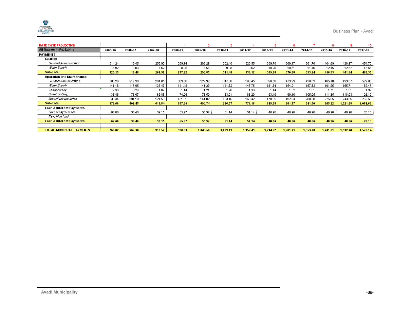| <b>BASE CASE PROJECTION</b>         |         |         |         |         |                          | з                        |                          |                          | я                        |                          | 8        | -9       | 10       |
|-------------------------------------|---------|---------|---------|---------|--------------------------|--------------------------|--------------------------|--------------------------|--------------------------|--------------------------|----------|----------|----------|
| All figures in Rs. Lakhs            | 2005-06 | 2006-07 | 2007-08 | 2008-09 | 2009-10                  | 2010-11                  | 2011-12                  | 2012-13                  | 2013-14                  | 2014-15                  | 2015-16  | 2016-17  | 2017-18  |
| PAYMENTS                            |         |         |         |         |                          |                          |                          |                          |                          |                          |          |          |          |
| Salaries                            |         |         |         |         |                          |                          |                          |                          |                          |                          |          |          |          |
| General Administration              | 314.24  | 18.45   | 253.90  | 269.14  | 285.29                   | 302.40                   | 320.55                   | 339.78                   | 360.17                   | 381.78                   | 404.69   | 428.97   | 454.70   |
| Water Supply                        | 5.92    | 0.03    | 7.62    | 8.08    | 8.56                     | 9.08                     | 9.62                     | 10.20                    | 10.81                    | 11.46                    | 12.15    | 12.87    | 13.65    |
| <b>Sub-Total</b>                    | 320.15  | 18.48   | 261.52  | 277.22  | 293.85                   | 311.48                   | 330.17                   | 349.98                   | 370.98                   | 393.24                   | 416.83   | 441.84   | 468.35   |
| <b>Operation and Maintenance</b>    |         |         |         |         |                          |                          |                          |                          |                          |                          |          |          |          |
| General Administration              | 166.29  | 219.36  | 291.85  | 309.36  | 327.92                   | 347.60                   | 368.45                   | 390.56                   | 413.99                   | 438.83                   | 465.16   | 493.07   | 522.66   |
| Water Supply                        | 141.18  | 117.05  | 133.47  | 141.48  | 141.29                   | 141.32                   | 147.75                   | 151.54                   | 154.21                   | 157.63                   | 161.95   | 165.71   | 169.47   |
| Conservancy                         | 2.36    | 3.26    | 1.07    | 1.14    | 1.21                     | 1.28                     | 1.36                     | 1.44                     | 1.52                     | 1.61                     | 1.71     | 1.81     | 1.92     |
| <b>Street Lighting</b>              | 35.48   | 76.67   | 69.86   | 74.06   | 78.50                    | 83.21                    | 88.20                    | 93.49                    | 99.10                    | 105.05                   | 111.35   | 118.03   | 125.12   |
| Miscellaneous Items                 | 33.34   | 191.10  | 121.59  | 131.31  | 141.82                   | 153.16                   | 165.42                   | 178.65                   | 192.94                   | 208.38                   | 225.05   | 243.05   | 262.50   |
| <b>Sub-Total</b>                    | 378.66  | 607.45  | 617.84  | 657.35  | 690.74                   | 726.57                   | 771.18                   | 815.68                   | 861.77                   | 911.50                   | 965.22   | 1.021.68 | 1.081.66 |
| Loan & Interest Payments            |         |         |         |         |                          |                          |                          |                          |                          |                          |          |          |          |
| Loan repayment old                  | 62.00   | 36.46   | 39.15   | 55.97   | 55.97                    | 51.14                    | 51.14                    | 48.96                    | 48.96                    | 48.96                    | 48.96    | 48.96    | 28.13    |
| Revolving fund                      |         |         |         | ۰       | $\overline{\phantom{a}}$ | $\overline{\phantom{a}}$ | $\overline{\phantom{a}}$ | $\overline{\phantom{a}}$ | $\overline{\phantom{a}}$ | $\overline{\phantom{a}}$ | ٠        | ٠        | $\sim$   |
| <b>Loan &amp; Interest Payments</b> | 62.00   | 36.46   | 39.15   | 55.97   | 55.97                    | 51.14                    | 51.14                    | 48.96                    | 48.96                    | 48.96                    | 48.96    | 48.96    | 28.13    |
|                                     |         |         |         |         |                          |                          |                          |                          |                          |                          |          |          |          |
| <b>TOTAL MUNICIPAL PAYMENTS</b>     | 760.82  | 662.38  | 918.52  | 990.53  | 1.040.56                 | 1,089.19                 | 1.152.49                 | 1,214.62                 | 1.281.71                 | 1.353.70                 | 1.431.01 | 1.512.48 | 1,578.14 |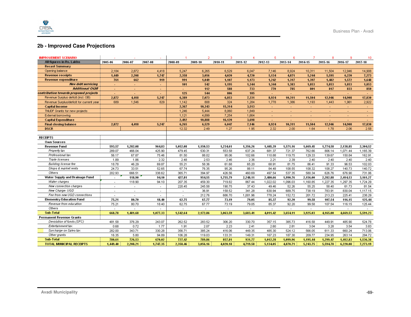

### **2b - Improved Case Projections**

| <b>IMPROVEMENT SCENARIO</b>              |                          |                          |                          |                          | 2        | з        |                | 5                        | в                        |          | 8        |                          | 10             |
|------------------------------------------|--------------------------|--------------------------|--------------------------|--------------------------|----------|----------|----------------|--------------------------|--------------------------|----------|----------|--------------------------|----------------|
| All figures in Rs. Lakhs                 | 2005-06                  | 2006-07                  | 2007-08                  | 2008-09                  | 2009-10  | 2010-11  | 2011-12        | 2012-13                  | 2013-14                  | 2014-15  | 2015-16  | 2016-17                  | 2017-18        |
| <b>Recast Summary</b>                    |                          |                          |                          |                          |          |          |                |                          |                          |          |          |                          |                |
| Opening balance                          | 2,184                    | 2,872                    | 4,418                    | 5,247                    | 6,265    | 6,529    | 6,047          | 7,146                    | 8,924                    | 10,311   | 11,504   | 12,946                   | 14,908         |
| <b>Revenue receipts</b>                  | 1,449                    | 2,208                    | 1,747                    | 2,358                    | 3,056    | 4,020    | 4,720          | 5,134                    | 4,871                    | 5,244    | 5,595    | 6,220                    | 7,273          |
| Revenue expenditure                      | 761                      | 662                      | 919                      | 991                      | 1,049    | 1,107    | 1,173          | 1,242                    | 1,317                    | 1,397    | 1,482    | 1.572                    | 1,648          |
| New debt servicing                       |                          |                          |                          | 101                      | 542      | 1,195    | 1,344          | 1,344                    | 1,383                    | 1,853    | 1,853    | 1.853                    | 1,853          |
| <b>Additional O&amp;M</b>                | $\sim$                   | $\sim$                   | $\sim$                   | ÷.                       | 112      | 588      | 733            | 770                      | 785                      | 801      | 817      | 833                      | 850            |
| contribution towards proposed projects   |                          |                          |                          | 125                      | 544      | 806      | 185            |                          |                          |          |          |                          |                |
| Revenue Surplus deficit (incl. OB)       | 2,872                    | 4,418                    | 5.247                    | 6,389                    | 7,073    | 6,853    | 7,331          | 8,924                    | 10,311                   | 11,504   | 12,946   | 14,908                   | 17,830         |
| Revenue Surplus/deficit for current year | 689                      | 1,546                    | 829                      | 1,142                    | 808      | 324      | 1,284          | 1,778                    | 1,386                    | 1,193    | 1,443    | 1,961                    | 2,922          |
| <b>Capital Income</b>                    |                          |                          |                          | 2,367                    | 10,343   | 15,314   | 3,513          | $\sim$                   | $\blacksquare$           | $\sim$   | $\sim$   | $\sim$                   | $\sim$         |
| TNUDF Grants for new projects            |                          |                          |                          | 1,246                    | 5,444    | 8,060    | 1,849          |                          | $\blacksquare$           |          |          |                          |                |
| External borrowing                       |                          |                          |                          | 1,121                    | 4,899    | 7,254    | 1,664          | $\overline{\phantom{a}}$ |                          |          |          |                          |                |
| <b>Capital Expenditure</b>               |                          |                          |                          | 2,492                    | 10,888   | 16,120   | 3,698          | $\mathbf{r}$             | ÷                        |          |          | ×.                       | <b>A</b>       |
| <b>Final closing balance</b>             | 2,872                    | 4,418                    | 5,247                    | 6,265                    | 6,529    | 6,047    | 7,146          | 8,924                    | 10,311                   | 11.504   | 12,946   | 14.908                   | 17,830         |
| <b>DSCR</b>                              |                          |                          |                          | 12.32                    | 2.49     | 1.27     | 1.95           | 2.32                     | 2.00                     | 1.64     | 1.78     | 2.06                     | 2.58           |
|                                          |                          |                          |                          |                          |          |          |                |                          |                          |          |          |                          |                |
| <b>RECEIPTS</b>                          |                          |                          |                          |                          |          |          |                |                          |                          |          |          |                          |                |
| <b>Own Sources</b>                       |                          |                          |                          |                          |          |          |                |                          |                          |          |          |                          |                |
| Revenue Fund                             | 593.57                   | 1,282.08                 | 964.83                   | 1,052.08                 | 1,150.53 | 1,234.61 | 1,356.26       | 1,445.39                 | 1,571.16                 | 1,669.45 | 1,774.58 | 2,138.85                 | 2,304.52       |
| Property tax                             | 289.07                   | 466.04                   | 425.90                   | 479.45                   | 530.31   | 553.58   | 637.24         | 681.37                   | 721.37                   | 762.66   | 806.14   | 1,071.44                 | 1,165.39       |
| Professional tax                         | 56.17                    | 67.87                    | 75.46                    | 81.50                    | 88.02    | 95.06    | 102.66         | 110.88                   | 119.75                   | 129.33   | 139.67   | 150.84                   | 162.91         |
| Trade licenses                           | 1.89                     | 1.86                     | 2.32                     | 2.48                     | 2.53     | 2.46     | 2.36           | 2.21                     | 2.39                     | 2.40     | 2.40     | 2.40                     | 2.40           |
| <b>Building license fee</b>              | 18.78                    | 46.29                    | 69.87                    | 55.21                    | 58.36    | 61.68    | 65.20          | 68.91                    | 81.75                    | 86.41    | 91.33    | 96.53                    | 102.03         |
| Shops & market rents                     | 24.73                    | 33.51                    | 52.65                    | 67.74                    | 76.35    | 95.26    | 88.11          | 84.48                    | 108.55                   | 108.32   | 108.27   | 140.73                   | 140.72         |
| Others                                   | 202.93                   | 666.51                   | 338.62                   | 365.71                   | 394.97   | 426.56   | 460.69         | 497.54                   | 537.35                   | 580.34   | 626.76   | 676.90                   | 731.06         |
| Water Supply and Drainage Fund           | $\overline{a}$           | 118.90                   | 94.10                    | 427.81                   | 954.55   | 1,755.79 | 2,248.11       | 2,480.66                 | 1,990.76                 | 2,156.00 | 2,282.88 | 2,414.53                 | 3,161.27       |
| Water charges                            | $\overline{\phantom{a}}$ | 118.90                   | 94.10                    | 207.35                   | 459.30   | 719.82   | 867.44         | 1,022.02                 | 1,096.03                 | 1,160.85 | 1,227.35 | 1,297.35                 | 1,724.29       |
| New connection charges                   | $\overline{\phantom{a}}$ | $\overline{\phantom{a}}$ | $\overline{\phantom{a}}$ | 220.45                   | 245.58   | 190.75   | 37.43          | 49.46                    | 52.26                    | 55.25    | 58.40    | 61.73                    | 81.54          |
| New Charge-UGD                           |                          | $\blacksquare$           | $\overline{\phantom{a}}$ | $\overline{\phantom{a}}$ | 36.91    | 158.52   | 341.28         | 630.94                   | 689.75                   | 738.19   | 783.91   | 830.04                   | 1,117.15       |
| Fee from new UGD connections             | $\sim$                   |                          |                          |                          | 212.76   | 686.70   | 1,001.96       | 778.24                   | 152.72                   | 201.72   | 213.23   | 225.41                   | 238.29         |
| <b>Elementry Education Fund</b>          | 75.21                    | 80.70                    | 18.40                    | 62.75                    | 67.77    | 73.19    | 79.05          | 85.37                    | 92.20                    | 99.58    | 107.54   | 116.15                   | 125.44         |
| Revenue from education                   | 75.21                    | 80.70                    | 18.40                    | 62.75                    | 67.77    | 73.19    | 79.05          | 85.37                    | 92.20                    | 99.58    | 107.54   | 116.15                   | 125.44         |
| Others                                   | $\overline{\phantom{a}}$ |                          | $\overline{\phantom{a}}$ | $\overline{\phantom{a}}$ | ٠        | $\sim$   | $\overline{a}$ | $\overline{a}$           | $\overline{\phantom{a}}$ |          | $\sim$   | $\overline{\phantom{a}}$ | $\overline{a}$ |
| <b>Sub-Total</b>                         | 668.78                   | 1,481.68                 | 1,077.33                 | 1,542.64                 | 2,172.86 | 3,063.59 | 3,683.41       | 4,011.42                 | 3,654.11                 | 3,925.03 | 4,165.00 | 4,669.53                 | 5,591.23       |
| <b>Permanent Revenue Grants</b>          |                          |                          |                          |                          |          |          |                |                          |                          |          |          |                          |                |
| Devolution of funds (SFC)                | 481.58                   | 376.29                   | 243.07                   | 262.52                   | 283.52   | 306.20   | 330.70         | 357.15                   | 385.73                   | 416.58   | 449.91   | 485.90                   | 524.78         |
| Entertainment tax                        | 0.68                     | 0.72                     | 1.77                     | 1.91                     | 2.07     | 2.23     | 2.41           | 2.60                     | 2.81                     | 3.04     | 3.28     | 3.54                     | 3.83           |
| Surcharge on Sales tax                   | 282.00                   | 343.71                   | 330.28                   | 356.71                   | 385.24   | 416.06   | 449.35         | 485.30                   | 524.12                   | 566.05   | 611.33   | 660.24                   | 713.06         |
| Other grants                             | 16.35                    | 5.80                     | 94.89                    | 106.28                   | 119.03   | 133.31   | 149.31         | 167.23                   | 187.30                   | 209.77   | 234.95   | 263.14                   | 294.72         |
| <b>Sub-Total</b>                         | 780.61                   | 726.53                   | 670.02                   | 727.42                   | 789.86   | 857.81   | 931.77         | 1,012.28                 | 1,099.96                 | 1,195.44 | 1.299.47 | 1,412.83                 | 1,536.38       |
| <b>TOTAL MUNICIPAL RECEIPTS</b>          | 1,449.40                 | 2,208.21                 | 1,747.35                 | 2,358.46                 | 3,056.16 | 4,020.18 | 4,719.58       | 5,134.05                 | 4,870.71                 | 5,243.75 | 5,594.78 | 6,220.08                 | 7,273.19       |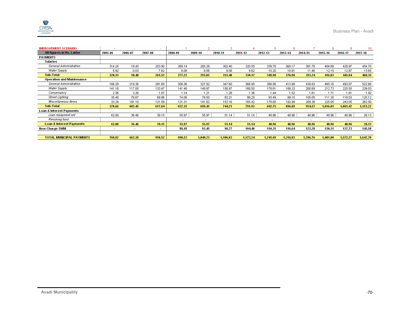| <b>IMPROVEMENT SCENARIO</b>         |                          |         | $\overline{\phantom{a}}$ |         |          |          |                          |                          | в        |          | 8        |          | 10       |
|-------------------------------------|--------------------------|---------|--------------------------|---------|----------|----------|--------------------------|--------------------------|----------|----------|----------|----------|----------|
| All figures in Rs. Lakhs            | 2005-06                  | 2006-07 | 2007-08                  | 2008-09 | 2009-10  | 2010-11  | 2011-12                  | 2012-13                  | 2013-14  | 2014-15  | 2015-16  | 2016-17  | 2017-18  |
| PAYMENTS                            |                          |         |                          |         |          |          |                          |                          |          |          |          |          |          |
| <b>Salaries</b>                     |                          |         |                          |         |          |          |                          |                          |          |          |          |          |          |
| General Administration              | 314.24                   | 18.45   | 253.90                   | 269.14  | 285.29   | 302.40   | 320.55                   | 339.78                   | 360.17   | 381.78   | 404.69   | 428.97   | 454.70   |
| Water Supply                        | 5.92                     | 0.03    | 7.62                     | 8.08    | 8.56     | 9.08     | 9.62                     | 10.20                    | 10.81    | 11.46    | 12.15    | 12.87    | 13.65    |
| <b>Sub-Total</b>                    | 320.15                   | 18.48   | 261.52                   | 277.22  | 293.85   | 311.48   | 330.17                   | 349.98                   | 370.98   | 393.24   | 416.83   | 441.84   | 468.35   |
| <b>Operation and Maintenance</b>    |                          |         |                          |         |          |          |                          |                          |          |          |          |          |          |
| General Administration              | 166.29                   | 219.36  | 291.85                   | 309.36  | 327.92   | 347.60   | 368.45                   | 390.56                   | 413.99   | 438.83   | 465.16   | 493.07   | 522.66   |
| Water Supply                        | 141.18                   | 117.05  | 133.47                   | 141.48  | 149.97   | 158.97   | 168.50                   | 178.61                   | 189.33   | 200.69   | 212.73   | 225.50   | 239.03   |
| Conservancy                         | 2.36                     | 3.26    | 1.07                     | 1.14    | 1.21     | 1.28     | 1.36                     | 1.44                     | 1.52     | 1.61     | 1.71     | 1.81     | 1.92     |
| Street Lighting                     | 35.48                    | 76.67   | 69.86                    | 74.06   | 78.50    | 83.21    | 88.20                    | 93.49                    | 99.10    | 105.05   | 111.35   | 118.03   | 125.12   |
| Miscellaneous Items                 | 33.34                    | 191.10  | 121.59                   | 131.31  | 141.82   | 153.16   | 165.42                   | 178.65                   | 192.94   | 208.38   | 225.05   | 243.05   | 262.50   |
| <b>Sub-Total</b>                    | 378.66                   | 607.45  | 617.84                   | 657.35  | 699.41   | 744.21   | 791.93                   | 842.75                   | 896.89   | 954.57   | 1.016.01 | 1.081.47 | 1,151.22 |
| Loan & Interest Payments            |                          |         |                          |         |          |          |                          |                          |          |          |          |          |          |
| Loan repayment old                  | 62.00                    | 36.46   | 39.15                    | 55.97   | 55.97    | 51.14    | 51.14                    | 48.96                    | 48.96    | 48.96    | 48.96    | 48.96    | 28.13    |
| Revolving fund                      |                          |         |                          | ۰       | ۰        | ٠        | $\overline{\phantom{a}}$ | $\overline{\phantom{a}}$ |          |          | ۰.       | ۰.       |          |
| <b>Loan &amp; Interest Payments</b> | 62.00                    | 36.46   | 39.15                    | 55.97   | 55.97    | 51.14    | 51.14                    | 48.96                    | 48.96    | 48.96    | 48.96    | 48.96    | 28.13    |
| New Charge SWM                      | $\overline{\phantom{a}}$ |         | $\overline{\phantom{a}}$ | 88.41   | 93.45    | 98.77    | 104.40                   | 110.35                   | 116.64   | 123.28   | 130.31   | 137.73   | 145.58   |
|                                     |                          |         |                          |         |          |          |                          |                          |          |          |          |          |          |
| <b>TOTAL MUNICIPAL PAYMENTS</b>     | 760.82                   | 662.38  | 918.52                   | 990.53  | 1,049.23 | 1,106.83 | 1,173.24                 | 1,241.69                 | 1,316.83 | 1,396.76 | 1,481.80 | 1,572.27 | 1,647.70 |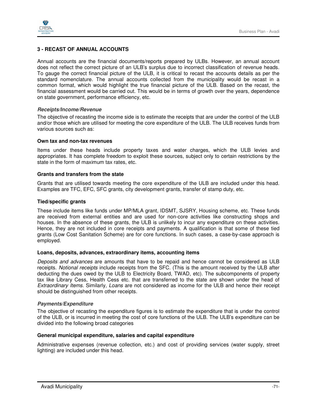

#### **3 - RECAST OF ANNUAL ACCOUNTS**

Annual accounts are the financial documents/reports prepared by ULBs. However, an annual account does not reflect the correct picture of an ULB's surplus due to incorrect classification of revenue heads. To gauge the correct financial picture of the ULB, it is critical to recast the accounts details as per the standard nomenclature. The annual accounts collected from the municipality would be recast in a common format, which would highlight the true financial picture of the ULB. Based on the recast, the financial assessment would be carried out. This would be in terms of growth over the years, dependence on state government, performance efficiency, etc.

#### **Receipts/Income/Revenue**

The objective of recasting the income side is to estimate the receipts that are under the control of the ULB and/or those which are utilised for meeting the core expenditure of the ULB. The ULB receives funds from various sources such as:

#### **Own tax and non-tax revenues**

Items under these heads include property taxes and water charges, which the ULB levies and appropriates. It has complete freedom to exploit these sources, subject only to certain restrictions by the state in the form of maximum tax rates, etc.

#### **Grants and transfers from the state**

Grants that are utilised towards meeting the core expenditure of the ULB are included under this head. Examples are TFC, EFC, SFC grants, city development grants, transfer of stamp duty, etc.

#### **Tied/specific grants**

These include items like funds under MP/MLA grant, IDSMT, SJSRY, Housing scheme, etc. These funds are received from external entities and are used for non-core activities like constructing shops and houses. In the absence of these grants, the ULB is unlikely to incur any expenditure on these activities. Hence, they are not included in core receipts and payments. A qualification is that some of these tied grants (Low Cost Sanitation Scheme) are for core functions. In such cases, a case-by-case approach is employed.

#### **Loans, deposits, advances, extraordinary items, accounting items**

Deposits and advances are amounts that have to be repaid and hence cannot be considered as ULB receipts. Notional receipts include receipts from the SFC. (This is the amount received by the ULB after deducting the dues owed by the ULB to Electricity Board, TWAD, etc). The subcomponents of property tax like Library Cess, Health Cess etc. that are transferred to the state are shown under the head of Extraordinary Items. Similarly, Loans are not considered as income for the ULB and hence their receipt should be distinguished from other receipts.

#### **Payments/Expenditure**

The objective of recasting the expenditure figures is to estimate the expenditure that is under the control of the ULB, or is incurred in meeting the cost of core functions of the ULB. The ULB's expenditure can be divided into the following broad categories

#### **General municipal expenditure, salaries and capital expenditure**

Administrative expenses (revenue collection, etc.) and cost of providing services (water supply, street lighting) are included under this head.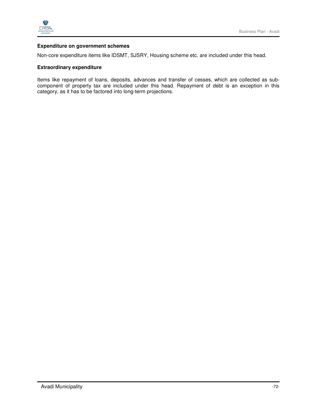

#### **Expenditure on government schemes**

Non-core expenditure items like IDSMT, SJSRY, Housing scheme etc. are included under this head.

#### **Extraordinary expenditure**

Items like repayment of loans, deposits, advances and transfer of cesses, which are collected as subcomponent of property tax are included under this head. Repayment of debt is an exception in this category, as it has to be factored into long-term projections.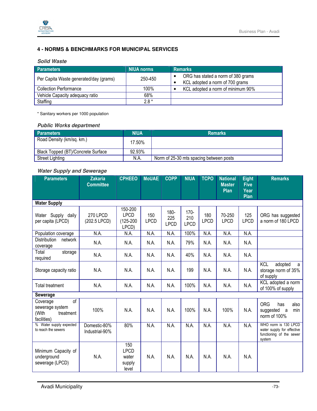

# **4 - NORMS & BENCHMARKS FOR MUNICIPAL SERVICES**

## **Solid Waste**

| <b>Parameters</b>                      | NIUA norms | <b>Remarks</b>                     |
|----------------------------------------|------------|------------------------------------|
| Per Capita Waste generated/day (grams) | 250-450    | ORG has stated a norm of 380 grams |
|                                        |            | KCL adopted a norm of 700 grams    |
| <b>Collection Performance</b>          | 100%       | KCL adopted a norm of minimum 90%  |
| Vehicle Capacity adequacy ratio        | 68%        |                                    |
| Staffing                               | $2.8*$     |                                    |

\* Sanitary workers per 1000 population

## **Public Works department**

| <b>Parameters</b>                  | <b>NIUA</b> | <b>Remarks</b>                          |
|------------------------------------|-------------|-----------------------------------------|
| Road Density (km/sq. km.)          | 17.50%      |                                         |
| Black Topped (BT)/Concrete Surface | 92.93%      |                                         |
| <b>Street Lighting</b>             | N.A.        | Norm of 25-30 mts spacing between posts |

# **Water Supply and Sewerage**

| <b>Parameters</b>                                                      | <b>Zakaria</b><br><b>Committee</b> | <b>CPHEEO</b>                                  | <b>MoUAE</b>       | <b>COPP</b>                | <b>NIUA</b>                   | <b>TCPO</b>        | <b>National</b><br><b>Master</b> | <b>Eight</b><br><b>Five</b> | <b>Remarks</b>                                                                           |
|------------------------------------------------------------------------|------------------------------------|------------------------------------------------|--------------------|----------------------------|-------------------------------|--------------------|----------------------------------|-----------------------------|------------------------------------------------------------------------------------------|
|                                                                        |                                    |                                                |                    |                            |                               |                    | Plan                             | Year<br>Plan                |                                                                                          |
| <b>Water Supply</b>                                                    |                                    |                                                |                    |                            |                               |                    |                                  |                             |                                                                                          |
| Water Supply daily<br>per capita (LPCD)                                | <b>270 LPCD</b><br>(202.5 LPCD)    | 150-200<br><b>LPCD</b><br>(125-200<br>LPCD)    | 150<br><b>LPCD</b> | 180-<br>225<br><b>LPCD</b> | $170 -$<br>210<br><b>LPCD</b> | 180<br><b>LPCD</b> | 70-250<br><b>LPCD</b>            | 125<br><b>LPCD</b>          | ORG has suggested<br>a norm of 180 LPCD                                                  |
| Population coverage                                                    | N.A.                               | N.A.                                           | N.A.               | N.A.                       | 100%                          | N.A.               | N.A.                             | N.A.                        |                                                                                          |
| Distribution<br>network<br>coverage                                    | N.A.                               | N.A.                                           | N.A.               | N.A.                       | 79%                           | N.A.               | N.A.                             | N.A.                        |                                                                                          |
| Total<br>storage<br>required                                           | N.A.                               | N.A.                                           | N.A.               | N.A.                       | 40%                           | N.A.               | N.A.                             | N.A.                        |                                                                                          |
| Storage capacity ratio                                                 | N.A.                               | N.A.                                           | N.A.               | N.A.                       | 199                           | N.A.               | N.A.                             | N.A.                        | <b>KCL</b><br>adopted<br>a<br>storage norm of 35%<br>of supply                           |
| <b>Total treatment</b>                                                 | N.A.                               | N.A.                                           | N.A.               | N.A.                       | 100%                          | N.A.               | N.A.                             | N.A.                        | KCL adopted a norm<br>of 100% of supply                                                  |
| <b>Sewerage</b>                                                        |                                    |                                                |                    |                            |                               |                    |                                  |                             |                                                                                          |
| of<br>Coverage<br>sewerage system<br>(With<br>treatment<br>facilities) | 100%                               | N.A.                                           | N.A.               | N.A.                       | 100%                          | N.A.               | 100%                             | N.A.                        | <b>ORG</b><br>also<br>has<br>suggested a<br>min<br>norm of 100%                          |
| % Water supply expected<br>to reach the sewers                         | Domestic-80%<br>Industrial-90%     | 80%                                            | N.A.               | N.A.                       | N.A.                          | N.A.               | N.A.                             | N.A.                        | WHO norm is 130 LPCD<br>water supply for effective<br>functioning of the sewer<br>system |
| Minimum Capacity of<br>underground<br>sewerage (LPCD)                  | N.A.                               | 150<br><b>LPCD</b><br>water<br>supply<br>level | N.A.               | N.A.                       | N.A.                          | N.A.               | N.A.                             | N.A.                        |                                                                                          |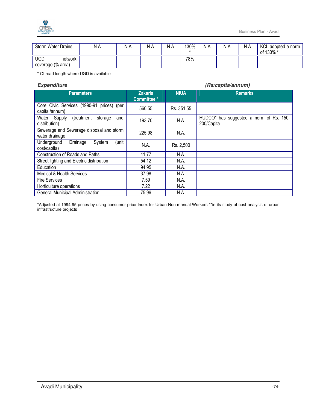

| <b>Storm Water Drains</b>                  | N.A. | N.A. | N.A. | N.A. | 130% | N.A. | N.A. | N.A. | KCL adopted a norm<br>of 130% * |
|--------------------------------------------|------|------|------|------|------|------|------|------|---------------------------------|
| <b>UGD</b><br>network<br>coverage (% area) |      |      |      |      | 78%  |      |      |      |                                 |

\* Of road length where UGD is available

#### **Expenditure (Rs/capita/annum)**

| <b>Zakaria</b><br><b>Committee*</b> | <b>NIUA</b> | <b>Remarks</b>                                        |
|-------------------------------------|-------------|-------------------------------------------------------|
| 560.55                              | Rs. 351.55  |                                                       |
| 193.70                              | N.A.        | HUDCO* has suggested a norm of Rs. 150-<br>200/Capita |
| 225.98                              | N.A.        |                                                       |
| N.A.                                | Rs. 2,500   |                                                       |
| 41.77                               | N.A.        |                                                       |
| 54.12                               | N.A.        |                                                       |
| 94.95                               | N.A.        |                                                       |
| 37.98                               | N.A.        |                                                       |
| 7.59                                | N.A.        |                                                       |
| 7.22                                | N.A.        |                                                       |
| 75.96                               | N.A.        |                                                       |
|                                     |             |                                                       |

\*Adjusted at 1994-95 prices by using consumer price Index for Urban Non-manual Workers \*\*in its study of cost analysis of urban infrastructure projects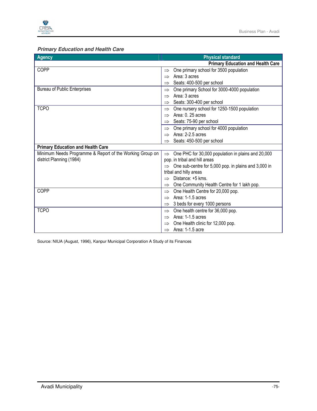

# **Primary Education and Health Care**

| <b>Agency</b>                                            | <b>Physical standard</b>                                     |
|----------------------------------------------------------|--------------------------------------------------------------|
|                                                          | <b>Primary Education and Health Care</b>                     |
| COPP                                                     | One primary school for 3500 population<br>$\Rightarrow$      |
|                                                          | Area: 3 acres<br>$\Rightarrow$                               |
|                                                          | Seats: 400-500 per school<br>$\Rightarrow$                   |
| <b>Bureau of Public Enterprises</b>                      | One primary School for 3000-4000 population<br>$\Rightarrow$ |
|                                                          | Area: 3 acres<br>$\Rightarrow$                               |
|                                                          | Seats: 300-400 per school<br>$\Rightarrow$                   |
| <b>TCPO</b>                                              | One nursery school for 1250-1500 population<br>$\Rightarrow$ |
|                                                          | Area: 0, 25 acres                                            |
|                                                          | Seats: 75-90 per school<br>$\Rightarrow$                     |
|                                                          | One primary school for 4000 population<br>$\Rightarrow$      |
|                                                          | Area: 2-2.5 acres<br>$\Rightarrow$                           |
|                                                          | Seats: 450-500 per school                                    |
| <b>Primary Education and Health Care</b>                 |                                                              |
| Minimum Needs Programme & Report of the Working Group on | One PHC for 30,000 population in plains and 20,000           |
| district Planning (1984)                                 | pop. in tribal and hill areas                                |
|                                                          | One sub-centre for 5,000 pop. in plains and 3,000 in         |
|                                                          | tribal and hilly areas                                       |
|                                                          | Distance: +5 kms.                                            |
|                                                          | One Community Health Centre for 1 lakh pop.<br>$\Rightarrow$ |
| COPP                                                     | One Health Centre for 20,000 pop.<br>$\Rightarrow$           |
|                                                          | Area: 1-1.5 acres<br>$\Rightarrow$                           |
|                                                          | 3 beds for every 1000 persons                                |
| <b>TCPO</b>                                              | One health centre for 36,000 pop.<br>$\Rightarrow$           |
|                                                          | Area: 1-1.5 acres                                            |
|                                                          | One Health clinic for 12,000 pop.                            |
|                                                          | Area: 1-1.5 acre<br>$\Rightarrow$                            |

Source: NIUA (August, 1996), Kanpur Municipal Corporation A Study of its Finances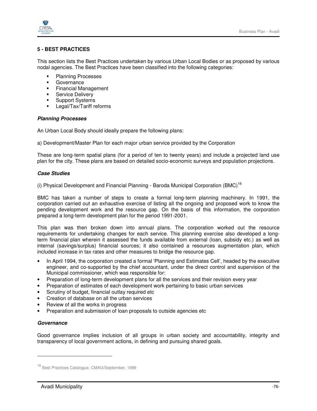

# **5 - BEST PRACTICES**

This section lists the Best Practices undertaken by various Urban Local Bodies or as proposed by various nodal agencies. The Best Practices have been classified into the following categories:

- **Planning Processes**
- **Governance**
- **Financial Management**
- **Service Delivery**
- **Support Systems**
- **Legal/Tax/Tariff reforms**

## **Planning Processes**

An Urban Local Body should ideally prepare the following plans:

a) Development/Master Plan for each major urban service provided by the Corporation

These are long-term spatial plans (for a period of ten to twenty years) and include a projected land use plan for the city. These plans are based on detailed socio-economic surveys and population projections.

## **Case Studies**

(i) Physical Development and Financial Planning - Baroda Municipal Corporation  $(BMC)^{16}$ 

BMC has taken a number of steps to create a formal long-term planning machinery. In 1991, the corporation carried out an exhaustive exercise of listing all the ongoing and proposed work to know the pending development work and the resource gap. On the basis of this information, the corporation prepared a long-term development plan for the period 1991-2001.

This plan was then broken down into annual plans. The corporation worked out the resource requirements for undertaking changes for each service. This planning exercise also developed a longterm financial plan wherein it assessed the funds available from external (loan, subsidy etc.) as well as internal (savings/surplus) financial sources; it also contained a resources augmentation plan, which included increase in tax rates and other measures to bridge the resource gap.

- In April 1994, the corporation created a formal 'Planning and Estimates Cell', headed by the executive engineer, and co-supported by the chief accountant, under the direct control and supervision of the Municipal commissioner, which was responsible for:
- Preparation of long-term development plans for all the services and their revision every year
- Preparation of estimates of each development work pertaining to basic urban services
- Scrutiny of budget, financial outlay required etc
- Creation of database on all the urban services
- Review of all the works in progress
- Preparation and submission of loan proposals to outside agencies etc

## **Governance**

-

Good governance implies inclusion of all groups in urban society and accountability, integrity and transparency of local government actions, in defining and pursuing shared goals.

<sup>16</sup> Best Practices Catalogue, CMAG/September, 1999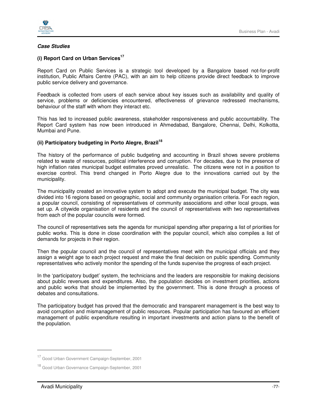

## **Case Studies**

## **(i) Report Card on Urban Services<sup>17</sup>**

Report Card on Public Services is a strategic tool developed by a Bangalore based not-for-profit institution, Public Affairs Centre (PAC), with an aim to help citizens provide direct feedback to improve public service delivery and governance.

Feedback is collected from users of each service about key issues such as availability and quality of service, problems or deficiencies encountered, effectiveness of grievance redressed mechanisms, behaviour of the staff with whom they interact etc.

This has led to increased public awareness, stakeholder responsiveness and public accountability. The Report Card system has now been introduced in Ahmedabad, Bangalore, Chennai, Delhi, Kolkotta, Mumbai and Pune.

## **(ii) Participatory budgeting in Porto Alegre, Brazil 18**

The history of the performance of public budgeting and accounting in Brazil shows severe problems related to waste of resources, political interference and corruption. For decades, due to the presence of high inflation rates municipal budget estimates proved unrealistic. The citizens were not in a position to exercise control. This trend changed in Porto Alegre due to the innovations carried out by the municipality.

The municipality created an innovative system to adopt and execute the municipal budget. The city was divided into 16 regions based on geographic, social and community organisation criteria. For each region, a popular council, consisting of representatives of community associations and other local groups, was set up. A citywide organisation of residents and the council of representatives with two representatives from each of the popular councils were formed.

The council of representatives sets the agenda for municipal spending after preparing a list of priorities for public works. This is done in close coordination with the popular council, which also compiles a list of demands for projects in their region.

Then the popular council and the council of representatives meet with the municipal officials and they assign a weight age to each project request and make the final decision on public spending. Community representatives who actively monitor the spending of the funds supervise the progress of each project.

In the 'participatory budget' system, the technicians and the leaders are responsible for making decisions about public revenues and expenditures. Also, the population decides on investment priorities, actions and public works that should be implemented by the government. This is done through a process of debates and consultations.

The participatory budget has proved that the democratic and transparent management is the best way to avoid corruption and mismanagement of public resources. Popular participation has favoured an efficient management of public expenditure resulting in important investments and action plans to the benefit of the population.

 $\overline{a}$ 

<sup>17</sup> Good Urban Government Campaign-September, 2001

<sup>18</sup> Good Urban Governance Campaign-September, 2001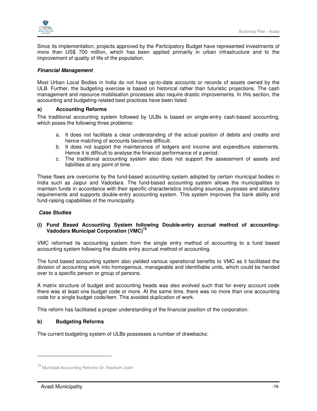

Since its implementation, projects approved by the Participatory Budget have represented investments of more than US\$ 700 million, which has been applied primarily in urban infrastructure and to the improvement of quality of life of the population.

## **Financial Management**

Most Urban Local Bodies in India do not have up-to-date accounts or records of assets owned by the ULB. Further, the budgeting exercise is based on historical rather than futuristic projections. The cash management and resource mobilisation processes also require drastic improvements. In this section, the accounting and budgeting-related best practices have been listed.

## **a) Accounting Reforms**

The traditional accounting system followed by ULBs is based on single-entry cash-based accounting, which poses the following three problems:

- a. It does not facilitate a clear understanding of the actual position of debits and credits and hence matching of accounts becomes difficult.
- b. It does not support the maintenance of ledgers and income and expenditure statements. Hence it is difficult to analyse the financial performance of a period.
- c. The traditional accounting system also does not support the assessment of assets and liabilities at any point of time.

These flaws are overcome by the fund-based accounting system adopted by certain municipal bodies in India such as Jaipur and Vadodara. The fund-based accounting system allows the municipalities to maintain funds in accordance with their specific characteristics including sources, purposes and statutory requirements and supports double-entry accounting system. This system improves the bank ability and fund-raising capabilities of the municipality.

## **Case Studies**

## **(i) Fund Based Accounting System following Double-entry accrual method of accounting-Vadodara Municipal Corporation (VMC)<sup>19</sup>**

VMC reformed its accounting system from the single entry method of accounting to a fund based accounting system following the double entry accrual method of accounting.

The fund based accounting system also yielded various operational benefits to VMC as it facilitated the division of accounting work into homogenous, manageable and identifiable units, which could be handed over to a specific person or group of persons.

A matrix structure of budget and accounting heads was also evolved such that for every account code there was at least one budget code or more. At the same time, there was no more than one accounting code for a single budget code/item. This avoided duplication of work.

This reform has facilitated a proper understanding of the financial position of the corporation.

## **b) Budgeting Reforms**

The current budgeting system of ULBs possesses a number of drawbacks:

<sup>19</sup> Municipal Accounting Reforms-Dr. Ravikant Joshi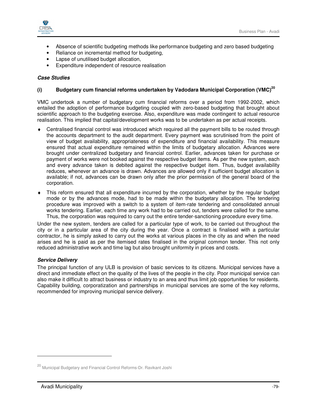

- Absence of scientific budgeting methods like performance budgeting and zero based budgeting
- Reliance on incremental method for budgeting,
- Lapse of unutilised budget allocation,
- Expenditure independent of resource realisation

#### **Case Studies**

## **(i) Budgetary cum financial reforms undertaken by Vadodara Municipal Corporation (VMC)<sup>20</sup>**

VMC undertook a number of budgetary cum financial reforms over a period from 1992-2002, which entailed the adoption of performance budgeting coupled with zero-based budgeting that brought about scientific approach to the budgeting exercise. Also, expenditure was made contingent to actual resource realisation. This implied that capital/development works was to be undertaken as per actual receipts.

- Centralised financial control was introduced which required all the payment bills to be routed through the accounts department to the audit department. Every payment was scrutinised from the point of view of budget availability, appropriateness of expenditure and financial availability. This measure ensured that actual expenditure remained within the limits of budgetary allocation. Advances were brought under centralized budgetary and financial control. Earlier, advances taken for purchase or payment of works were not booked against the respective budget items. As per the new system, each and every advance taken is debited against the respective budget item. Thus, budget availability reduces, whenever an advance is drawn. Advances are allowed only if sufficient budget allocation is available; if not, advances can be drawn only after the prior permission of the general board of the corporation.
- This reform ensured that all expenditure incurred by the corporation, whether by the regular budget mode or by the advances mode, had to be made within the budgetary allocation. The tendering procedure was improved with a switch to a system of item-rate tendering and consolidated annual works tendering. Earlier, each time any work had to be carried out, tenders were called for the same. Thus, the corporation was required to carry out the entire tender-sanctioning procedure every time.

Under the new system, tenders are called for a particular type of work, to be carried out throughout the city or in a particular area of the city during the year. Once a contract is finalised with a particular contractor, he is simply asked to carry out the works at various places in the city as and when the need arises and he is paid as per the itemised rates finalised in the original common tender. This not only reduced administrative work and time lag but also brought uniformity in prices and costs.

#### **Service Delivery**

The principal function of any ULB is provision of basic services to its citizens. Municipal services have a direct and immediate effect on the quality of the lives of the people in the city. Poor municipal service can also make it difficult to attract business or industry to an area and thus limit job opportunities for residents. Capability building, corporatization and partnerships in municipal services are some of the key reforms, recommended for improving municipal service delivery.

<sup>20</sup> Municipal Budgetary and Financial Control Reforms-Dr. Ravikant Joshi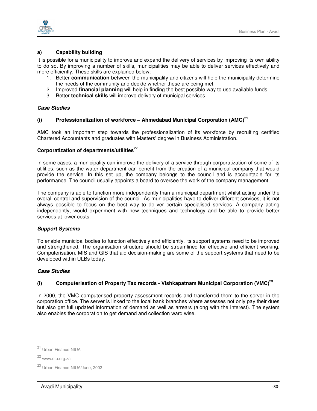

## **a) Capability building**

It is possible for a municipality to improve and expand the delivery of services by improving its own ability to do so. By improving a number of skills, municipalities may be able to deliver services effectively and more efficiently. These skills are explained below:

- 1. Better **communication** between the municipality and citizens will help the municipality determine the needs of the community and decide whether these are being met.
- 2. Improved **financial planning** will help in finding the best possible way to use available funds.
- 3. Better **technical skills** will improve delivery of municipal services.

## **Case Studies**

# **(i) Professionalization of workforce – Ahmedabad Municipal Corporation (AMC)<sup>21</sup>**

AMC took an important step towards the professionalization of its workforce by recruiting certified Chartered Accountants and graduates with Masters' degree in Business Administration.

## Corporatization of departments/utilities<sup>22</sup>

In some cases, a municipality can improve the delivery of a service through corporatization of some of its utilities, such as the water department can benefit from the creation of a municipal company that would provide the service. In this set up, the company belongs to the council and is accountable for its performance. The council usually appoints a board to oversee the work of the company management.

The company is able to function more independently than a municipal department whilst acting under the overall control and supervision of the council. As municipalities have to deliver different services, it is not always possible to focus on the best way to deliver certain specialised services. A company acting independently, would experiment with new techniques and technology and be able to provide better services at lower costs.

#### **Support Systems**

To enable municipal bodies to function effectively and efficiently, its support systems need to be improved and strengthened. The organisation structure should be streamlined for effective and efficient working. Computerisation, MIS and GIS that aid decision-making are some of the support systems that need to be developed within ULBs today.

#### **Case Studies**

## **(i) Computerisation of Property Tax records - Vishkapatnam Municipal Corporation (VMC)<sup>23</sup>**

In 2000, the VMC computerised property assessment records and transferred them to the server in the corporation office. The server is linked to the local bank branches where assesses not only pay their dues but also get full updated information of demand as well as arrears (along with the interest). The system also enables the corporation to get demand and collection ward wise.

 $\overline{a}$ 

<sup>21</sup> Urban Finance-NIUA

<sup>22</sup> www.etu.org.za

<sup>23</sup> Urban Finance-NIUA/June, 2002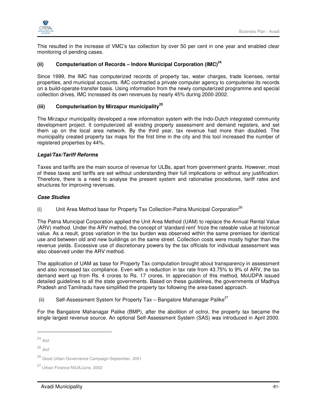

This resulted in the increase of VMC's tax collection by over 50 per cent in one year and enabled clear monitoring of pending cases.

# **(ii) Computerisation of Records – Indore Municipal Corporation (IMC)<sup>24</sup>**

Since 1999, the IMC has computerized records of property tax, water charges, trade licenses, rental properties, and municipal accounts. IMC contracted a private computer agency to computerise its records on a build-operate-transfer basis. Using information from the newly computerized programme and special collection drives, IMC increased its own revenues by nearly 45% during 2000-2002.

## **(iii) Computerisation by Mirzapur municipality<sup>25</sup>**

The Mirzapur municipality developed a new information system with the Indo-Dutch integrated community development project. It computerized all existing property assessment and demand registers, and set them up on the local area network. By the third year, tax revenue had more than doubled. The municipality created property tax maps for the first time in the city and this tool increased the number of registered properties by 44%.

#### **Legal/Tax/Tariff Reforms**

Taxes and tariffs are the main source of revenue for ULBs, apart from government grants. However, most of these taxes and tariffs are set without understanding their full implications or without any justification. Therefore, there is a need to analyse the present system and rationalise procedures, tariff rates and structures for improving revenues.

#### **Case Studies**

(i) Unit Area Method base for Property Tax Collection-Patna Municipal Corporation<sup>26</sup>

The Patna Municipal Corporation applied the Unit Area Method (UAM) to replace the Annual Rental Value (ARV) method. Under the ARV method, the concept of 'standard rent' froze the rateable value at historical value. As a result, gross variation in the tax burden was observed within the same premises for identical use and between old and new buildings on the same street. Collection costs were mostly higher than the revenue yields. Excessive use of discretionary powers by the tax officials for individual assessment was also observed under the ARV method.

The application of UAM as base for Property Tax computation brought about transparency in assessment and also increased tax compliance. Even with a reduction in tax rate from 43.75% to 9% of ARV, the tax demand went up from Rs. 4 crores to Rs. 17 crores. In appreciation of this method, MoUDPA issued detailed guidelines to all the state governments. Based on these guidelines, the governments of Madhya Pradesh and Tamilnadu have simplified the property tax following the area-based approach.

(ii) Self-Assessment System for Property Tax – Bangalore Mahanagar Palike<sup>27</sup>

For the Bangalore Mahanagar Palike (BMP), after the abolition of octroi, the property tax became the single largest revenue source. An optional Self-Assessment System (SAS) was introduced in April 2000.

<sup>24</sup> ibid

 $25$  ibid

<sup>26</sup> Good Urban Governance Campaign-September, 2001

<sup>27</sup> Urban Finance-NIUA/June, 2002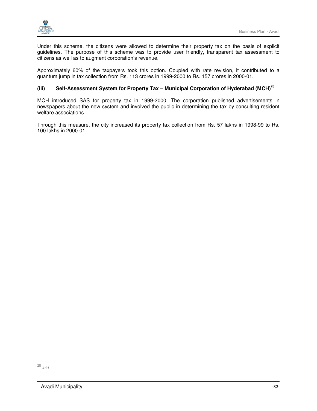

Under this scheme, the citizens were allowed to determine their property tax on the basis of explicit guidelines. The purpose of this scheme was to provide user friendly, transparent tax assessment to citizens as well as to augment corporation's revenue.

Approximately 60% of the taxpayers took this option. Coupled with rate revision, it contributed to a quantum jump in tax collection from Rs. 113 crores in 1999-2000 to Rs. 157 crores in 2000-01.

# **(iii) Self-Assessment System for Property Tax – Municipal Corporation of Hyderabad (MCH)<sup>28</sup>**

MCH introduced SAS for property tax in 1999-2000. The corporation published advertisements in newspapers about the new system and involved the public in determining the tax by consulting resident welfare associations.

Through this measure, the city increased its property tax collection from Rs. 57 lakhs in 1998-99 to Rs. 100 lakhs in 2000-01.

<sup>28</sup> ibid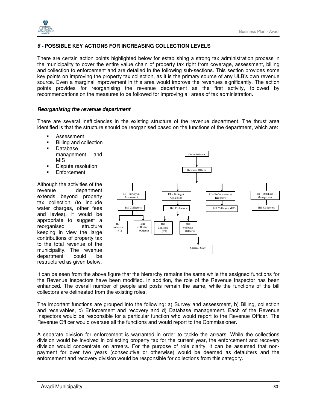

# **6 - POSSIBLE KEY ACTIONS FOR INCREASING COLLECTION LEVELS**

There are certain action points highlighted below for establishing a strong tax administration process in the municipality to cover the entire value chain of property tax right from coverage, assessment, billing and collection to enforcement and are detailed in the following sub-sections. This section provides some key points on improving the property tax collection, as it is the primary source of any ULB's own revenue source. Even a marginal improvement in this area would improve the revenues significantly. The action points provides for reorganising the revenue department as the first activity, followed by recommendations on the measures to be followed for improving all areas of tax administration.

#### **Reorganising the revenue department**

There are several inefficiencies in the existing structure of the revenue department. The thrust area identified is that the structure should be reorganised based on the functions of the department, which are:

- **Assessment**
- Billing and collection
- **Database** management and MIS
- **Dispute resolution**
- **Enforcement**

Although the activities of the revenue department extends beyond property tax collection (to include water charges, other fees and levies), it would be appropriate to suggest a reorganised structure keeping in view the large contributions of property tax to the total revenue of the municipality. The revenue department could be restructured as given below.



It can be seen from the above figure that the hierarchy remains the same while the assigned functions for the Revenue Inspectors have been modified. In addition, the role of the Revenue Inspector has been enhanced. The overall number of people and posts remain the same, while the functions of the bill collectors are delineated from the existing roles.

The important functions are grouped into the following: a) Survey and assessment, b) Billing, collection and receivables, c) Enforcement and recovery and d) Database management. Each of the Revenue Inspectors would be responsible for a particular function who would report to the Revenue Officer. The Revenue Officer would oversee all the functions and would report to the Commissioner.

A separate division for enforcement is warranted in order to tackle the arrears. While the collections division would be involved in collecting property tax for the current year, the enforcement and recovery division would concentrate on arrears. For the purpose of role clarity, it can be assumed that nonpayment for over two years (consecutive or otherwise) would be deemed as defaulters and the enforcement and recovery division would be responsible for collections from this category.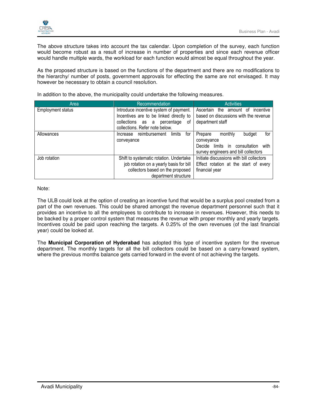

The above structure takes into account the tax calendar. Upon completion of the survey, each function would become robust as a result of increase in number of properties and since each revenue officer would handle multiple wards, the workload for each function would almost be equal throughout the year.

As the proposed structure is based on the functions of the department and there are no modifications to the hierarchy/ number of posts, government approvals for effecting the same are not envisaged. It may however be necessary to obtain a council resolution.

| Area                     | Recommendation                             | <b>Activities</b>                         |
|--------------------------|--------------------------------------------|-------------------------------------------|
| <b>Employment status</b> | Introduce incentive system of payment.     | Ascertain the<br>amount of<br>incentive   |
|                          | Incentives are to be linked directly to    | based on discussions with the revenue     |
|                          | οf<br>collections as a percentage          | department staff                          |
|                          | collections. Refer note below.             |                                           |
| Allowances               | for<br>limits<br>reimbursement<br>Increase | Prepare<br>monthly<br>budget<br>for       |
|                          | conveyance                                 | conveyance                                |
|                          |                                            | Decide limits in consultation with        |
|                          |                                            | survey engineers and bill collectors      |
| Job rotation             | Shift to systematic rotation. Undertake    | Initiate discussions with bill collectors |
|                          | job rotation on a yearly basis for bill    | Effect rotation at the start of every     |
|                          | collectors based on the proposed           | financial year                            |
|                          | department structure                       |                                           |

In addition to the above, the municipality could undertake the following measures.

Note:

The ULB could look at the option of creating an incentive fund that would be a surplus pool created from a part of the own revenues. This could be shared amongst the revenue department personnel such that it provides an incentive to all the employees to contribute to increase in revenues. However, this needs to be backed by a proper control system that measures the revenue with proper monthly and yearly targets. Incentives could be paid upon reaching the targets. A 0.25% of the own revenues (of the last financial year) could be looked at.

The **Municipal Corporation of Hyderabad** has adopted this type of incentive system for the revenue department. The monthly targets for all the bill collectors could be based on a carry-forward system, where the previous months balance gets carried forward in the event of not achieving the targets.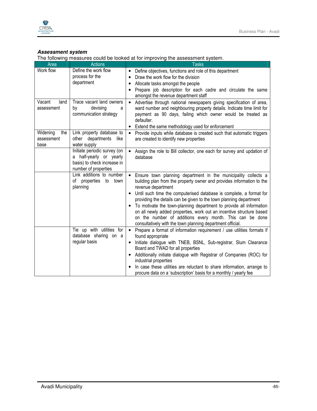



## **Assessment system**

The following measures could be looked at for improving the assessment system.

| Area                                  | <b>Actions</b>                                                                                                 | <b>Tasks</b>                                                                                                                                                                                                                                                                                                                                                                                                                                                                                                                                                                                                  |
|---------------------------------------|----------------------------------------------------------------------------------------------------------------|---------------------------------------------------------------------------------------------------------------------------------------------------------------------------------------------------------------------------------------------------------------------------------------------------------------------------------------------------------------------------------------------------------------------------------------------------------------------------------------------------------------------------------------------------------------------------------------------------------------|
| Work flow                             | Define the work flow<br>process for the<br>department                                                          | Define objectives, functions and role of this department<br>٠<br>Draw the work flow for the division<br>٠<br>Allocate tasks amongst the people<br>٠<br>Prepare job description for each cadre and circulate the same<br>amongst the revenue department staff                                                                                                                                                                                                                                                                                                                                                  |
| Vacant<br>land<br>assessment          | Trace vacant land owners<br>devising<br>by<br>a<br>communication strategy                                      | Advertise through national newspapers giving specification of area,<br>$\bullet$<br>ward number and neighbouring property details. Indicate time limit for<br>payment as 90 days, failing which owner would be treated as<br>defaulter.<br>Extend the same methodology used for enforcement<br>$\bullet$                                                                                                                                                                                                                                                                                                      |
| Widening<br>the<br>assessment<br>base | Link property database to<br>other departments<br>like<br>water supply                                         | Provide inputs while database is created such that automatic triggers<br>$\bullet$<br>are created to identify new properties                                                                                                                                                                                                                                                                                                                                                                                                                                                                                  |
|                                       | Initiate periodic survey (on<br>a half-yearly or yearly<br>basis) to check increase in<br>number of properties | Assign the role to Bill collector, one each for survey and updation of<br>$\bullet$<br>database                                                                                                                                                                                                                                                                                                                                                                                                                                                                                                               |
|                                       | Link additions to number<br>of properties to town<br>planning                                                  | Ensure town planning department in the municipality collects a<br>building plan from the property owner and provides information to the<br>revenue department<br>Until such time the computerised database is complete, a format for<br>$\bullet$<br>providing the details can be given to the town planning department<br>To motivate the town-planning department to provide all information<br>$\bullet$<br>on all newly added properties, work out an incentive structure based<br>on the number of additions every month. This can be done<br>consultatively with the town planning department official. |
|                                       | Tie up with utilities for<br>database sharing on a<br>regular basis                                            | • Prepare a format of information requirement / use utilities formats if<br>found appropriate<br>Initiate dialogue with TNEB, BSNL, Sub-registrar, Slum Clearance<br>$\bullet$<br>Board and TWAD for all properties<br>Additionally initiate dialogue with Registrar of Companies (ROC) for<br>٠<br>industrial properties<br>In case these utilities are reluctant to share information, arrange to<br>procure data on a 'subscription' basis for a monthly / yearly fee                                                                                                                                      |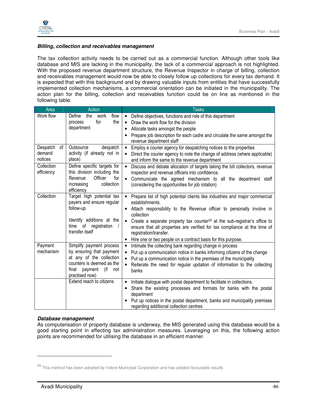

## **Billing, collection and receivables management**

The tax collection activity needs to be carried out as a commercial function. Although other tools like database and MIS are lacking in the municipality, the lack of a commercial approach is not highlighted. With the proposed revenue department structure, the Revenue Inspector in charge of billing, collection and receivables management would now be able to closely follow up collections for every tax demand. It is expected that with this background and by drawing valuable inputs from entities that have successfully implemented collection mechanisms, a commercial orientation can be initiated in the municipality. The action plan for the billing, collection and receivables function could be on line as mentioned in the following table.

| Area                     | Action                                                              | <b>Tasks</b>                                                                                                                                 |
|--------------------------|---------------------------------------------------------------------|----------------------------------------------------------------------------------------------------------------------------------------------|
| Work flow                | Define<br>the<br>work<br>flow<br>for<br>the<br>process              | Define objectives, functions and role of this department<br>$\bullet$                                                                        |
|                          | department                                                          | Draw the work flow for the division<br>$\bullet$<br>Allocate tasks amongst the people<br>٠                                                   |
|                          |                                                                     | Prepare job description for each cadre and circulate the same amongst the<br>$\bullet$                                                       |
|                          |                                                                     | revenue department staff                                                                                                                     |
| of<br>Despatch           | Outsource<br>despatch                                               | Employ a courier agency for despatching notices to the properties<br>$\bullet$                                                               |
| demand<br>notices        | activity (if already not in<br>place)                               | Direct the courier agency to note the change of address (where applicable)<br>$\bullet$<br>and inform the same to the revenue department     |
| Collection<br>efficiency | Define specific targets for<br>this division including the          | Discuss and debate allocation of targets taking the bill collectors, revenue<br>$\bullet$<br>inspector and revenue officers into confidence. |
|                          | Revenue<br>Officer<br>for<br>collection<br>increasing<br>efficiency | Communicate the agreed mechanism to all the department staff<br>$\bullet$<br>(considering the opportunities for job rotation)                |
| Collection               | Target high potential tax                                           | Prepare list of high potential clients like industries and major commercial<br>$\bullet$                                                     |
|                          | payers and ensure regular                                           | establishments.                                                                                                                              |
|                          | follow-up                                                           | Attach responsibility to the Revenue officer to personally involve in<br>٠<br>collection                                                     |
|                          | Identify additions at the                                           | Create a separate property tax counter <sup>29</sup> at the sub-registrar's office to<br>$\bullet$                                           |
|                          | time of<br>registration<br>transfer itself                          | ensure that all properties are verified for tax compliance at the time of<br>registration/transfer.                                          |
|                          |                                                                     | Hire one or two people on a contract basis for this purpose.<br>٠                                                                            |
| Payment                  | Simplify payment process                                            | Intimate the collecting bank regarding change in process<br>$\bullet$                                                                        |
| mechanism                | by ensuring that payment                                            | Put up a communication notice in banks informing citizens of the change<br>$\bullet$                                                         |
|                          | at any of the collection<br>counters is deemed as the               | Put up a communication notice in the premises of the municipality<br>$\bullet$                                                               |
|                          | final<br>payment<br>(if<br>not                                      | Reiterate the need for regular updation of information to the collecting<br>$\bullet$<br>banks                                               |
|                          | practised now)                                                      |                                                                                                                                              |
|                          | Extend reach to citizens                                            | Initiate dialogue with postal department to facilitate in collections.<br>$\bullet$                                                          |
|                          |                                                                     | Share the existing processes and formats for banks with the postal<br>$\bullet$<br>department                                                |
|                          |                                                                     | Put up notices in the postal department, banks and municipality premises<br>$\bullet$                                                        |
|                          |                                                                     | regarding additional collection centres                                                                                                      |

#### **Database management**

As computerisation of property database is underway, the MIS generated using this database would be a good starting point in effecting tax administration measures. Leveraging on this, the following action points are recommended for utilising the database in an efficient manner.

 $29$  This method has been adopted by Indore Municipal Corporation and has yielded favourable results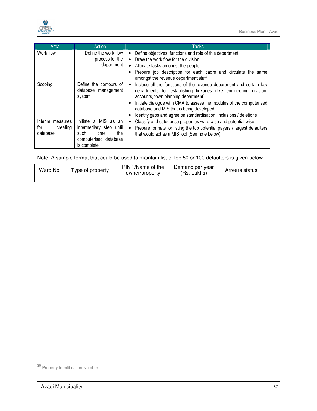

| Area                                            | Action                                                                                                         | Tasks                                                                                                                                                                                                                                                                                                                                                                                  |
|-------------------------------------------------|----------------------------------------------------------------------------------------------------------------|----------------------------------------------------------------------------------------------------------------------------------------------------------------------------------------------------------------------------------------------------------------------------------------------------------------------------------------------------------------------------------------|
| Work flow                                       | Define the work flow<br>process for the<br>department                                                          | Define objectives, functions and role of this department<br>$\bullet$<br>• Draw the work flow for the division<br>Allocate tasks amongst the people<br>Prepare job description for each cadre and circulate the same<br>amongst the revenue department staff                                                                                                                           |
| Scoping                                         | Define the contours of<br>database management<br>system                                                        | Include all the functions of the revenue department and certain key<br>$\bullet$<br>departments for establishing linkages (like engineering division,<br>accounts, town planning department)<br>Initiate dialogue with CMA to assess the modules of the computerised<br>database and MIS that is being developed<br>Identify gaps and agree on standardisation, inclusions / deletions |
| Interim measures<br>for<br>creating<br>database | Initiate a MIS as an<br>intermediary step until<br>such<br>the<br>time<br>computerised database<br>is complete | Classify and categorise properties ward wise and potential wise<br>Prepare formats for listing the top potential payers / largest defaulters<br>$\bullet$<br>that would act as a MIS tool (See note below)                                                                                                                                                                             |

Note: A sample format that could be used to maintain list of top 50 or 100 defaulters is given below.

| Ward No | l vpe of property | $PIN^{30}/Name$ of the<br>owner/property | Demand per year<br>(Rs. Lakhs) | Arrears status |
|---------|-------------------|------------------------------------------|--------------------------------|----------------|
|         |                   |                                          |                                |                |

<sup>30</sup> Property Identification Number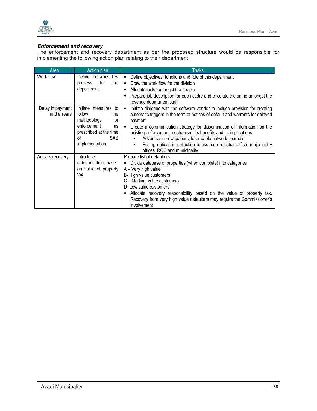

## **Enforcement and recovery**

The enforcement and recovery department as per the proposed structure would be responsible for implementing the following action plan relating to their department

| Area                            | Action plan                                                                                                                                 | <b>Tasks</b>                                                                                                                                                                                                                                                                                                                                                                                                                                                                                                             |
|---------------------------------|---------------------------------------------------------------------------------------------------------------------------------------------|--------------------------------------------------------------------------------------------------------------------------------------------------------------------------------------------------------------------------------------------------------------------------------------------------------------------------------------------------------------------------------------------------------------------------------------------------------------------------------------------------------------------------|
| Work flow                       | Define the work flow<br>for<br>the<br>process<br>department                                                                                 | Define objectives, functions and role of this department<br>$\bullet$<br>Draw the work flow for the division<br>$\bullet$<br>Allocate tasks amongst the people<br>Prepare job description for each cadre and circulate the same amongst the<br>revenue department staff                                                                                                                                                                                                                                                  |
| Delay in payment<br>and arrears | Initiate measures to<br>follow<br>the<br>methodology<br>for<br>enforcement<br>as<br>prescribed at the time<br>SAS .<br>Ωf<br>implementation | Initiate dialogue with the software vendor to include provision for creating<br>$\bullet$<br>automatic triggers in the form of notices of default and warrants for delayed<br>payment<br>Create a communication strategy for dissemination of information on the<br>$\bullet$<br>existing enforcement mechanism, its benefits and its implications<br>Advertise in newspapers, local cable network, journals<br>Put up notices in collection banks, sub registrar office, major utility<br>offices, ROC and municipality |
| Arrears recovery                | Introduce<br>categorisation, based<br>on value of property<br>tax                                                                           | Prepare list of defaulters<br>Divide database of properties (when complete) into categories<br>$\bullet$<br>A - Very high value<br>B- High value customers<br>C - Medium value customers<br>D- Low value customers<br>Allocate recovery responsibility based on the value of property tax.<br>Recovery from very high value defaulters may require the Commissioner's<br>involvement                                                                                                                                     |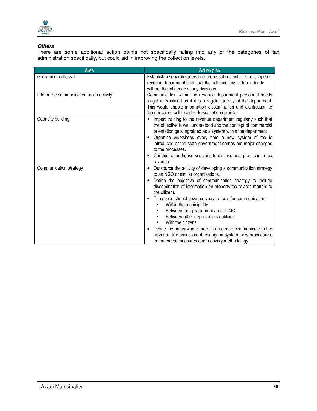

# **Others**

There are some additional action points not specifically falling into any of the categories of tax administration specifically, but could aid in improving the collection levels.

| Area                                     | Action plan                                                                                                                                                                                                                                                                                                                                                                                                                  |  |  |
|------------------------------------------|------------------------------------------------------------------------------------------------------------------------------------------------------------------------------------------------------------------------------------------------------------------------------------------------------------------------------------------------------------------------------------------------------------------------------|--|--|
| Grievance redressal                      | Establish a separate grievance redressal cell outside the scope of<br>revenue department such that the cell functions independently                                                                                                                                                                                                                                                                                          |  |  |
|                                          | without the influence of any divisions                                                                                                                                                                                                                                                                                                                                                                                       |  |  |
| Internalise communication as an activity | Communication within the revenue department personnel needs<br>to get internalised as if it is a regular activity of the department.<br>This would enable information dissemination and clarification to<br>the grievance cell to aid redressal of complaints                                                                                                                                                                |  |  |
| Capacity building                        | Impart training to the revenue department regularly such that<br>the objective is well understood and the concept of commercial<br>orientation gets ingrained as a system within the department<br>Organise workshops every time a new system of tax is<br>introduced or the state government carries out major changes<br>to the processes.<br>Conduct open house sessions to discuss best practices in tax<br>٠<br>revenue |  |  |
| Communication strategy                   | Outsource the activity of developing a communication strategy<br>$\bullet$<br>to an NGO or similar organisations.<br>Define the objective of communication strategy to include<br>٠<br>dissemination of information on property tax related matters to<br>the citizens<br>The scope should cover necessary tools for communication:<br>٠<br>Within the municipality<br>٠<br>Between the government and DCMC                  |  |  |
|                                          | Between other departments / utilities<br>With the citizens<br>Define the areas where there is a need to communicate to the<br>٠<br>citizens - like assessment, change in system, new procedures,<br>enforcement measures and recovery methodology                                                                                                                                                                            |  |  |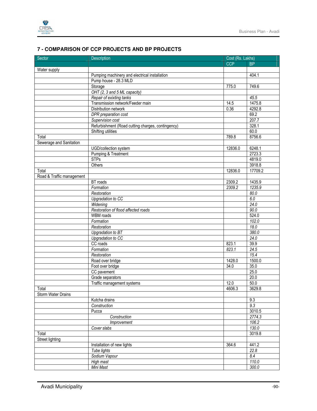

# **7 - COMPARISON OF CCP PROJECTS AND BP PROJECTS**

| Sector                    | Description                                       | Cost (Rs. Lakhs) |           |
|---------------------------|---------------------------------------------------|------------------|-----------|
|                           |                                                   | <b>CCP</b>       | <b>BP</b> |
| Water supply              |                                                   |                  |           |
|                           | Pumping machinery and electrical installation     |                  | 404.1     |
|                           | Pump house - 28.3 MLD                             |                  |           |
|                           | Storage                                           | 775.0            | 749.6     |
|                           | OHT (2, 3 and 5 ML capacity)                      |                  |           |
|                           | Repair of exixting tanks                          |                  | 45.5      |
|                           | Transmission network/Feeder main                  | 14.5             | 1475.8    |
|                           | Distribution network                              | 0.36             | 4292.8    |
|                           | DPR preparation cost                              |                  | 69.2      |
|                           | Supervision cost                                  |                  | 207.7     |
|                           | Refurbishment (Road cutting charges, contingency) |                  | 328.1     |
|                           | Shifting utilities                                |                  | 60.0      |
| Total                     |                                                   | 789.8            | 8756.6    |
| Sewerage and Sanitation   |                                                   |                  |           |
|                           | UGD/collection system                             | 12836.0          | 6248.1    |
|                           | Pumping & Treatment                               |                  | 2723.3    |
|                           | <b>STPs</b>                                       |                  | 4819.0    |
|                           | Others                                            |                  | 3918.8    |
| Total                     |                                                   | 12836.0          | 17709.2   |
| Road & Traffic management |                                                   |                  |           |
|                           | <b>BT</b> roads                                   | 2309.2           | 1435.9    |
|                           | Formation                                         | 2309.2           | 1235.9    |
|                           | Restoration                                       |                  | 80.0      |
|                           | Upgradation to CC                                 |                  | 6.0       |
|                           | Widening                                          |                  | 24.0      |
|                           | Restoration of flood affected roads               |                  | 90.0      |
|                           | <b>WBM</b> roads                                  |                  | 524.0     |
|                           | Formation                                         |                  | 102.0     |
|                           | Restoration                                       |                  | 18.0      |
|                           | Upgradation to BT                                 |                  | 380.0     |
|                           | <b>Upgradation to CC</b>                          |                  | 24.0      |
|                           | CC roads                                          | 823.1            | 39.9      |
|                           | Formation                                         | 823.1            | 24.5      |
|                           | Restoration                                       |                  | 15.4      |
|                           | Road over bridge                                  | 1428.0           | 1500.0    |
|                           | Foot over bridge                                  | 34.0             | 35.0      |
|                           | CC pavement                                       |                  | 25.0      |
|                           | Grade separators                                  |                  | 20.0      |
|                           | Traffic management systems                        | 12.0             | 50.0      |
| Total                     |                                                   | 4606.3           | 3629.8    |
| Storm Water Drains        |                                                   |                  |           |
|                           | Kutcha drains                                     |                  | 9.3       |
|                           | Construction                                      |                  | 9.3       |
|                           | Pucca                                             |                  | 3010.5    |
|                           | Construction                                      |                  | 2774.3    |
|                           | Improvement                                       |                  | 106.2     |
|                           | Cover slabs                                       |                  | 130.0     |
| Total                     |                                                   |                  | 3019.8    |
| Street lighting           |                                                   |                  |           |
|                           | Installation of new lights                        | 364.6            | 441.2     |
|                           | Tube lights                                       |                  | 22.8      |
|                           | Sodium Vapour                                     |                  | 8.4       |
|                           | High mast                                         |                  | 110.0     |
|                           | Mini Mast                                         |                  | 300.0     |
|                           |                                                   |                  |           |